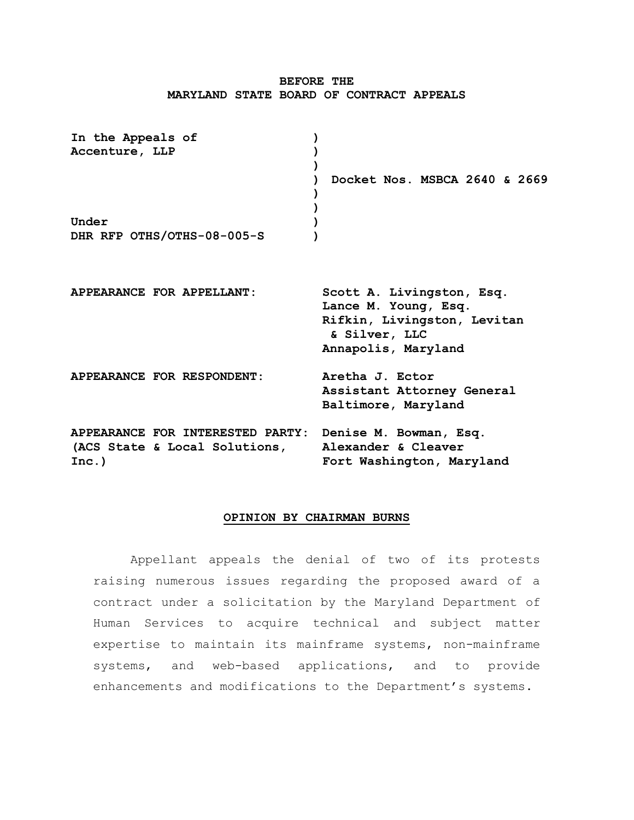# **BEFORE THE MARYLAND STATE BOARD OF CONTRACT APPEALS**

| In the Appeals of<br>Accenture, LLP                                                               |                                                                                                                          |
|---------------------------------------------------------------------------------------------------|--------------------------------------------------------------------------------------------------------------------------|
|                                                                                                   | Docket Nos. MSBCA 2640 & 2669                                                                                            |
| Under<br>DHR RFP OTHS/OTHS-08-005-S                                                               |                                                                                                                          |
|                                                                                                   |                                                                                                                          |
| APPEARANCE FOR APPELLANT:                                                                         | Scott A. Livingston, Esq.<br>Lance M. Young, Esq.<br>Rifkin, Livingston, Levitan<br>& Silver, LLC<br>Annapolis, Maryland |
| APPEARANCE FOR RESPONDENT:                                                                        | Aretha J. Ector<br>Assistant Attorney General<br>Baltimore, Maryland                                                     |
| APPEARANCE FOR INTERESTED PARTY: Denise M. Bowman, Esq.<br>(ACS State & Local Solutions,<br>Inc.) | Alexander & Cleaver<br>Fort Washington, Maryland                                                                         |

### **OPINION BY CHAIRMAN BURNS**

Appellant appeals the denial of two of its protests raising numerous issues regarding the proposed award of a contract under a solicitation by the Maryland Department of Human Services to acquire technical and subject matter expertise to maintain its mainframe systems, non-mainframe systems, and web-based applications, and to provide enhancements and modifications to the Department's systems.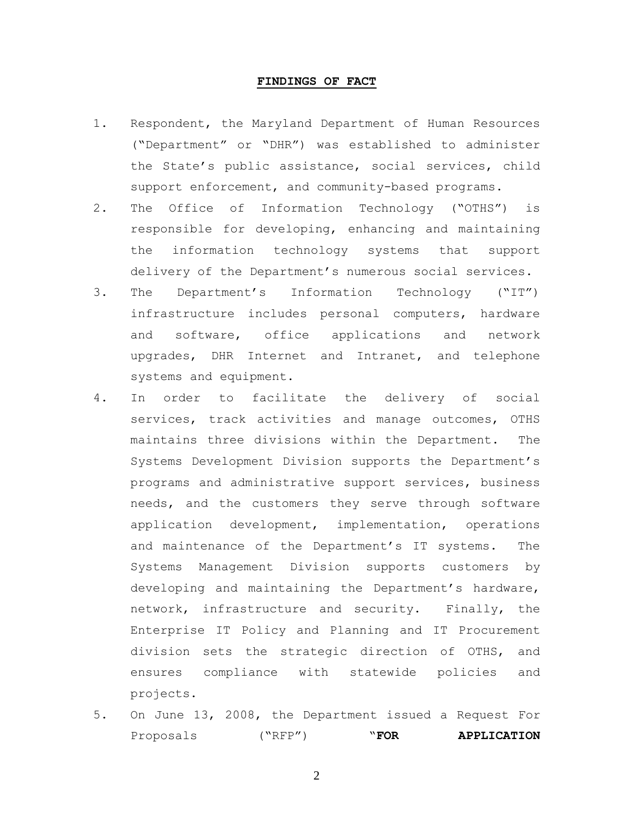#### **FINDINGS OF FACT**

- 1. Respondent, the Maryland Department of Human Resources ("Department" or "DHR") was established to administer the State's public assistance, social services, child support enforcement, and community-based programs.
- 2. The Office of Information Technology ("OTHS") is responsible for developing, enhancing and maintaining the information technology systems that support delivery of the Department's numerous social services.
- 3. The Department's Information Technology ("IT") infrastructure includes personal computers, hardware and software, office applications and network upgrades, DHR Internet and Intranet, and telephone systems and equipment.
- 4. In order to facilitate the delivery of social services, track activities and manage outcomes, OTHS maintains three divisions within the Department. The Systems Development Division supports the Department's programs and administrative support services, business needs, and the customers they serve through software application development, implementation, operations and maintenance of the Department's IT systems. The Systems Management Division supports customers by developing and maintaining the Department's hardware, network, infrastructure and security. Finally, the Enterprise IT Policy and Planning and IT Procurement division sets the strategic direction of OTHS, and ensures compliance with statewide policies and projects.
- 5. On June 13, 2008, the Department issued a Request For Proposals ("RFP") "**FOR APPLICATION**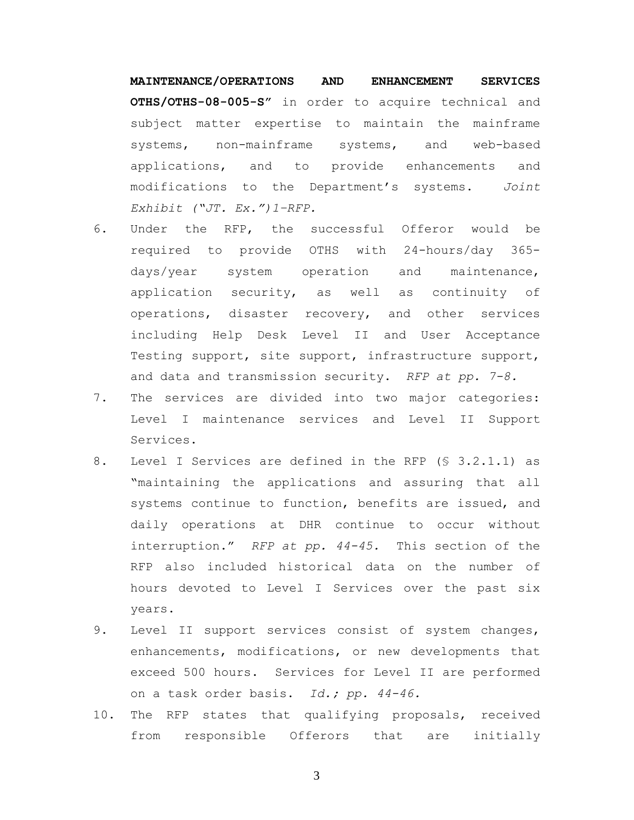**MAINTENANCE/OPERATIONS AND ENHANCEMENT SERVICES OTHS/OTHS-08-005-S"** in order to acquire technical and subject matter expertise to maintain the mainframe systems, non-mainframe systems, and web-based applications, and to provide enhancements and modifications to the Department's systems. *Joint Exhibit ("JT. Ex.")1–RFP.* 

- 6. Under the RFP, the successful Offeror would be required to provide OTHS with 24-hours/day 365 days/year system operation and maintenance, application security, as well as continuity of operations, disaster recovery, and other services including Help Desk Level II and User Acceptance Testing support, site support, infrastructure support, and data and transmission security. *RFP at pp. 7-8.*
- 7. The services are divided into two major categories: Level I maintenance services and Level II Support Services.
- 8. Level I Services are defined in the RFP (§ 3.2.1.1) as "maintaining the applications and assuring that all systems continue to function, benefits are issued, and daily operations at DHR continue to occur without interruption." *RFP at pp. 44-45.* This section of the RFP also included historical data on the number of hours devoted to Level I Services over the past six years.
- 9. Level II support services consist of system changes, enhancements, modifications, or new developments that exceed 500 hours. Services for Level II are performed on a task order basis. *Id.; pp. 44-46.*
- 10. The RFP states that qualifying proposals, received from responsible Offerors that are initially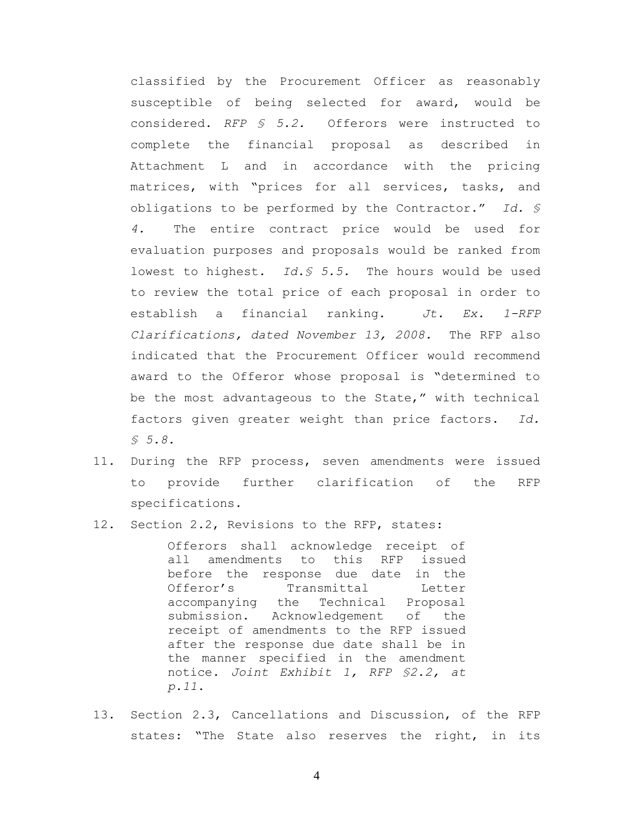classified by the Procurement Officer as reasonably susceptible of being selected for award, would be considered. *RFP § 5.2.* Offerors were instructed to complete the financial proposal as described in Attachment L and in accordance with the pricing matrices, with "prices for all services, tasks, and obligations to be performed by the Contractor." *Id. § 4.* The entire contract price would be used for evaluation purposes and proposals would be ranked from lowest to highest. *Id.§ 5.5.* The hours would be used to review the total price of each proposal in order to establish a financial ranking. *Jt. Ex. 1-RFP Clarifications, dated November 13, 2008.* The RFP also indicated that the Procurement Officer would recommend award to the Offeror whose proposal is "determined to be the most advantageous to the State," with technical factors given greater weight than price factors. *Id. § 5.8.*

- 11. During the RFP process, seven amendments were issued to provide further clarification of the RFP specifications.
- 12. Section 2.2, Revisions to the RFP, states:

Offerors shall acknowledge receipt of all amendments to this RFP issued before the response due date in the Offeror's Transmittal Letter accompanying the Technical Proposal submission. Acknowledgement of the receipt of amendments to the RFP issued after the response due date shall be in the manner specified in the amendment notice. *Joint Exhibit 1, RFP §2.2, at p.11*.

13. Section 2.3, Cancellations and Discussion, of the RFP states: "The State also reserves the right, in its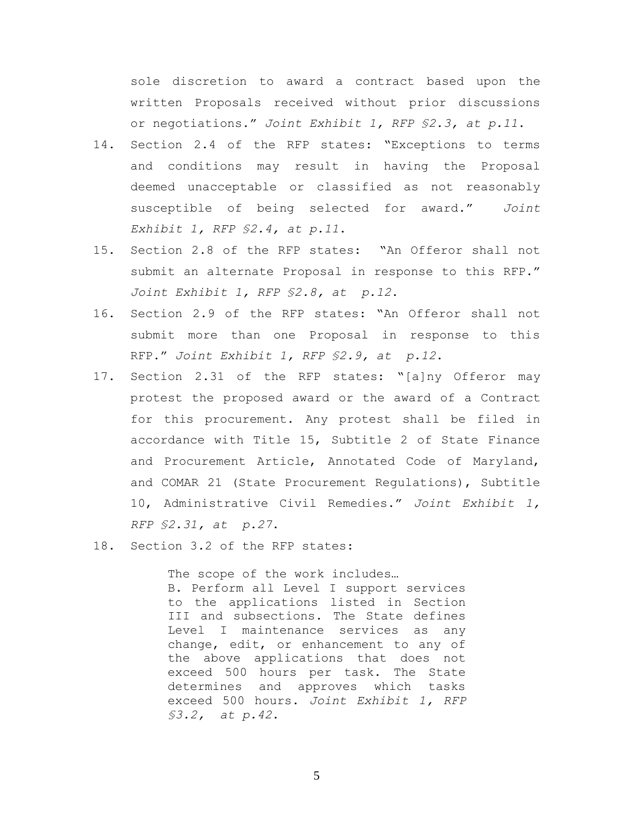sole discretion to award a contract based upon the written Proposals received without prior discussions or negotiations." *Joint Exhibit 1, RFP §2.3, at p.11*.

- 14. Section 2.4 of the RFP states: "Exceptions to terms and conditions may result in having the Proposal deemed unacceptable or classified as not reasonably susceptible of being selected for award." *Joint Exhibit 1, RFP §2.4, at p.11*.
- 15. Section 2.8 of the RFP states: "An Offeror shall not submit an alternate Proposal in response to this RFP." *Joint Exhibit 1, RFP §2.8, at p.12*.
- 16. Section 2.9 of the RFP states: "An Offeror shall not submit more than one Proposal in response to this RFP." *Joint Exhibit 1, RFP §2.9, at p.12*.
- 17. Section 2.31 of the RFP states: "[a]ny Offeror may protest the proposed award or the award of a Contract for this procurement. Any protest shall be filed in accordance with Title 15, Subtitle 2 of State Finance and Procurement Article, Annotated Code of Maryland, and COMAR 21 (State Procurement Regulations), Subtitle 10, Administrative Civil Remedies." *Joint Exhibit 1, RFP §2.31, at p.27*.
- 18. Section 3.2 of the RFP states:

The scope of the work includes… B. Perform all Level I support services to the applications listed in Section III and subsections. The State defines Level I maintenance services as any change, edit, or enhancement to any of the above applications that does not exceed 500 hours per task. The State determines and approves which tasks exceed 500 hours. *Joint Exhibit 1, RFP §3.2, at p.42*.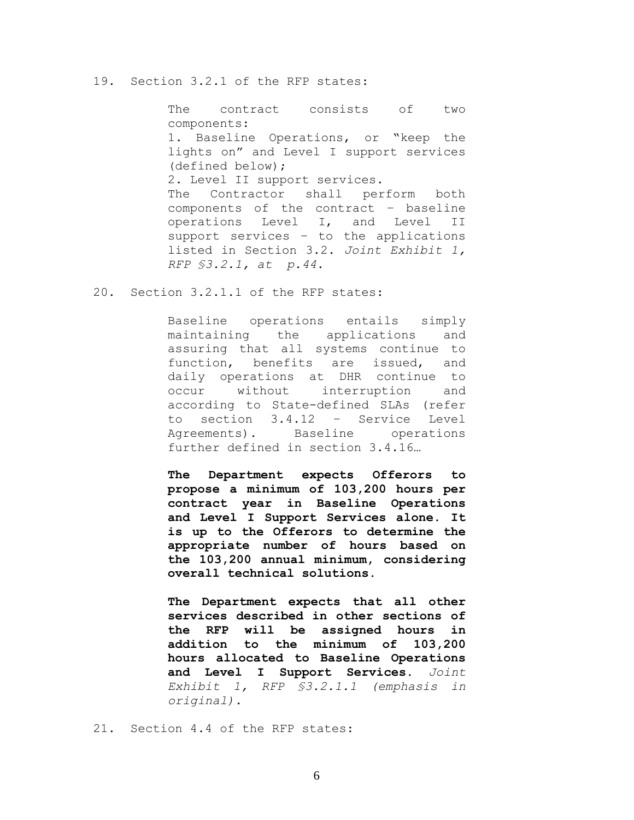## 19. Section 3.2.1 of the RFP states:

The contract consists of two components: 1. Baseline Operations, or "keep the lights on" and Level I support services (defined below); 2. Level II support services. The Contractor shall perform both components of the contract – baseline operations Level I, and Level II support services – to the applications listed in Section 3.2. *Joint Exhibit 1, RFP §3.2.1, at p.44*.

20. Section 3.2.1.1 of the RFP states:

Baseline operations entails simply maintaining the applications and assuring that all systems continue to function, benefits are issued, and daily operations at DHR continue to occur without interruption and according to State-defined SLAs (refer to section 3.4.12 – Service Level Agreements). Baseline operations further defined in section 3.4.16…

**The Department expects Offerors to propose a minimum of 103,200 hours per contract year in Baseline Operations and Level I Support Services alone. It is up to the Offerors to determine the appropriate number of hours based on the 103,200 annual minimum, considering overall technical solutions.**

**The Department expects that all other services described in other sections of the RFP will be assigned hours in addition to the minimum of 103,200 hours allocated to Baseline Operations and Level I Support Services.** *Joint Exhibit 1, RFP §3.2.1.1 (emphasis in original).*

21. Section 4.4 of the RFP states: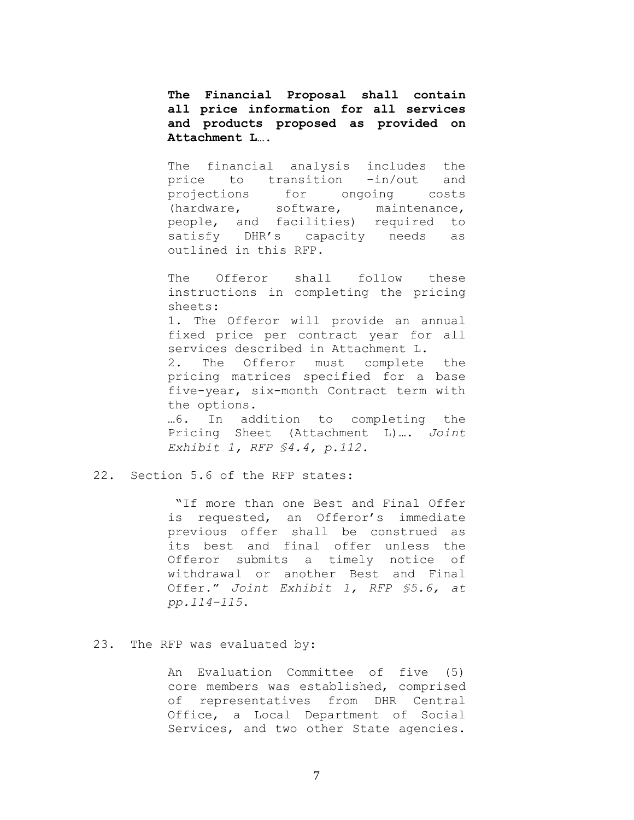**The Financial Proposal shall contain all price information for all services and products proposed as provided on Attachment L….**

The financial analysis includes the price to transition –in/out and projections for ongoing costs (hardware, software, maintenance, people, and facilities) required to satisfy DHR's capacity needs as outlined in this RFP.

The Offeror shall follow these instructions in completing the pricing sheets: 1. The Offeror will provide an annual fixed price per contract year for all services described in Attachment L. 2. The Offeror must complete the pricing matrices specified for a base five-year, six-month Contract term with the options. …6. In addition to completing the Pricing Sheet (Attachment L)…**.** *Joint Exhibit 1, RFP §4.4, p.112.*

### 22. Section 5.6 of the RFP states:

"If more than one Best and Final Offer is requested, an Offeror's immediate previous offer shall be construed as its best and final offer unless the Offeror submits a timely notice of withdrawal or another Best and Final Offer." *Joint Exhibit 1, RFP §5.6, at pp.114-115*.

### 23. The RFP was evaluated by:

An Evaluation Committee of five (5) core members was established, comprised of representatives from DHR Central Office, a Local Department of Social Services, and two other State agencies.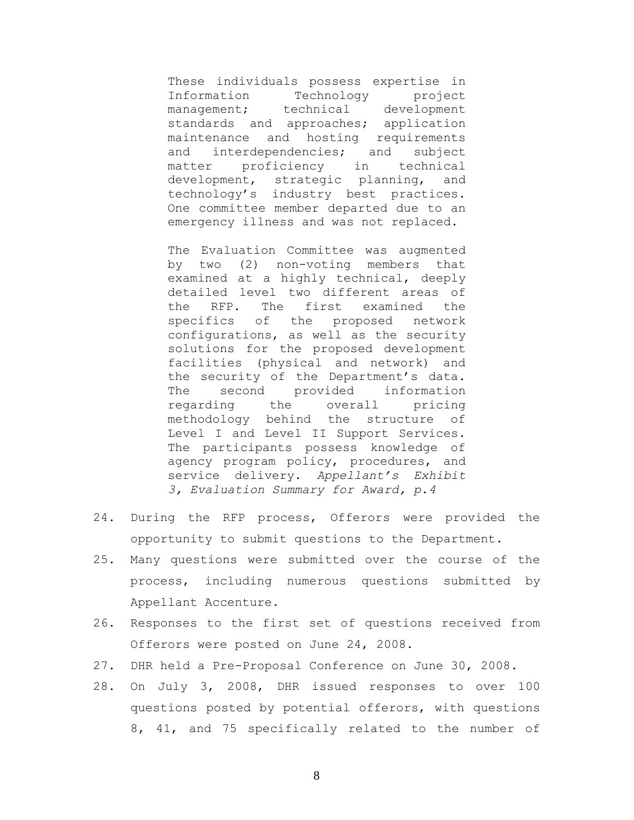These individuals possess expertise in Information Technology project management; technical development standards and approaches; application maintenance and hosting requirements and interdependencies; and subject matter proficiency in technical development, strategic planning, and technology's industry best practices. One committee member departed due to an emergency illness and was not replaced.

The Evaluation Committee was augmented by two (2) non-voting members that examined at a highly technical, deeply detailed level two different areas of the RFP. The first examined the specifics of the proposed network configurations, as well as the security solutions for the proposed development facilities (physical and network) and the security of the Department's data. The second provided information regarding the overall pricing methodology behind the structure of Level I and Level II Support Services. The participants possess knowledge of agency program policy, procedures, and service delivery. *Appellant's Exhibit 3, Evaluation Summary for Award, p.4*

- 24. During the RFP process, Offerors were provided the opportunity to submit questions to the Department.
- 25. Many questions were submitted over the course of the process, including numerous questions submitted by Appellant Accenture.
- 26. Responses to the first set of questions received from Offerors were posted on June 24, 2008.
- 27. DHR held a Pre-Proposal Conference on June 30, 2008.
- 28. On July 3, 2008, DHR issued responses to over 100 questions posted by potential offerors, with questions 8, 41, and 75 specifically related to the number of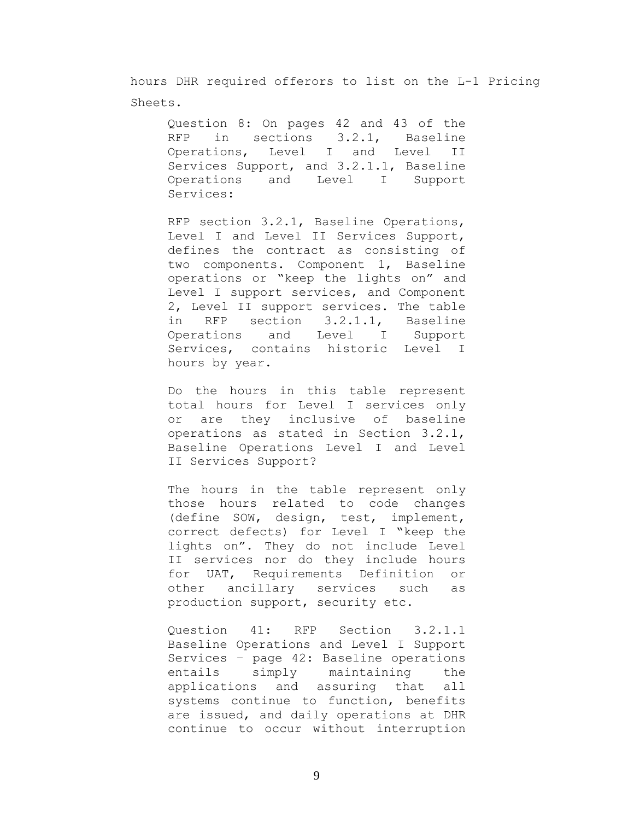hours DHR required offerors to list on the L-1 Pricing Sheets.

Question 8: On pages 42 and 43 of the RFP in sections 3.2.1, Baseline Operations, Level I and Level II Services Support, and 3.2.1.1, Baseline Operations and Level I Support Services:

RFP section 3.2.1, Baseline Operations, Level I and Level II Services Support, defines the contract as consisting of two components. Component 1, Baseline operations or "keep the lights on" and Level I support services, and Component 2, Level II support services. The table in RFP section 3.2.1.1, Baseline Operations and Level I Support Services, contains historic Level I hours by year.

Do the hours in this table represent total hours for Level I services only or are they inclusive of baseline operations as stated in Section 3.2.1, Baseline Operations Level I and Level II Services Support?

The hours in the table represent only those hours related to code changes (define SOW, design, test, implement, correct defects) for Level I "keep the lights on". They do not include Level II services nor do they include hours for UAT, Requirements Definition or other ancillary services such as production support, security etc.

Question 41: RFP Section 3.2.1.1 Baseline Operations and Level I Support Services – page 42: Baseline operations entails simply maintaining the applications and assuring that all systems continue to function, benefits are issued, and daily operations at DHR continue to occur without interruption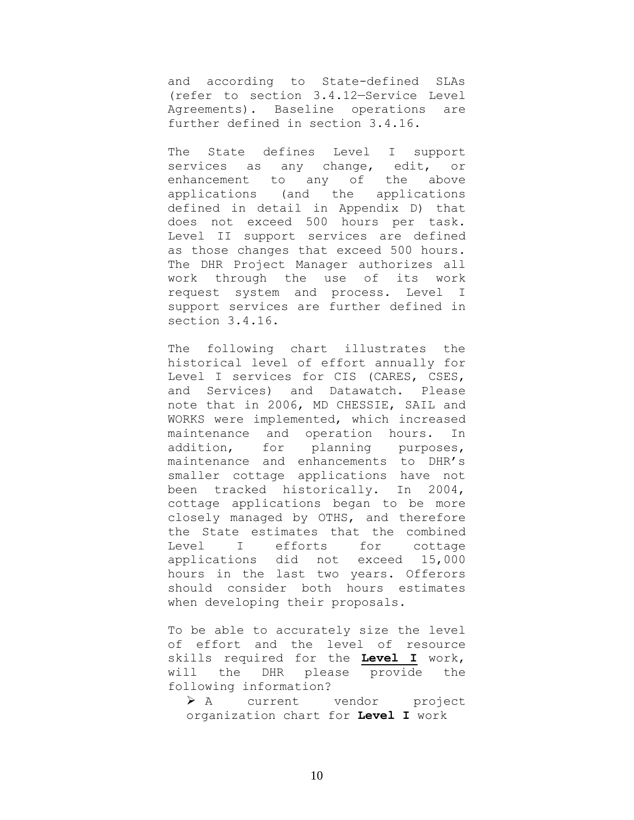and according to State-defined SLAs (refer to section 3.4.12—Service Level Agreements). Baseline operations are further defined in section 3.4.16.

The State defines Level I support services as any change, edit, or enhancement to any of the above applications (and the applications defined in detail in Appendix D) that does not exceed 500 hours per task. Level II support services are defined as those changes that exceed 500 hours. The DHR Project Manager authorizes all work through the use of its work request system and process. Level I support services are further defined in section 3.4.16.

The following chart illustrates the historical level of effort annually for Level I services for CIS (CARES, CSES, and Services) and Datawatch. Please note that in 2006, MD CHESSIE, SAIL and WORKS were implemented, which increased maintenance and operation hours. In addition, for planning purposes, maintenance and enhancements to DHR's smaller cottage applications have not been tracked historically. In 2004, cottage applications began to be more closely managed by OTHS, and therefore the State estimates that the combined Level I efforts for cottage applications did not exceed 15,000 hours in the last two years. Offerors should consider both hours estimates when developing their proposals.

To be able to accurately size the level of effort and the level of resource skills required for the **Level I** work, will the DHR please provide the following information?

 A current vendor project organization chart for **Level I** work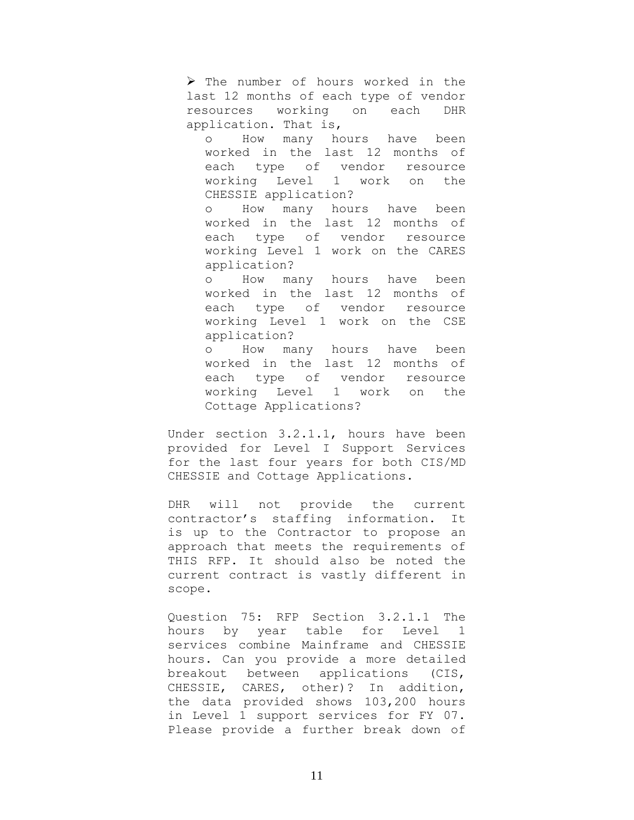$\triangleright$  The number of hours worked in the last 12 months of each type of vendor resources working on each DHR application. That is,

o How many hours have been worked in the last 12 months of each type of vendor resource working Level 1 work on the CHESSIE application?

o How many hours have been worked in the last 12 months of each type of vendor resource working Level 1 work on the CARES application?

o How many hours have been worked in the last 12 months of each type of vendor resource working Level 1 work on the CSE application?

o How many hours have been worked in the last 12 months of each type of vendor resource working Level 1 work on the Cottage Applications?

Under section 3.2.1.1, hours have been provided for Level I Support Services for the last four years for both CIS/MD CHESSIE and Cottage Applications.

DHR will not provide the current contractor's staffing information. It is up to the Contractor to propose an approach that meets the requirements of THIS RFP. It should also be noted the current contract is vastly different in scope.

Question 75: RFP Section 3.2.1.1 The hours by year table for Level 1 services combine Mainframe and CHESSIE hours. Can you provide a more detailed breakout between applications (CIS, CHESSIE, CARES, other)? In addition, the data provided shows 103,200 hours in Level 1 support services for FY 07. Please provide a further break down of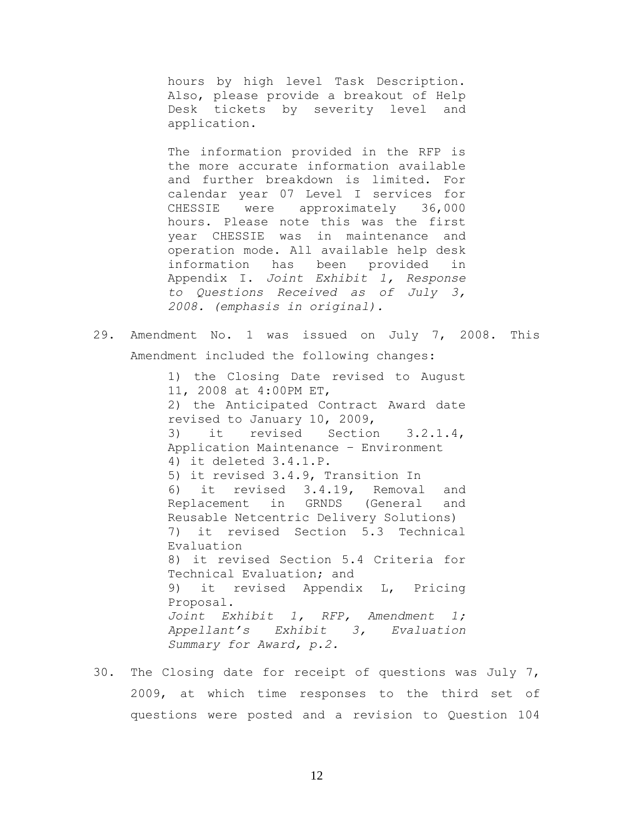hours by high level Task Description. Also, please provide a breakout of Help Desk tickets by severity level and application.

The information provided in the RFP is the more accurate information available and further breakdown is limited. For calendar year 07 Level I services for CHESSIE were approximately 36,000 hours. Please note this was the first year CHESSIE was in maintenance and operation mode. All available help desk information has been provided in Appendix I. *Joint Exhibit 1, Response to Questions Received as of July 3, 2008. (emphasis in original).*

29. Amendment No. 1 was issued on July 7, 2008. This Amendment included the following changes:

> 1) the Closing Date revised to August 11, 2008 at 4:00PM ET, 2) the Anticipated Contract Award date revised to January 10, 2009, 3) it revised Section 3.2.1.4, Application Maintenance – Environment 4) it deleted 3.4.1.P. 5) it revised 3.4.9, Transition In 6) it revised 3.4.19, Removal and Replacement in GRNDS (General and Reusable Netcentric Delivery Solutions) 7) it revised Section 5.3 Technical Evaluation 8) it revised Section 5.4 Criteria for Technical Evaluation; and 9) it revised Appendix L, Pricing Proposal. *Joint Exhibit 1, RFP, Amendment 1; Appellant's Exhibit 3, Evaluation Summary for Award, p.2.*

30. The Closing date for receipt of questions was July 7, 2009, at which time responses to the third set of questions were posted and a revision to Question 104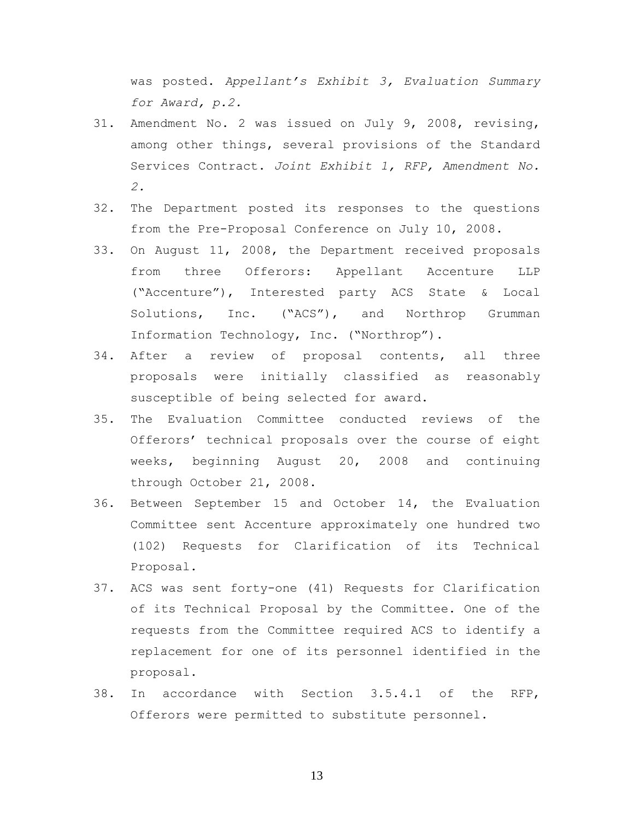was posted. *Appellant's Exhibit 3, Evaluation Summary for Award, p.2.*

- 31. Amendment No. 2 was issued on July 9, 2008, revising, among other things, several provisions of the Standard Services Contract. *Joint Exhibit 1, RFP, Amendment No. 2.*
- 32. The Department posted its responses to the questions from the Pre-Proposal Conference on July 10, 2008.
- 33. On August 11, 2008, the Department received proposals from three Offerors: Appellant Accenture LLP ("Accenture"), Interested party ACS State & Local Solutions, Inc. ("ACS"), and Northrop Grumman Information Technology, Inc. ("Northrop").
- 34. After a review of proposal contents, all three proposals were initially classified as reasonably susceptible of being selected for award.
- 35. The Evaluation Committee conducted reviews of the Offerors' technical proposals over the course of eight weeks, beginning August 20, 2008 and continuing through October 21, 2008.
- 36. Between September 15 and October 14, the Evaluation Committee sent Accenture approximately one hundred two (102) Requests for Clarification of its Technical Proposal.
- 37. ACS was sent forty-one (41) Requests for Clarification of its Technical Proposal by the Committee. One of the requests from the Committee required ACS to identify a replacement for one of its personnel identified in the proposal.
- 38. In accordance with Section 3.5.4.1 of the RFP, Offerors were permitted to substitute personnel.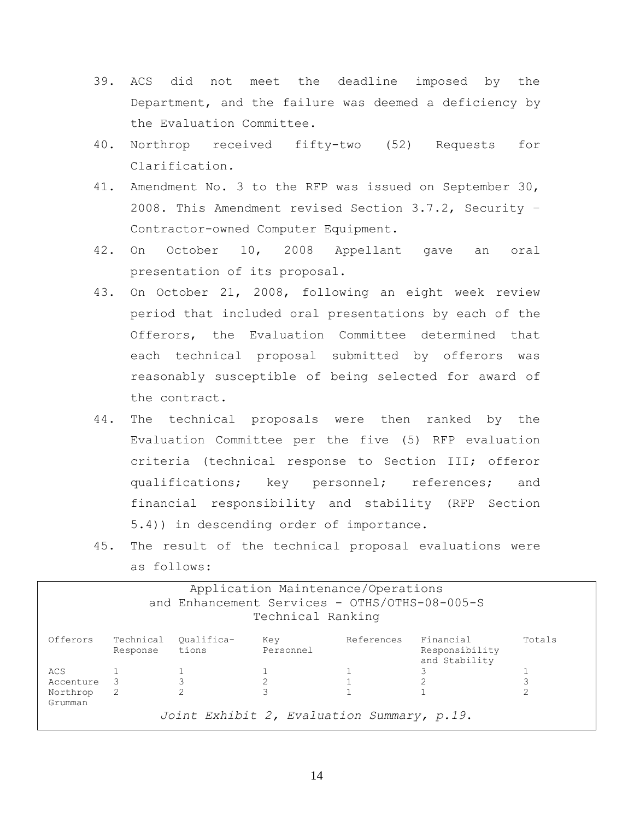- 39. ACS did not meet the deadline imposed by the Department, and the failure was deemed a deficiency by the Evaluation Committee.
- 40. Northrop received fifty-two (52) Requests for Clarification*.*
- 41. Amendment No. 3 to the RFP was issued on September 30, 2008. This Amendment revised Section 3.7.2, Security – Contractor-owned Computer Equipment.
- 42. On October 10, 2008 Appellant gave an oral presentation of its proposal.
- 43. On October 21, 2008, following an eight week review period that included oral presentations by each of the Offerors, the Evaluation Committee determined that each technical proposal submitted by offerors was reasonably susceptible of being selected for award of the contract.
- 44. The technical proposals were then ranked by the Evaluation Committee per the five (5) RFP evaluation criteria (technical response to Section III; offeror qualifications; key personnel; references; and financial responsibility and stability (RFP Section 5.4)) in descending order of importance.
- 45. The result of the technical proposal evaluations were as follows:

| Application Maintenance/Operations<br>and Enhancement Services - OTHS/OTHS-08-005-S<br>Technical Ranking |                       |                     |                  |            |                                              |        |
|----------------------------------------------------------------------------------------------------------|-----------------------|---------------------|------------------|------------|----------------------------------------------|--------|
| Offerors                                                                                                 | Technical<br>Response | Oualifica-<br>tions | Kev<br>Personnel | References | Financial<br>Responsibility<br>and Stability | Totals |
| ACS                                                                                                      |                       |                     |                  |            |                                              |        |
| Accenture                                                                                                | -3                    |                     |                  |            |                                              |        |
| Northrop<br>Grumman                                                                                      | -2                    | 2                   |                  |            |                                              |        |
| Joint Exhibit 2, Evaluation Summary, p.19.                                                               |                       |                     |                  |            |                                              |        |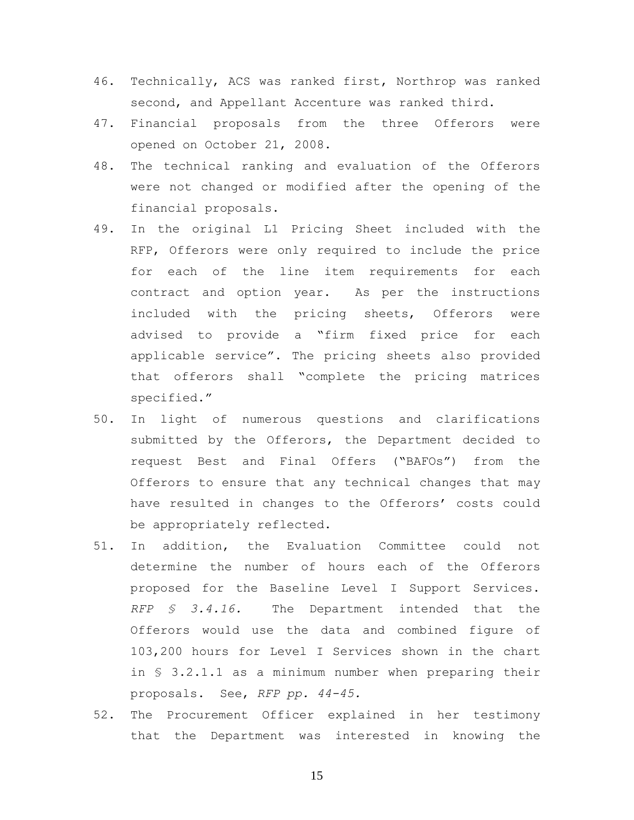- 46. Technically, ACS was ranked first, Northrop was ranked second, and Appellant Accenture was ranked third.
- 47. Financial proposals from the three Offerors were opened on October 21, 2008.
- 48. The technical ranking and evaluation of the Offerors were not changed or modified after the opening of the financial proposals.
- 49. In the original L1 Pricing Sheet included with the RFP, Offerors were only required to include the price for each of the line item requirements for each contract and option year. As per the instructions included with the pricing sheets, Offerors were advised to provide a "firm fixed price for each applicable service". The pricing sheets also provided that offerors shall "complete the pricing matrices specified."
- 50. In light of numerous questions and clarifications submitted by the Offerors, the Department decided to request Best and Final Offers ("BAFOs") from the Offerors to ensure that any technical changes that may have resulted in changes to the Offerors' costs could be appropriately reflected.
- 51. In addition, the Evaluation Committee could not determine the number of hours each of the Offerors proposed for the Baseline Level I Support Services. *RFP § 3.4.16.* The Department intended that the Offerors would use the data and combined figure of 103,200 hours for Level I Services shown in the chart in § 3.2.1.1 as a minimum number when preparing their proposals. See, *RFP pp. 44-45.*
- 52. The Procurement Officer explained in her testimony that the Department was interested in knowing the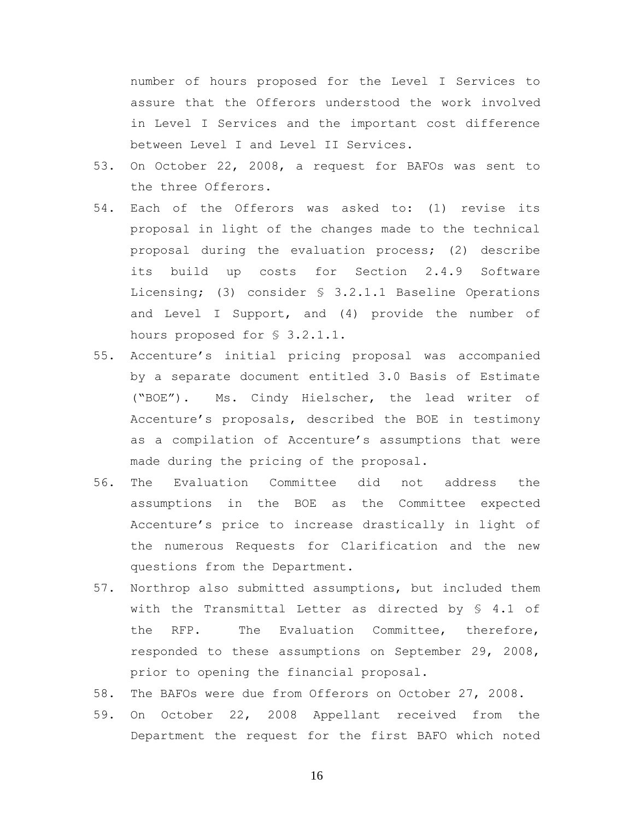number of hours proposed for the Level I Services to assure that the Offerors understood the work involved in Level I Services and the important cost difference between Level I and Level II Services.

- 53. On October 22, 2008, a request for BAFOs was sent to the three Offerors.
- 54. Each of the Offerors was asked to: (1) revise its proposal in light of the changes made to the technical proposal during the evaluation process; (2) describe its build up costs for Section 2.4.9 Software Licensing; (3) consider § 3.2.1.1 Baseline Operations and Level I Support, and (4) provide the number of hours proposed for § 3.2.1.1.
- 55. Accenture's initial pricing proposal was accompanied by a separate document entitled 3.0 Basis of Estimate ("BOE"). Ms. Cindy Hielscher, the lead writer of Accenture's proposals, described the BOE in testimony as a compilation of Accenture's assumptions that were made during the pricing of the proposal.
- 56. The Evaluation Committee did not address the assumptions in the BOE as the Committee expected Accenture's price to increase drastically in light of the numerous Requests for Clarification and the new questions from the Department.
- 57. Northrop also submitted assumptions, but included them with the Transmittal Letter as directed by § 4.1 of the RFP. The Evaluation Committee, therefore, responded to these assumptions on September 29, 2008, prior to opening the financial proposal.
- 58. The BAFOs were due from Offerors on October 27, 2008.
- 59. On October 22, 2008 Appellant received from the Department the request for the first BAFO which noted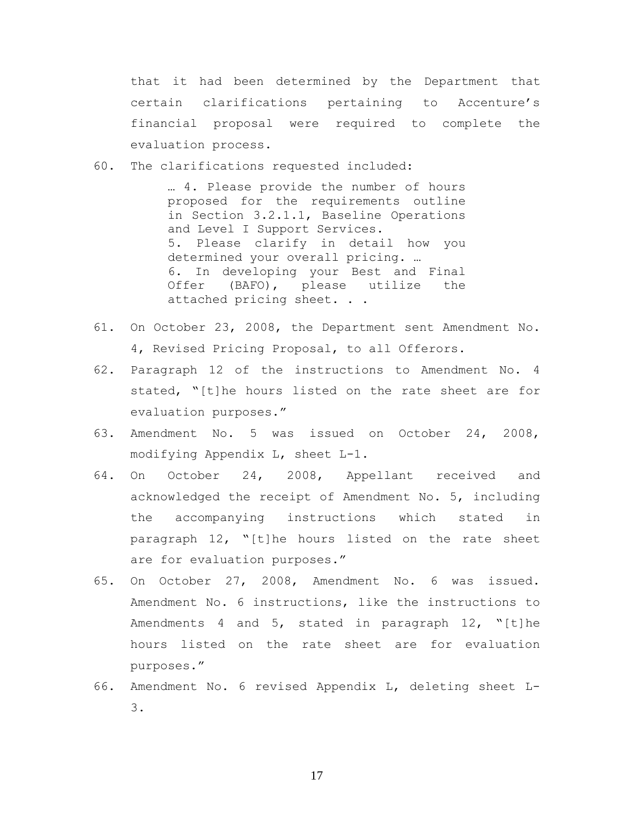that it had been determined by the Department that certain clarifications pertaining to Accenture's financial proposal were required to complete the evaluation process.

60. The clarifications requested included:

… 4. Please provide the number of hours proposed for the requirements outline in Section 3.2.1.1, Baseline Operations and Level I Support Services. 5. Please clarify in detail how you determined your overall pricing. … 6. In developing your Best and Final Offer (BAFO), please utilize the attached pricing sheet. . .

- 61. On October 23, 2008, the Department sent Amendment No. 4, Revised Pricing Proposal, to all Offerors.
- 62. Paragraph 12 of the instructions to Amendment No. 4 stated, "[t]he hours listed on the rate sheet are for evaluation purposes."
- 63. Amendment No. 5 was issued on October 24, 2008, modifying Appendix L, sheet L-1.
- 64. On October 24, 2008, Appellant received and acknowledged the receipt of Amendment No. 5, including the accompanying instructions which stated in paragraph 12, "[t]he hours listed on the rate sheet are for evaluation purposes."
- 65. On October 27, 2008, Amendment No. 6 was issued. Amendment No. 6 instructions, like the instructions to Amendments 4 and 5, stated in paragraph 12, "[t]he hours listed on the rate sheet are for evaluation purposes."
- 66. Amendment No. 6 revised Appendix L, deleting sheet L-3.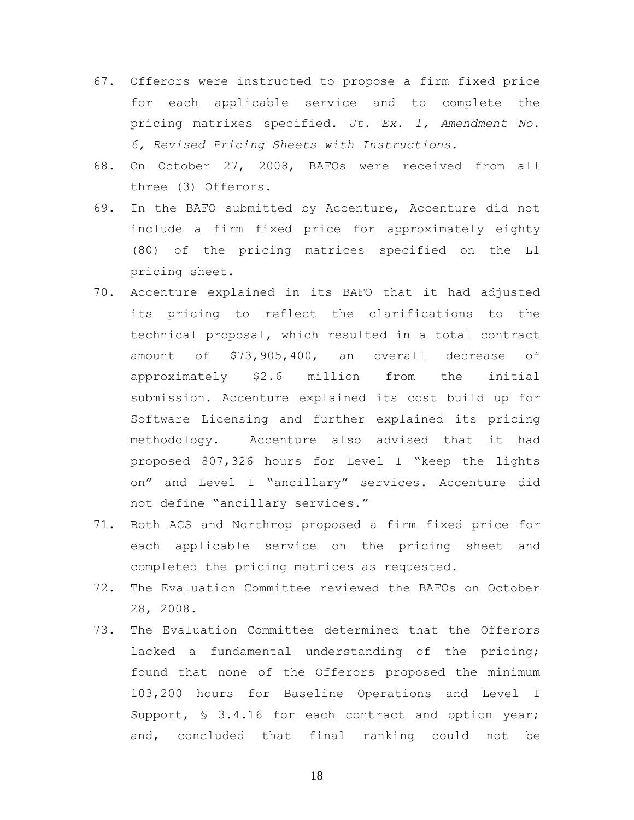- 67. Offerors were instructed to propose a firm fixed price for each applicable service and to complete the pricing matrixes specified. *Jt. Ex. 1, Amendment No. 6, Revised Pricing Sheets with Instructions.*
- 68. On October 27, 2008, BAFOs were received from all three (3) Offerors.
- 69. In the BAFO submitted by Accenture, Accenture did not include a firm fixed price for approximately eighty (80) of the pricing matrices specified on the L1 pricing sheet.
- 70. Accenture explained in its BAFO that it had adjusted its pricing to reflect the clarifications to the technical proposal, which resulted in a total contract amount of \$73,905,400, an overall decrease of approximately \$2.6 million from the initial submission. Accenture explained its cost build up for Software Licensing and further explained its pricing methodology. Accenture also advised that it had proposed 807,326 hours for Level I "keep the lights on" and Level I "ancillary" services. Accenture did not define "ancillary services."
- 71. Both ACS and Northrop proposed a firm fixed price for each applicable service on the pricing sheet and completed the pricing matrices as requested.
- 72. The Evaluation Committee reviewed the BAFOs on October 28, 2008.
- 73. The Evaluation Committee determined that the Offerors lacked a fundamental understanding of the pricing; found that none of the Offerors proposed the minimum 103,200 hours for Baseline Operations and Level I Support,  $\frac{1}{5}$  3.4.16 for each contract and option year; and, concluded that final ranking could not be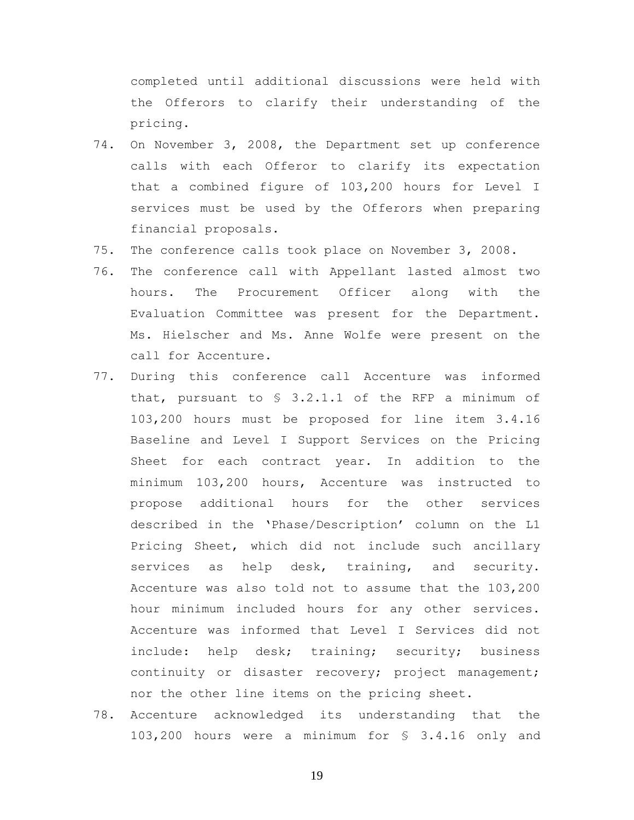completed until additional discussions were held with the Offerors to clarify their understanding of the pricing.

- 74. On November 3, 2008, the Department set up conference calls with each Offeror to clarify its expectation that a combined figure of 103,200 hours for Level I services must be used by the Offerors when preparing financial proposals.
- 75. The conference calls took place on November 3, 2008.
- 76. The conference call with Appellant lasted almost two hours. The Procurement Officer along with the Evaluation Committee was present for the Department. Ms. Hielscher and Ms. Anne Wolfe were present on the call for Accenture.
- 77. During this conference call Accenture was informed that, pursuant to § 3.2.1.1 of the RFP a minimum of 103,200 hours must be proposed for line item 3.4.16 Baseline and Level I Support Services on the Pricing Sheet for each contract year. In addition to the minimum 103,200 hours, Accenture was instructed to propose additional hours for the other services described in the 'Phase/Description' column on the L1 Pricing Sheet, which did not include such ancillary services as help desk, training, and security. Accenture was also told not to assume that the 103,200 hour minimum included hours for any other services. Accenture was informed that Level I Services did not include: help desk; training; security; business continuity or disaster recovery; project management; nor the other line items on the pricing sheet.
- 78. Accenture acknowledged its understanding that the 103,200 hours were a minimum for § 3.4.16 only and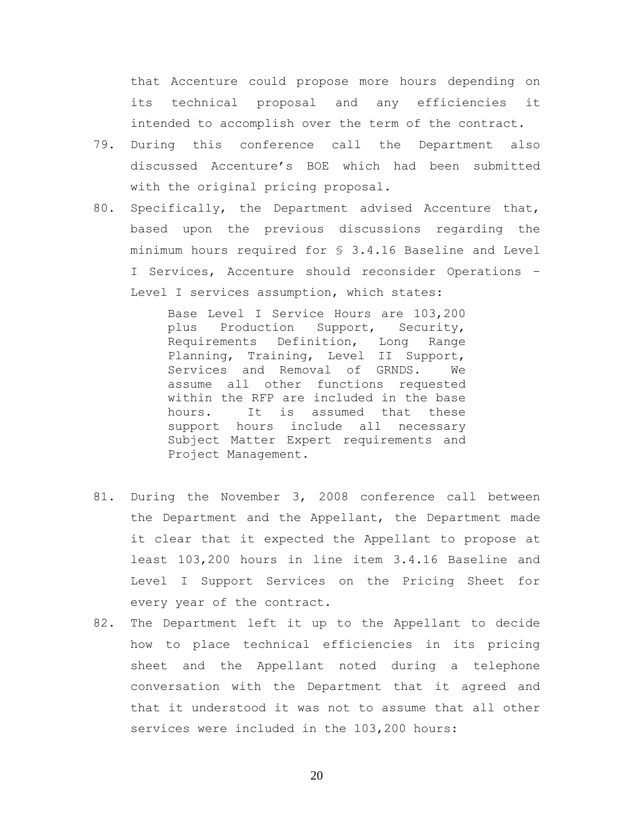that Accenture could propose more hours depending on its technical proposal and any efficiencies it intended to accomplish over the term of the contract.

- 79. During this conference call the Department also discussed Accenture's BOE which had been submitted with the original pricing proposal.
- 80. Specifically, the Department advised Accenture that, based upon the previous discussions regarding the minimum hours required for § 3.4.16 Baseline and Level I Services, Accenture should reconsider Operations – Level I services assumption, which states:

Base Level I Service Hours are 103,200 plus Production Support, Security, Requirements Definition, Long Range Planning, Training, Level II Support, Services and Removal of GRNDS. We assume all other functions requested within the RFP are included in the base hours. It is assumed that these support hours include all necessary Subject Matter Expert requirements and Project Management.

- 81. During the November 3, 2008 conference call between the Department and the Appellant, the Department made it clear that it expected the Appellant to propose at least 103,200 hours in line item 3.4.16 Baseline and Level I Support Services on the Pricing Sheet for every year of the contract.
- 82. The Department left it up to the Appellant to decide how to place technical efficiencies in its pricing sheet and the Appellant noted during a telephone conversation with the Department that it agreed and that it understood it was not to assume that all other services were included in the 103,200 hours: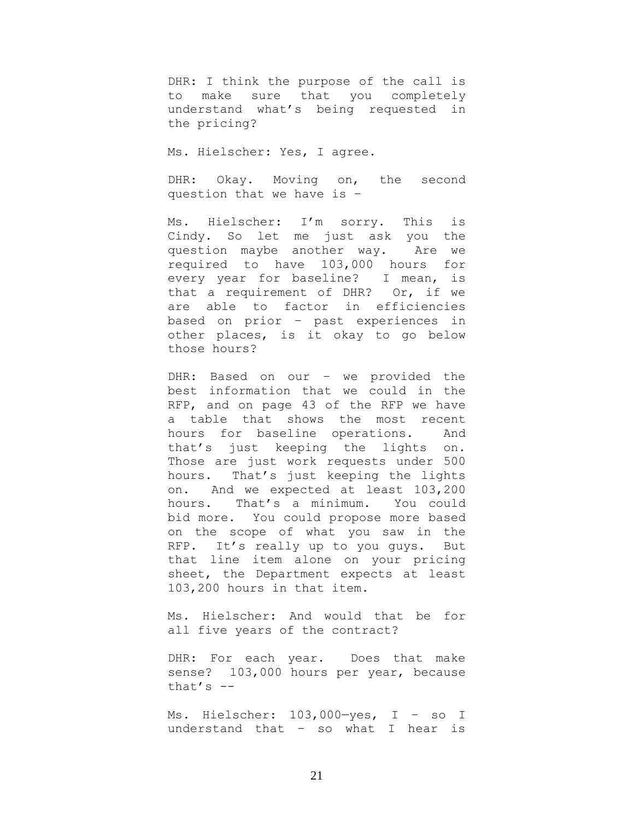DHR: I think the purpose of the call is to make sure that you completely understand what's being requested in the pricing?

Ms. Hielscher: Yes, I agree.

DHR: Okay. Moving on, the second question that we have is –

Ms. Hielscher: I'm sorry. This is Cindy. So let me just ask you the question maybe another way. Are we required to have 103,000 hours for every year for baseline? I mean, is that a requirement of DHR? Or, if we are able to factor in efficiencies based on prior – past experiences in other places, is it okay to go below those hours?

DHR: Based on our – we provided the best information that we could in the RFP, and on page 43 of the RFP we have a table that shows the most recent hours for baseline operations. And that's just keeping the lights on. Those are just work requests under 500 hours. That's just keeping the lights on. And we expected at least 103,200 hours. That's a minimum. You could bid more. You could propose more based on the scope of what you saw in the RFP. It's really up to you guys. But that line item alone on your pricing sheet, the Department expects at least 103,200 hours in that item.

Ms. Hielscher: And would that be for all five years of the contract?

DHR: For each year. Does that make sense? 103,000 hours per year, because that's  $-$ 

Ms. Hielscher: 103,000—yes, I – so I understand that – so what I hear is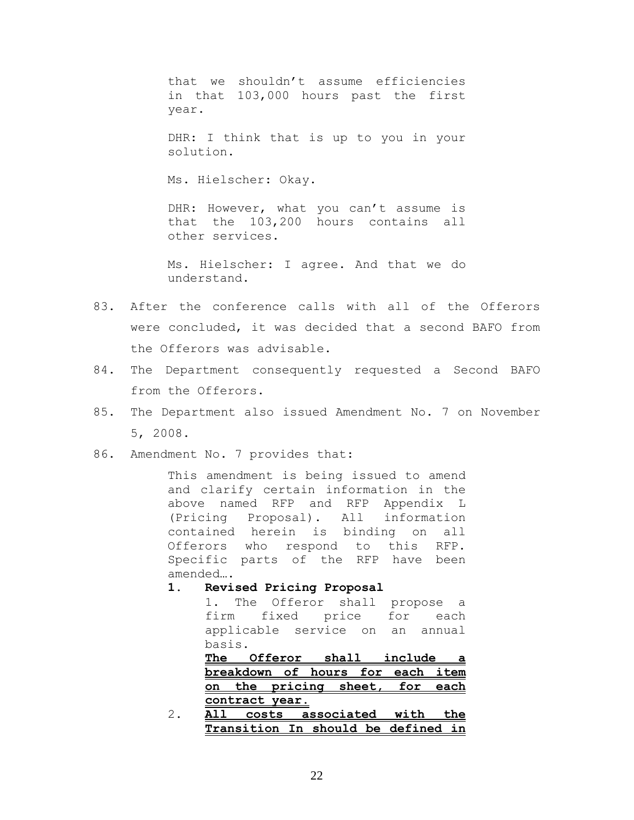that we shouldn't assume efficiencies in that 103,000 hours past the first year.

DHR: I think that is up to you in your solution.

Ms. Hielscher: Okay.

DHR: However, what you can't assume is that the 103,200 hours contains all other services.

Ms. Hielscher: I agree. And that we do understand.

- 83. After the conference calls with all of the Offerors were concluded, it was decided that a second BAFO from the Offerors was advisable.
- 84. The Department consequently requested a Second BAFO from the Offerors.
- 85. The Department also issued Amendment No. 7 on November 5, 2008.
- 86. Amendment No. 7 provides that:

This amendment is being issued to amend and clarify certain information in the above named RFP and RFP Appendix L (Pricing Proposal). All information contained herein is binding on all Offerors who respond to this RFP. Specific parts of the RFP have been amended….

**1. Revised Pricing Proposal**

1. The Offeror shall propose a firm fixed price for each applicable service on an annual basis.

**The Offeror shall include a breakdown of hours for each item on the pricing sheet, for each contract year.**

2. **All costs associated with the Transition In should be defined in**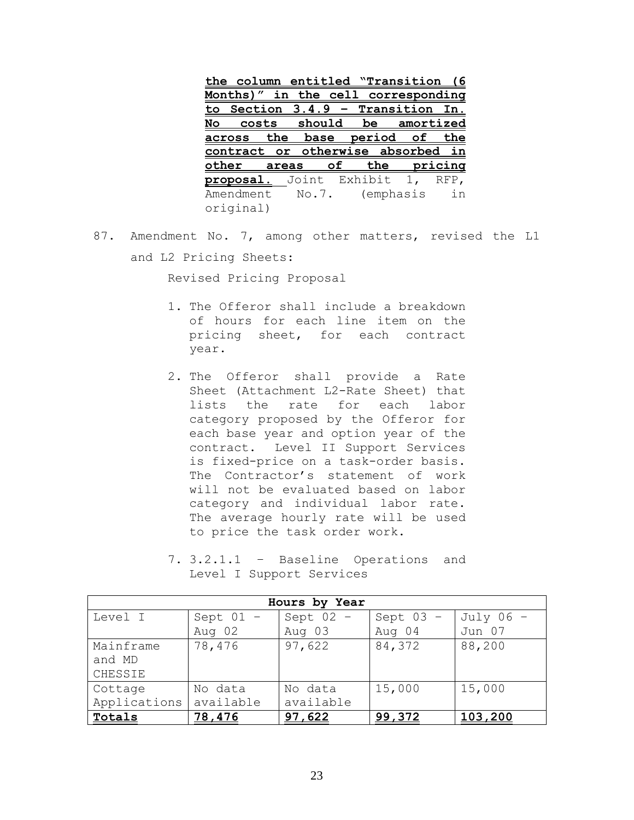| the column entitled "Transition   |       |                    |              |           |               | 6)      |
|-----------------------------------|-------|--------------------|--------------|-----------|---------------|---------|
| Months)"                          | in    | the cell           |              |           | corresponding |         |
| Section 3.4.9<br><u>to</u>        |       |                    | - Transition |           |               | In.     |
| No                                |       | costs should       |              |           | be amortized  |         |
| across                            |       | the base period of |              |           |               | the     |
|                                   |       |                    |              |           |               |         |
| contract or otherwise absorbed    |       |                    |              |           |               | in      |
| other                             | areas | <u>of</u>          |              | the       |               | pricing |
| <b>proposal.</b> Joint Exhibit 1, |       |                    |              |           |               | RFP.    |
| Amendment                         |       | No.7.              |              | (emphasis |               | in      |

87. Amendment No. 7, among other matters, revised the L1 and L2 Pricing Sheets:

Revised Pricing Proposal

- 1. The Offeror shall include a breakdown of hours for each line item on the pricing sheet, for each contract year.
- 2. The Offeror shall provide a Rate Sheet (Attachment L2-Rate Sheet) that lists the rate for each labor category proposed by the Offeror for each base year and option year of the contract. Level II Support Services is fixed-price on a task-order basis. The Contractor's statement of work will not be evaluated based on labor category and individual labor rate. The average hourly rate will be used to price the task order work.

| Hours by Year |             |             |             |             |  |
|---------------|-------------|-------------|-------------|-------------|--|
| Level I       | Sept $01 -$ | Sept $02 -$ | Sept $03 -$ | July $06 -$ |  |
|               | Aug 02      | Aug 03      | Aug 04      | Jun 07      |  |
| Mainframe     | 78,476      | 97,622      | 84,372      | 88,200      |  |
| and MD        |             |             |             |             |  |
| CHESSIE       |             |             |             |             |  |
| Cottage       | No data     | No data     | 15,000      | 15,000      |  |
| Applications  | available   | available   |             |             |  |
| Totals        | 78,476      | 97,622      | 99,372      | 103,200     |  |

7. 3.2.1.1 – Baseline Operations and Level I Support Services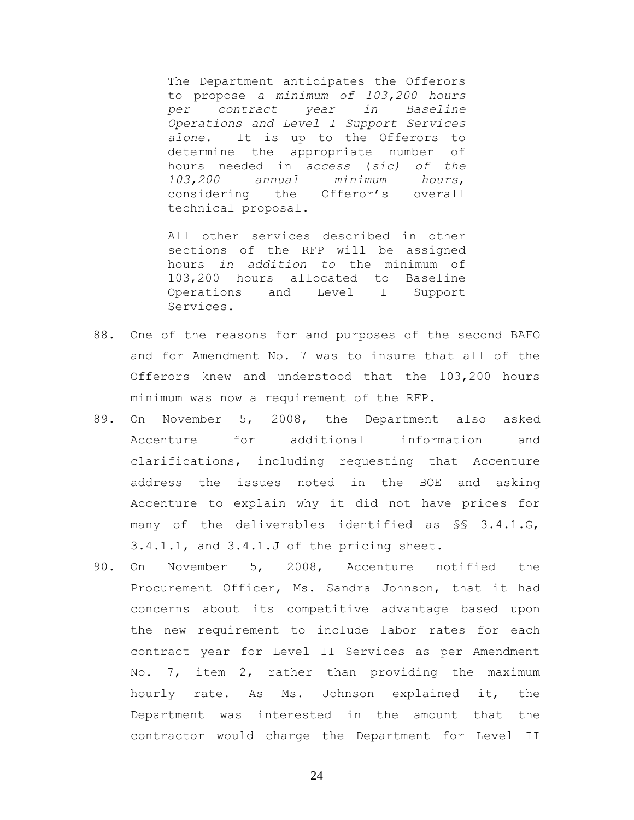The Department anticipates the Offerors to propose *a minimum of 103,200 hours per contract year in Baseline Operations and Level I Support Services alone.* It is up to the Offerors to determine the appropriate number of hours needed in *access* (*sic) of the 103,200 annual minimum hours*, considering the Offeror's overall technical proposal.

All other services described in other sections of the RFP will be assigned hours *in addition to* the minimum of 103,200 hours allocated to Baseline Operations and Level I Support Services.

- 88. One of the reasons for and purposes of the second BAFO and for Amendment No. 7 was to insure that all of the Offerors knew and understood that the 103,200 hours minimum was now a requirement of the RFP.
- 89. On November 5, 2008, the Department also asked Accenture for additional information and clarifications, including requesting that Accenture address the issues noted in the BOE and asking Accenture to explain why it did not have prices for many of the deliverables identified as §§ 3.4.1.G, 3.4.1.1, and 3.4.1.J of the pricing sheet.
- 90. On November 5, 2008, Accenture notified the Procurement Officer, Ms. Sandra Johnson, that it had concerns about its competitive advantage based upon the new requirement to include labor rates for each contract year for Level II Services as per Amendment No. 7, item 2, rather than providing the maximum hourly rate. As Ms. Johnson explained it, the Department was interested in the amount that the contractor would charge the Department for Level II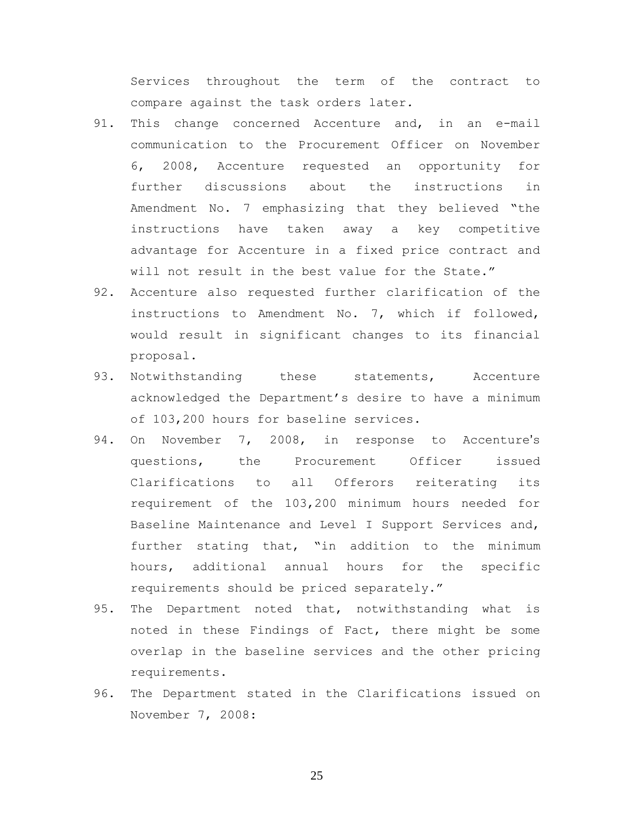Services throughout the term of the contract to compare against the task orders later*.*

- 91. This change concerned Accenture and, in an e-mail communication to the Procurement Officer on November 6, 2008, Accenture requested an opportunity for further discussions about the instructions in Amendment No. 7 emphasizing that they believed "the instructions have taken away a key competitive advantage for Accenture in a fixed price contract and will not result in the best value for the State."
- 92. Accenture also requested further clarification of the instructions to Amendment No. 7, which if followed, would result in significant changes to its financial proposal.
- 93. Notwithstanding these statements, Accenture acknowledged the Department's desire to have a minimum of 103,200 hours for baseline services.
- 94. On November 7, 2008, in response to Accenture's questions, the Procurement Officer issued Clarifications to all Offerors reiterating its requirement of the 103,200 minimum hours needed for Baseline Maintenance and Level I Support Services and, further stating that, "in addition to the minimum hours, additional annual hours for the specific requirements should be priced separately."
- 95. The Department noted that, notwithstanding what is noted in these Findings of Fact, there might be some overlap in the baseline services and the other pricing requirements.
- 96. The Department stated in the Clarifications issued on November 7, 2008: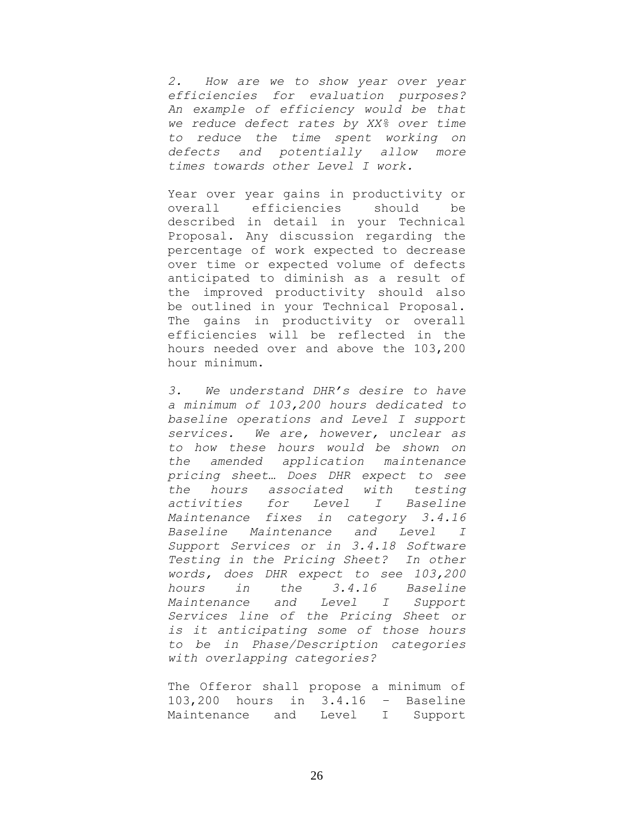*2. How are we to show year over year efficiencies for evaluation purposes? An example of efficiency would be that we reduce defect rates by XX% over time to reduce the time spent working on defects and potentially allow more times towards other Level I work.*

Year over year gains in productivity or overall efficiencies should be described in detail in your Technical Proposal. Any discussion regarding the percentage of work expected to decrease over time or expected volume of defects anticipated to diminish as a result of the improved productivity should also be outlined in your Technical Proposal. The gains in productivity or overall efficiencies will be reflected in the hours needed over and above the 103,200 hour minimum.

*3. We understand DHR's desire to have a minimum of 103,200 hours dedicated to baseline operations and Level I support services. We are, however, unclear as to how these hours would be shown on the amended application maintenance pricing sheet… Does DHR expect to see the hours associated with testing activities for Level I Baseline Maintenance fixes in category 3.4.16 Baseline Maintenance and Level I Support Services or in 3.4.18 Software Testing in the Pricing Sheet? In other words, does DHR expect to see 103,200 hours in the 3.4.16 Baseline Maintenance and Level I Support Services line of the Pricing Sheet or is it anticipating some of those hours to be in Phase/Description categories with overlapping categories?*

The Offeror shall propose a minimum of 103,200 hours in 3.4.16 – Baseline Maintenance and Level I Support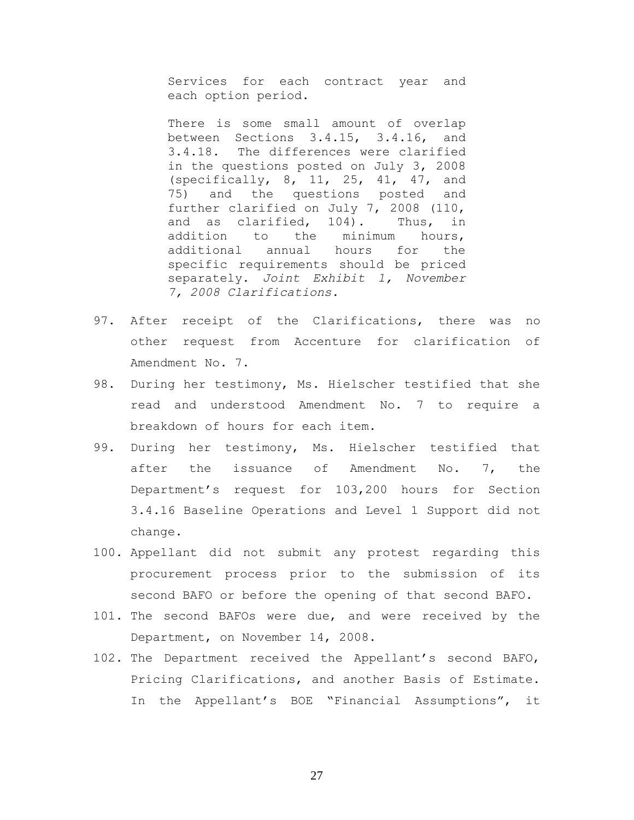Services for each contract year and each option period.

There is some small amount of overlap between Sections 3.4.15, 3.4.16, and 3.4.18. The differences were clarified in the questions posted on July 3, 2008 (specifically, 8, 11, 25, 41, 47, and 75) and the questions posted and further clarified on July 7, 2008 (110, and as clarified, 104). Thus, in addition to the minimum hours, additional annual hours for the specific requirements should be priced separately. *Joint Exhibit 1, November 7, 2008 Clarifications.*

- 97. After receipt of the Clarifications, there was no other request from Accenture for clarification of Amendment No. 7.
- 98. During her testimony, Ms. Hielscher testified that she read and understood Amendment No. 7 to require a breakdown of hours for each item.
- 99. During her testimony, Ms. Hielscher testified that after the issuance of Amendment No. 7, the Department's request for 103,200 hours for Section 3.4.16 Baseline Operations and Level 1 Support did not change.
- 100. Appellant did not submit any protest regarding this procurement process prior to the submission of its second BAFO or before the opening of that second BAFO.
- 101. The second BAFOs were due, and were received by the Department, on November 14, 2008.
- 102. The Department received the Appellant's second BAFO, Pricing Clarifications, and another Basis of Estimate. In the Appellant's BOE "Financial Assumptions", it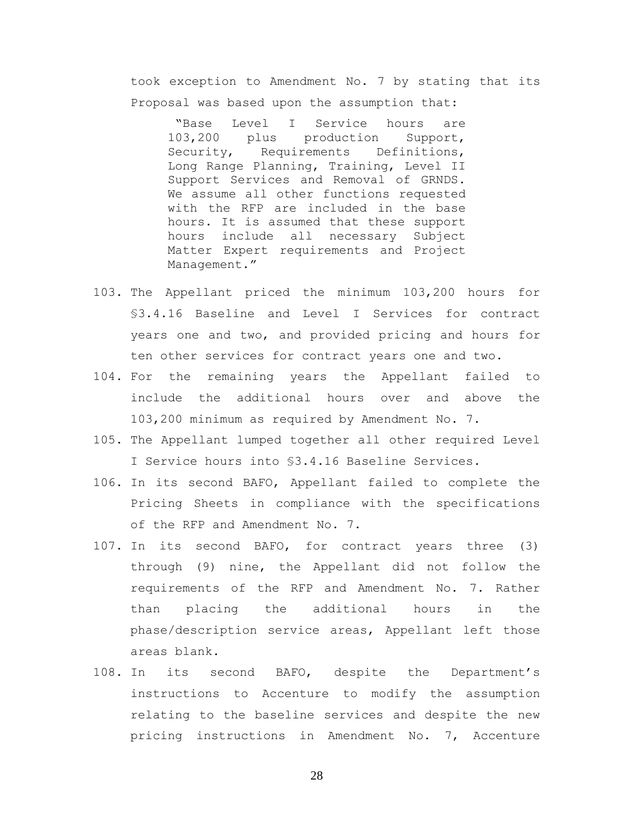took exception to Amendment No. 7 by stating that its Proposal was based upon the assumption that:

"Base Level I Service hours are 103,200 plus production Support, Security, Requirements Definitions, Long Range Planning, Training, Level II Support Services and Removal of GRNDS. We assume all other functions requested with the RFP are included in the base hours. It is assumed that these support hours include all necessary Subject Matter Expert requirements and Project Management."

- 103. The Appellant priced the minimum 103,200 hours for §3.4.16 Baseline and Level I Services for contract years one and two, and provided pricing and hours for ten other services for contract years one and two.
- 104. For the remaining years the Appellant failed to include the additional hours over and above the 103,200 minimum as required by Amendment No. 7.
- 105. The Appellant lumped together all other required Level I Service hours into §3.4.16 Baseline Services*.*
- 106. In its second BAFO, Appellant failed to complete the Pricing Sheets in compliance with the specifications of the RFP and Amendment No. 7.
- 107. In its second BAFO, for contract years three (3) through (9) nine, the Appellant did not follow the requirements of the RFP and Amendment No. 7. Rather than placing the additional hours in the phase/description service areas, Appellant left those areas blank.
- 108. In its second BAFO, despite the Department's instructions to Accenture to modify the assumption relating to the baseline services and despite the new pricing instructions in Amendment No. 7, Accenture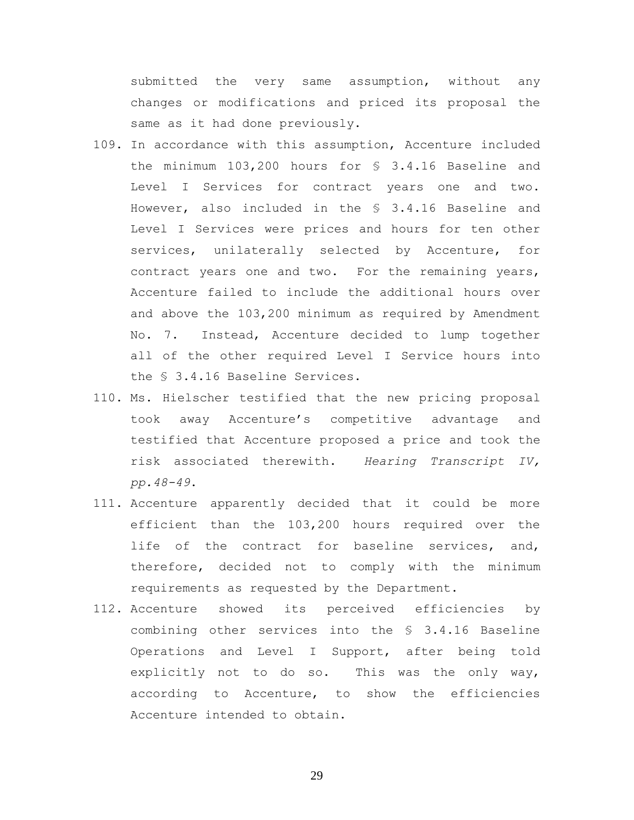submitted the very same assumption, without any changes or modifications and priced its proposal the same as it had done previously.

- 109. In accordance with this assumption, Accenture included the minimum 103,200 hours for § 3.4.16 Baseline and Level I Services for contract years one and two. However, also included in the § 3.4.16 Baseline and Level I Services were prices and hours for ten other services, unilaterally selected by Accenture, for contract years one and two. For the remaining years, Accenture failed to include the additional hours over and above the 103,200 minimum as required by Amendment No. 7. Instead, Accenture decided to lump together all of the other required Level I Service hours into the § 3.4.16 Baseline Services.
- 110. Ms. Hielscher testified that the new pricing proposal took away Accenture's competitive advantage and testified that Accenture proposed a price and took the risk associated therewith. *Hearing Transcript IV, pp.48-49*.
- 111. Accenture apparently decided that it could be more efficient than the 103,200 hours required over the life of the contract for baseline services, and, therefore, decided not to comply with the minimum requirements as requested by the Department.
- 112. Accenture showed its perceived efficiencies by combining other services into the § 3.4.16 Baseline Operations and Level I Support, after being told explicitly not to do so. This was the only way, according to Accenture, to show the efficiencies Accenture intended to obtain.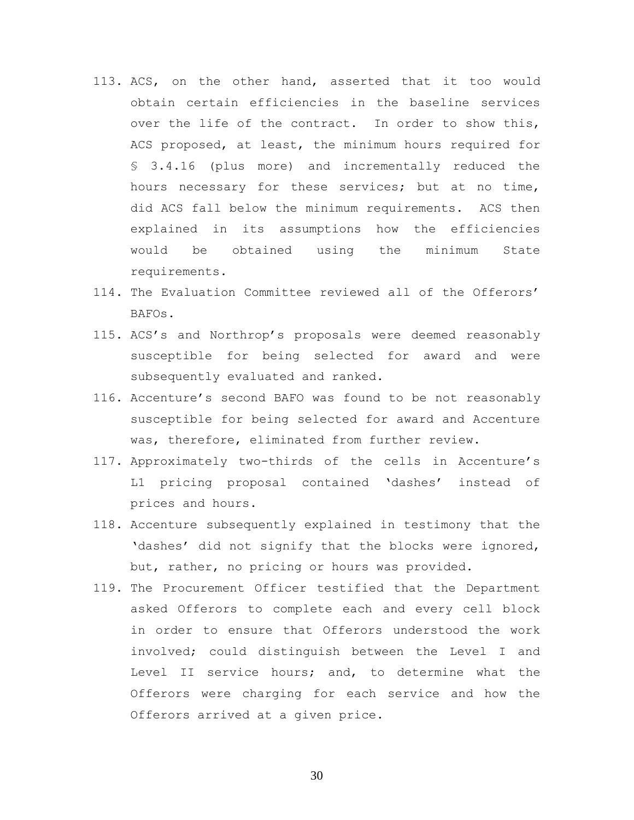- 113. ACS, on the other hand, asserted that it too would obtain certain efficiencies in the baseline services over the life of the contract. In order to show this, ACS proposed, at least, the minimum hours required for § 3.4.16 (plus more) and incrementally reduced the hours necessary for these services; but at no time, did ACS fall below the minimum requirements. ACS then explained in its assumptions how the efficiencies would be obtained using the minimum State requirements.
- 114. The Evaluation Committee reviewed all of the Offerors' BAFOs.
- 115. ACS's and Northrop's proposals were deemed reasonably susceptible for being selected for award and were subsequently evaluated and ranked.
- 116. Accenture's second BAFO was found to be not reasonably susceptible for being selected for award and Accenture was, therefore, eliminated from further review.
- 117. Approximately two-thirds of the cells in Accenture's L1 pricing proposal contained 'dashes' instead of prices and hours.
- 118. Accenture subsequently explained in testimony that the 'dashes' did not signify that the blocks were ignored, but, rather, no pricing or hours was provided.
- 119. The Procurement Officer testified that the Department asked Offerors to complete each and every cell block in order to ensure that Offerors understood the work involved; could distinguish between the Level I and Level II service hours; and, to determine what the Offerors were charging for each service and how the Offerors arrived at a given price.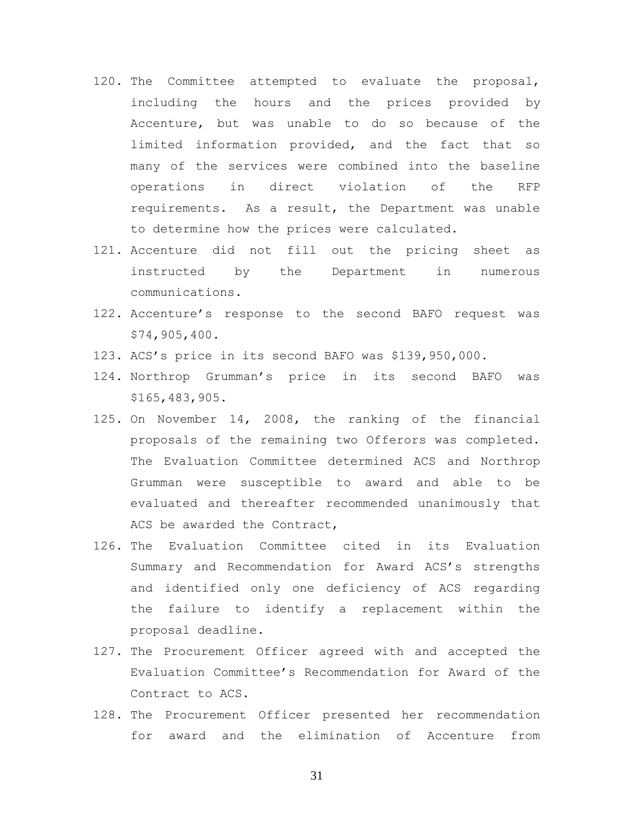- 120. The Committee attempted to evaluate the proposal, including the hours and the prices provided by Accenture, but was unable to do so because of the limited information provided, and the fact that so many of the services were combined into the baseline operations in direct violation of the RFP requirements. As a result, the Department was unable to determine how the prices were calculated.
- 121. Accenture did not fill out the pricing sheet as instructed by the Department in numerous communications.
- 122. Accenture's response to the second BAFO request was \$74,905,400.
- 123. ACS's price in its second BAFO was \$139,950,000.
- 124. Northrop Grumman's price in its second BAFO was \$165,483,905.
- 125. On November 14, 2008, the ranking of the financial proposals of the remaining two Offerors was completed. The Evaluation Committee determined ACS and Northrop Grumman were susceptible to award and able to be evaluated and thereafter recommended unanimously that ACS be awarded the Contract,
- 126. The Evaluation Committee cited in its Evaluation Summary and Recommendation for Award ACS's strengths and identified only one deficiency of ACS regarding the failure to identify a replacement within the proposal deadline.
- 127. The Procurement Officer agreed with and accepted the Evaluation Committee's Recommendation for Award of the Contract to ACS.
- 128. The Procurement Officer presented her recommendation for award and the elimination of Accenture from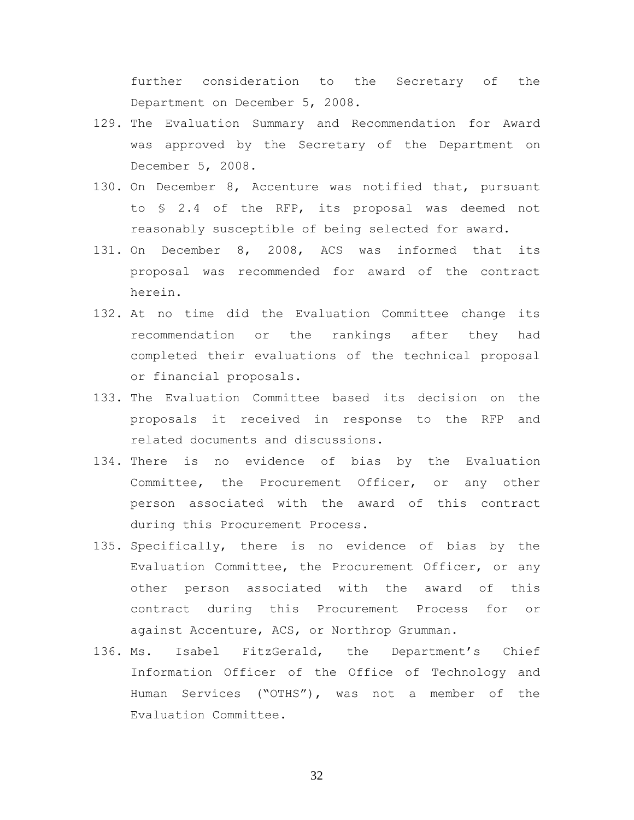further consideration to the Secretary of the Department on December 5, 2008.

- 129. The Evaluation Summary and Recommendation for Award was approved by the Secretary of the Department on December 5, 2008.
- 130. On December 8, Accenture was notified that, pursuant to § 2.4 of the RFP, its proposal was deemed not reasonably susceptible of being selected for award.
- 131. On December 8, 2008, ACS was informed that its proposal was recommended for award of the contract herein.
- 132. At no time did the Evaluation Committee change its recommendation or the rankings after they had completed their evaluations of the technical proposal or financial proposals.
- 133. The Evaluation Committee based its decision on the proposals it received in response to the RFP and related documents and discussions.
- 134. There is no evidence of bias by the Evaluation Committee, the Procurement Officer, or any other person associated with the award of this contract during this Procurement Process.
- 135. Specifically, there is no evidence of bias by the Evaluation Committee, the Procurement Officer, or any other person associated with the award of this contract during this Procurement Process for or against Accenture, ACS, or Northrop Grumman.
- 136. Ms. Isabel FitzGerald, the Department's Chief Information Officer of the Office of Technology and Human Services ("OTHS"), was not a member of the Evaluation Committee.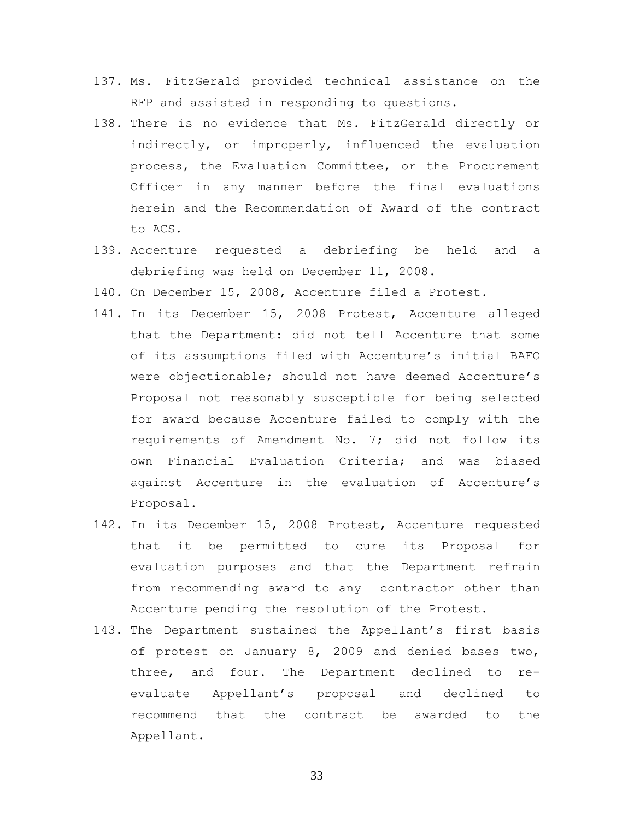- 137. Ms. FitzGerald provided technical assistance on the RFP and assisted in responding to questions.
- 138. There is no evidence that Ms. FitzGerald directly or indirectly, or improperly, influenced the evaluation process, the Evaluation Committee, or the Procurement Officer in any manner before the final evaluations herein and the Recommendation of Award of the contract to ACS.
- 139. Accenture requested a debriefing be held and a debriefing was held on December 11, 2008.
- 140. On December 15, 2008, Accenture filed a Protest.
- 141. In its December 15, 2008 Protest, Accenture alleged that the Department: did not tell Accenture that some of its assumptions filed with Accenture's initial BAFO were objectionable; should not have deemed Accenture's Proposal not reasonably susceptible for being selected for award because Accenture failed to comply with the requirements of Amendment No. 7; did not follow its own Financial Evaluation Criteria; and was biased against Accenture in the evaluation of Accenture's Proposal.
- 142. In its December 15, 2008 Protest, Accenture requested that it be permitted to cure its Proposal for evaluation purposes and that the Department refrain from recommending award to any contractor other than Accenture pending the resolution of the Protest.
- 143. The Department sustained the Appellant's first basis of protest on January 8, 2009 and denied bases two, three, and four. The Department declined to reevaluate Appellant's proposal and declined to recommend that the contract be awarded to the Appellant.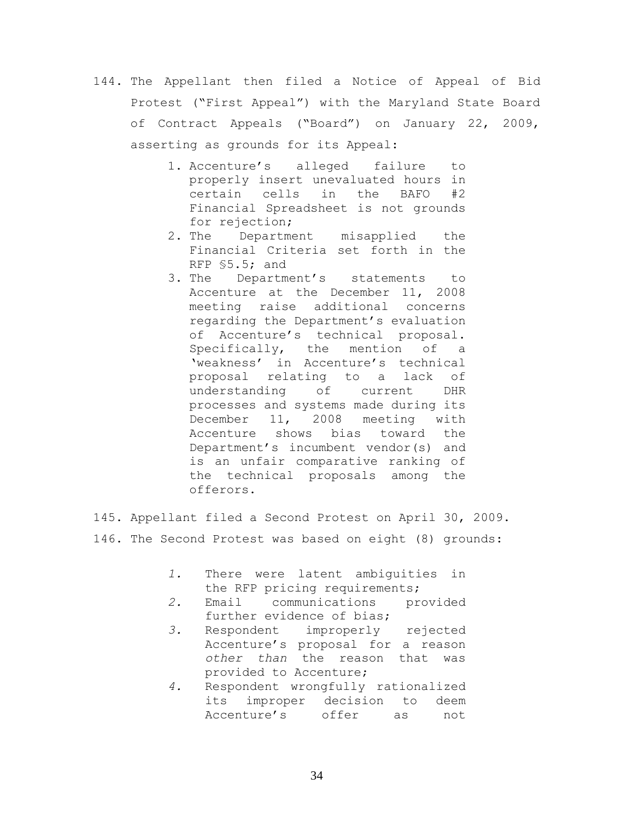- 144. The Appellant then filed a Notice of Appeal of Bid Protest ("First Appeal") with the Maryland State Board of Contract Appeals ("Board") on January 22, 2009, asserting as grounds for its Appeal:
	- 1. Accenture's alleged failure to properly insert unevaluated hours in certain cells in the BAFO #2 Financial Spreadsheet is not grounds for rejection;
	- 2. The Department misapplied the Financial Criteria set forth in the RFP §5.5; and
	- 3. The Department's statements to Accenture at the December 11, 2008 meeting raise additional concerns regarding the Department's evaluation of Accenture's technical proposal. Specifically, the mention of a 'weakness' in Accenture's technical proposal relating to a lack of understanding of current DHR processes and systems made during its December 11, 2008 meeting with Accenture shows bias toward the Department's incumbent vendor(s) and is an unfair comparative ranking of the technical proposals among the offerors.

145. Appellant filed a Second Protest on April 30, 2009. 146. The Second Protest was based on eight (8) grounds:

- *1.* There were latent ambiguities in the RFP pricing requirements;
- *2.* Email communications provided further evidence of bias;
- *3.* Respondent improperly rejected Accenture's proposal for a reason *other than* the reason that was provided to Accenture;
- *4.* Respondent wrongfully rationalized its improper decision to deem Accenture's offer as not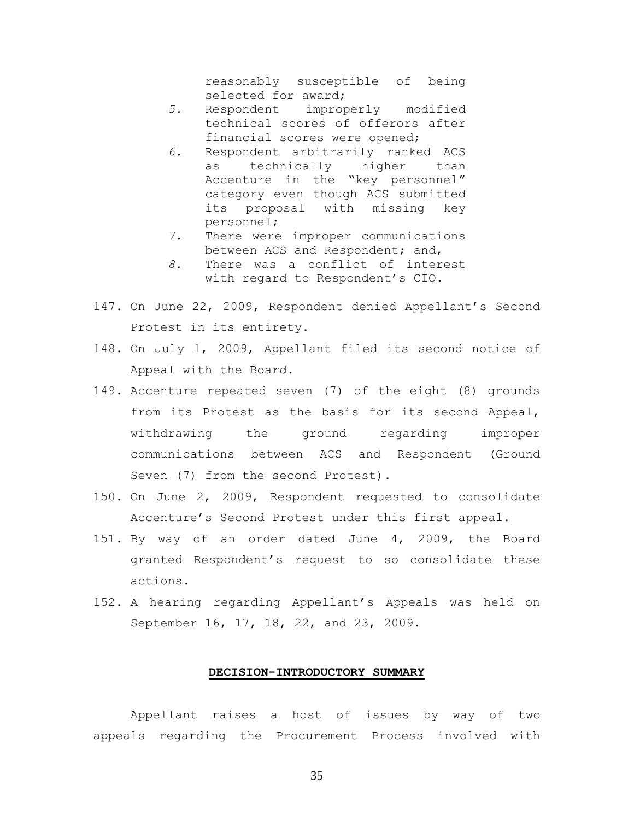reasonably susceptible of being selected for award;

- *5.* Respondent improperly modified technical scores of offerors after financial scores were opened;
- *6.* Respondent arbitrarily ranked ACS as technically higher than Accenture in the "key personnel" category even though ACS submitted its proposal with missing key personnel;
- *7.* There were improper communications between ACS and Respondent; and,
- *8.* There was a conflict of interest with regard to Respondent's CIO.
- 147. On June 22, 2009, Respondent denied Appellant's Second Protest in its entirety.
- 148. On July 1, 2009, Appellant filed its second notice of Appeal with the Board.
- 149. Accenture repeated seven (7) of the eight (8) grounds from its Protest as the basis for its second Appeal, withdrawing the ground regarding improper communications between ACS and Respondent (Ground Seven (7) from the second Protest).
- 150. On June 2, 2009, Respondent requested to consolidate Accenture's Second Protest under this first appeal.
- 151. By way of an order dated June 4, 2009, the Board granted Respondent's request to so consolidate these actions.
- 152. A hearing regarding Appellant's Appeals was held on September 16, 17, 18, 22, and 23, 2009.

### **DECISION-INTRODUCTORY SUMMARY**

Appellant raises a host of issues by way of two appeals regarding the Procurement Process involved with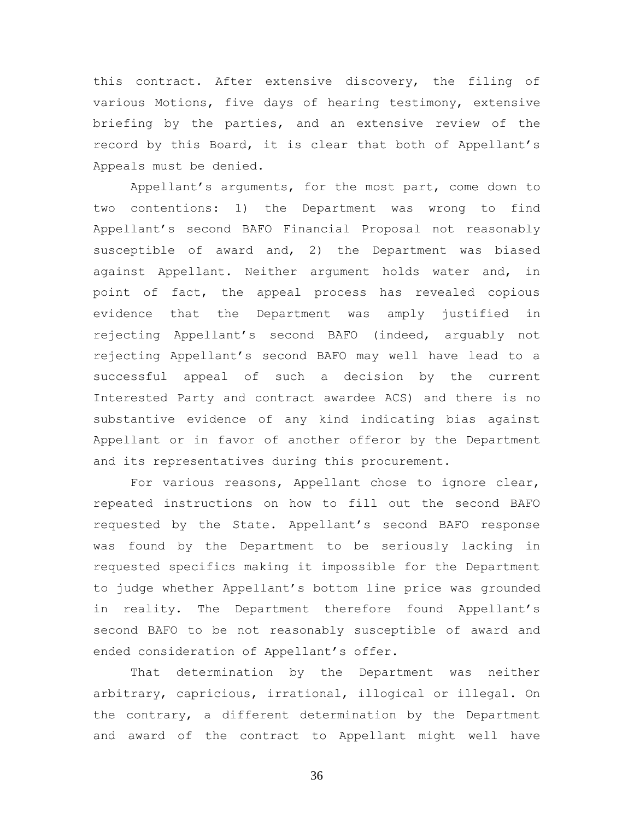this contract. After extensive discovery, the filing of various Motions, five days of hearing testimony, extensive briefing by the parties, and an extensive review of the record by this Board, it is clear that both of Appellant's Appeals must be denied.

Appellant's arguments, for the most part, come down to two contentions: 1) the Department was wrong to find Appellant's second BAFO Financial Proposal not reasonably susceptible of award and, 2) the Department was biased against Appellant. Neither argument holds water and, in point of fact, the appeal process has revealed copious evidence that the Department was amply justified in rejecting Appellant's second BAFO (indeed, arguably not rejecting Appellant's second BAFO may well have lead to a successful appeal of such a decision by the current Interested Party and contract awardee ACS) and there is no substantive evidence of any kind indicating bias against Appellant or in favor of another offeror by the Department and its representatives during this procurement.

For various reasons, Appellant chose to ignore clear, repeated instructions on how to fill out the second BAFO requested by the State. Appellant's second BAFO response was found by the Department to be seriously lacking in requested specifics making it impossible for the Department to judge whether Appellant's bottom line price was grounded in reality. The Department therefore found Appellant's second BAFO to be not reasonably susceptible of award and ended consideration of Appellant's offer.

That determination by the Department was neither arbitrary, capricious, irrational, illogical or illegal. On the contrary, a different determination by the Department and award of the contract to Appellant might well have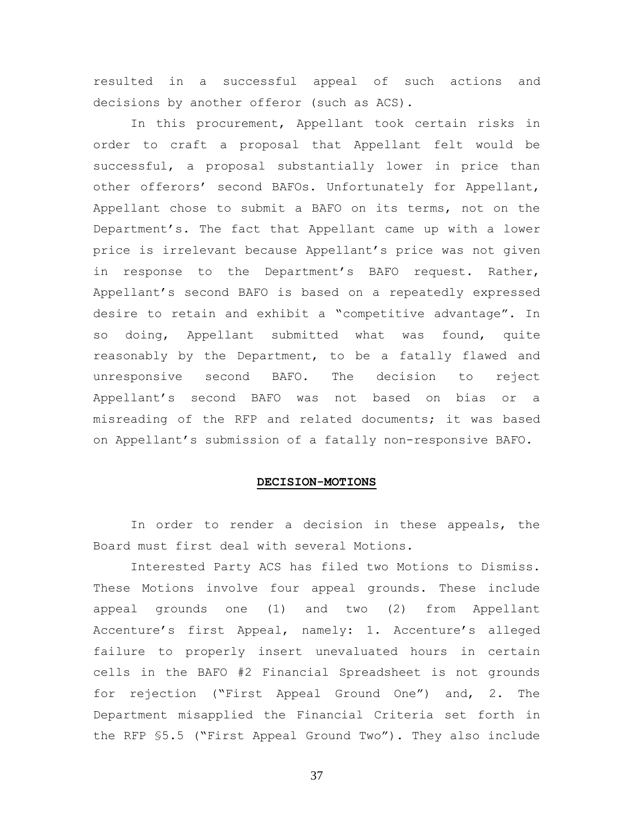resulted in a successful appeal of such actions and decisions by another offeror (such as ACS).

In this procurement, Appellant took certain risks in order to craft a proposal that Appellant felt would be successful, a proposal substantially lower in price than other offerors' second BAFOs. Unfortunately for Appellant, Appellant chose to submit a BAFO on its terms, not on the Department's. The fact that Appellant came up with a lower price is irrelevant because Appellant's price was not given in response to the Department's BAFO request. Rather, Appellant's second BAFO is based on a repeatedly expressed desire to retain and exhibit a "competitive advantage". In so doing, Appellant submitted what was found, quite reasonably by the Department, to be a fatally flawed and unresponsive second BAFO. The decision to reject Appellant's second BAFO was not based on bias or a misreading of the RFP and related documents; it was based on Appellant's submission of a fatally non-responsive BAFO.

## **DECISION-MOTIONS**

In order to render a decision in these appeals, the Board must first deal with several Motions.

Interested Party ACS has filed two Motions to Dismiss. These Motions involve four appeal grounds. These include appeal grounds one (1) and two (2) from Appellant Accenture's first Appeal, namely: 1. Accenture's alleged failure to properly insert unevaluated hours in certain cells in the BAFO #2 Financial Spreadsheet is not grounds for rejection ("First Appeal Ground One") and, 2. The Department misapplied the Financial Criteria set forth in the RFP §5.5 ("First Appeal Ground Two"). They also include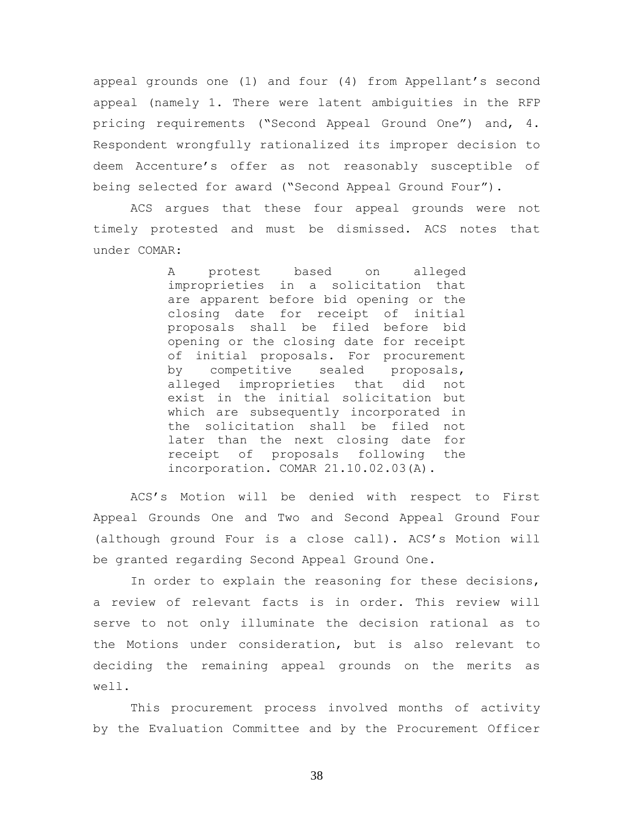appeal grounds one (1) and four (4) from Appellant's second appeal (namely 1. There were latent ambiguities in the RFP pricing requirements ("Second Appeal Ground One") and, 4. Respondent wrongfully rationalized its improper decision to deem Accenture's offer as not reasonably susceptible of being selected for award ("Second Appeal Ground Four").

ACS argues that these four appeal grounds were not timely protested and must be dismissed. ACS notes that under COMAR:

> A protest based on alleged improprieties in a solicitation that are apparent before bid opening or the closing date for receipt of initial proposals shall be filed before bid opening or the closing date for receipt of initial proposals. For procurement by competitive sealed proposals, alleged improprieties that did not exist in the initial solicitation but which are subsequently incorporated in the solicitation shall be filed not later than the next closing date for receipt of proposals following the incorporation. COMAR 21.10.02.03(A).

ACS's Motion will be denied with respect to First Appeal Grounds One and Two and Second Appeal Ground Four (although ground Four is a close call). ACS's Motion will be granted regarding Second Appeal Ground One.

In order to explain the reasoning for these decisions, a review of relevant facts is in order. This review will serve to not only illuminate the decision rational as to the Motions under consideration, but is also relevant to deciding the remaining appeal grounds on the merits as well.

This procurement process involved months of activity by the Evaluation Committee and by the Procurement Officer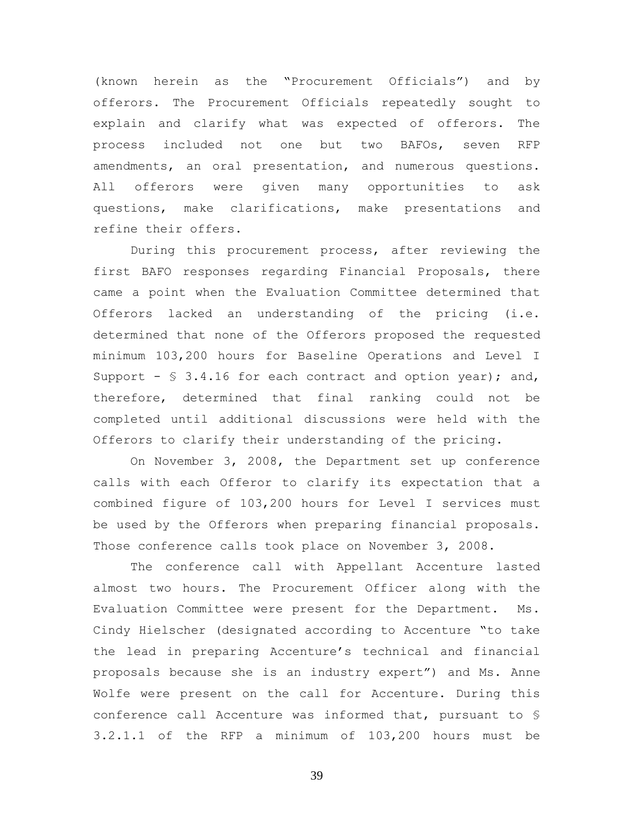(known herein as the "Procurement Officials") and by offerors. The Procurement Officials repeatedly sought to explain and clarify what was expected of offerors. The process included not one but two BAFOs, seven RFP amendments, an oral presentation, and numerous questions. All offerors were given many opportunities to ask questions, make clarifications, make presentations and refine their offers.

During this procurement process, after reviewing the first BAFO responses regarding Financial Proposals, there came a point when the Evaluation Committee determined that Offerors lacked an understanding of the pricing (i.e. determined that none of the Offerors proposed the requested minimum 103,200 hours for Baseline Operations and Level I Support -  $\frac{1}{5}$  3.4.16 for each contract and option year); and, therefore, determined that final ranking could not be completed until additional discussions were held with the Offerors to clarify their understanding of the pricing.

On November 3, 2008, the Department set up conference calls with each Offeror to clarify its expectation that a combined figure of 103,200 hours for Level I services must be used by the Offerors when preparing financial proposals. Those conference calls took place on November 3, 2008.

The conference call with Appellant Accenture lasted almost two hours. The Procurement Officer along with the Evaluation Committee were present for the Department. Ms. Cindy Hielscher (designated according to Accenture "to take the lead in preparing Accenture's technical and financial proposals because she is an industry expert") and Ms. Anne Wolfe were present on the call for Accenture. During this conference call Accenture was informed that, pursuant to § 3.2.1.1 of the RFP a minimum of 103,200 hours must be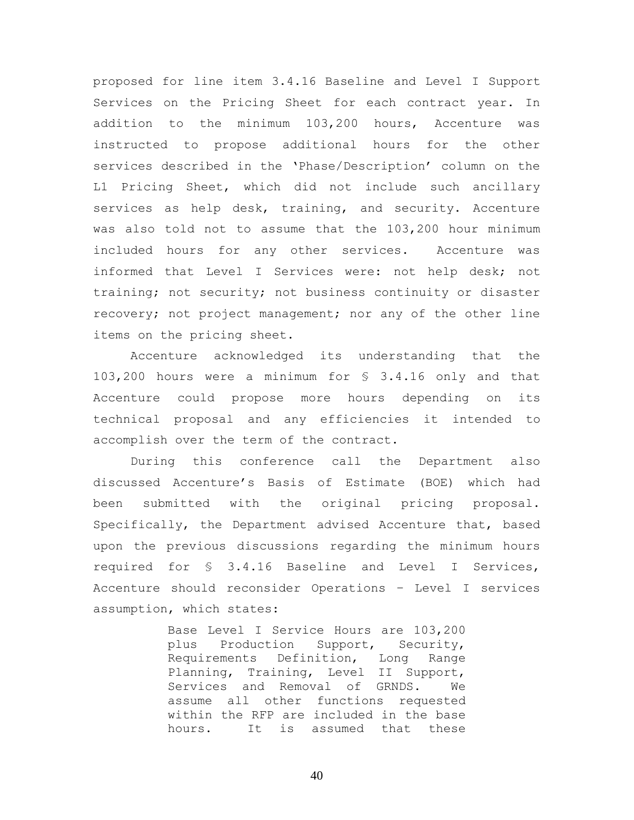proposed for line item 3.4.16 Baseline and Level I Support Services on the Pricing Sheet for each contract year. In addition to the minimum 103,200 hours, Accenture was instructed to propose additional hours for the other services described in the 'Phase/Description' column on the L1 Pricing Sheet, which did not include such ancillary services as help desk, training, and security. Accenture was also told not to assume that the 103,200 hour minimum included hours for any other services. Accenture was informed that Level I Services were: not help desk; not training; not security; not business continuity or disaster recovery; not project management; nor any of the other line items on the pricing sheet.

Accenture acknowledged its understanding that the 103,200 hours were a minimum for § 3.4.16 only and that Accenture could propose more hours depending on its technical proposal and any efficiencies it intended to accomplish over the term of the contract.

During this conference call the Department also discussed Accenture's Basis of Estimate (BOE) which had been submitted with the original pricing proposal. Specifically, the Department advised Accenture that, based upon the previous discussions regarding the minimum hours required for § 3.4.16 Baseline and Level I Services, Accenture should reconsider Operations – Level I services assumption, which states:

> Base Level I Service Hours are 103,200 plus Production Support, Security, Requirements Definition, Long Range Planning, Training, Level II Support, Services and Removal of GRNDS. We assume all other functions requested within the RFP are included in the base hours. It is assumed that these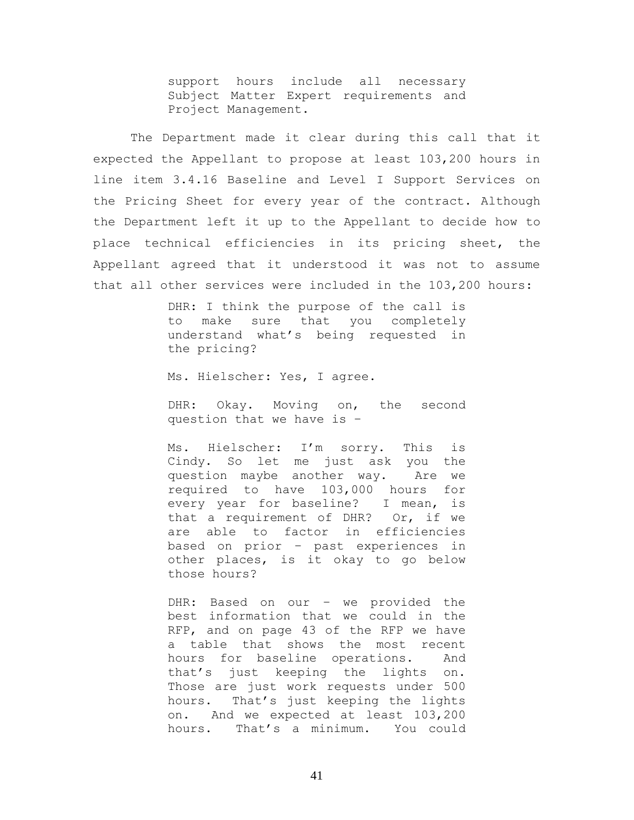support hours include all necessary Subject Matter Expert requirements and Project Management.

The Department made it clear during this call that it expected the Appellant to propose at least 103,200 hours in line item 3.4.16 Baseline and Level I Support Services on the Pricing Sheet for every year of the contract. Although the Department left it up to the Appellant to decide how to place technical efficiencies in its pricing sheet, the Appellant agreed that it understood it was not to assume that all other services were included in the 103,200 hours:

> DHR: I think the purpose of the call is to make sure that you completely understand what's being requested in the pricing?

Ms. Hielscher: Yes, I agree.

DHR: Okay. Moving on, the second question that we have is –

Ms. Hielscher: I'm sorry. This is Cindy. So let me just ask you the question maybe another way. Are we required to have 103,000 hours for every year for baseline? I mean, is that a requirement of DHR? Or, if we are able to factor in efficiencies based on prior – past experiences in other places, is it okay to go below those hours?

DHR: Based on our – we provided the best information that we could in the RFP, and on page 43 of the RFP we have a table that shows the most recent hours for baseline operations. And that's just keeping the lights on. Those are just work requests under 500 hours. That's just keeping the lights on. And we expected at least 103,200 hours. That's a minimum. You could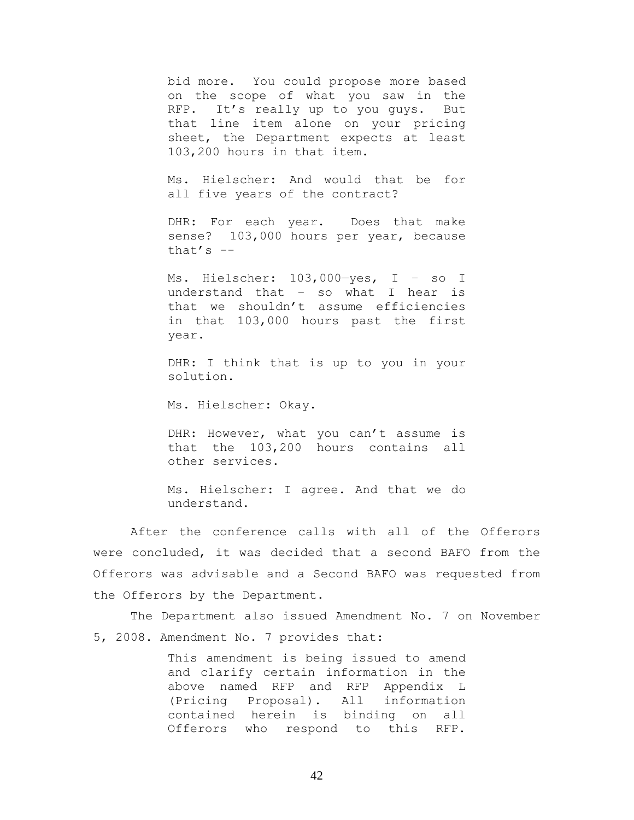bid more. You could propose more based on the scope of what you saw in the RFP. It's really up to you guys. But that line item alone on your pricing sheet, the Department expects at least 103,200 hours in that item.

Ms. Hielscher: And would that be for all five years of the contract?

DHR: For each year. Does that make sense? 103,000 hours per year, because that's  $-$ 

Ms. Hielscher: 103,000—yes, I – so I understand that – so what I hear is that we shouldn't assume efficiencies in that 103,000 hours past the first year.

DHR: I think that is up to you in your solution.

Ms. Hielscher: Okay.

DHR: However, what you can't assume is that the 103,200 hours contains all other services.

Ms. Hielscher: I agree. And that we do understand.

After the conference calls with all of the Offerors were concluded, it was decided that a second BAFO from the Offerors was advisable and a Second BAFO was requested from the Offerors by the Department.

The Department also issued Amendment No. 7 on November 5, 2008. Amendment No. 7 provides that:

> This amendment is being issued to amend and clarify certain information in the above named RFP and RFP Appendix L (Pricing Proposal). All information contained herein is binding on all Offerors who respond to this RFP.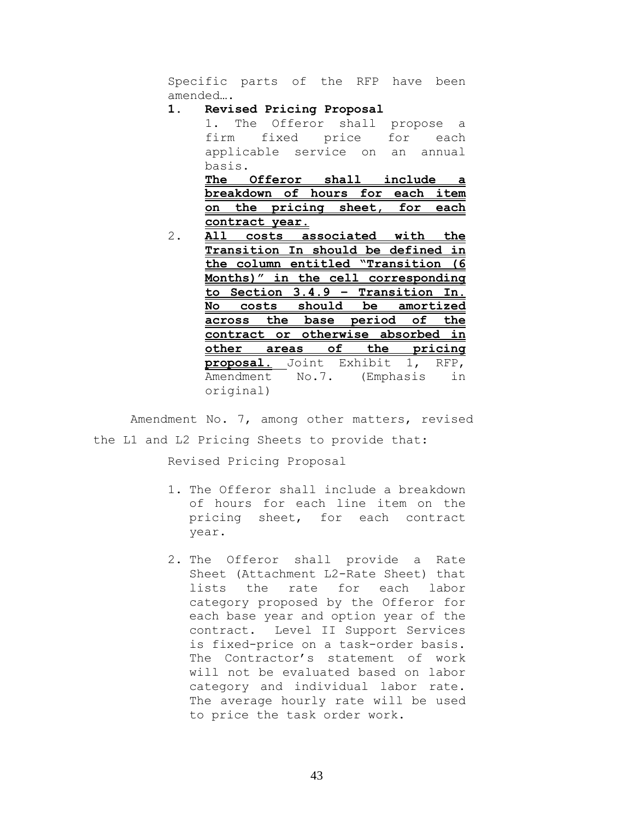Specific parts of the RFP have been amended….

## **1. Revised Pricing Proposal**

1. The Offeror shall propose a firm fixed price for each applicable service on an annual basis.<br>= **The Offeror shall include a** 

|  |                |  | The Offeror shall include a      |  |
|--|----------------|--|----------------------------------|--|
|  |                |  | breakdown of hours for each item |  |
|  |                |  | on the pricing sheet, for each   |  |
|  | contract year. |  |                                  |  |

2. **All costs associated with the Transition In should be defined in the column entitled "Transition (6 Months)" in the cell corresponding to Section 3.4.9 – Transition In. No costs should be amortized across the base period of the contract or otherwise absorbed in other areas of the pricing proposal.** Joint Exhibit 1, RFP, Amendment No.7. (Emphasis in original)

Amendment No. 7, among other matters, revised the L1 and L2 Pricing Sheets to provide that:

Revised Pricing Proposal

- 1. The Offeror shall include a breakdown of hours for each line item on the pricing sheet, for each contract year.
- 2. The Offeror shall provide a Rate Sheet (Attachment L2-Rate Sheet) that lists the rate for each labor category proposed by the Offeror for each base year and option year of the contract. Level II Support Services is fixed-price on a task-order basis. The Contractor's statement of work will not be evaluated based on labor category and individual labor rate. The average hourly rate will be used to price the task order work.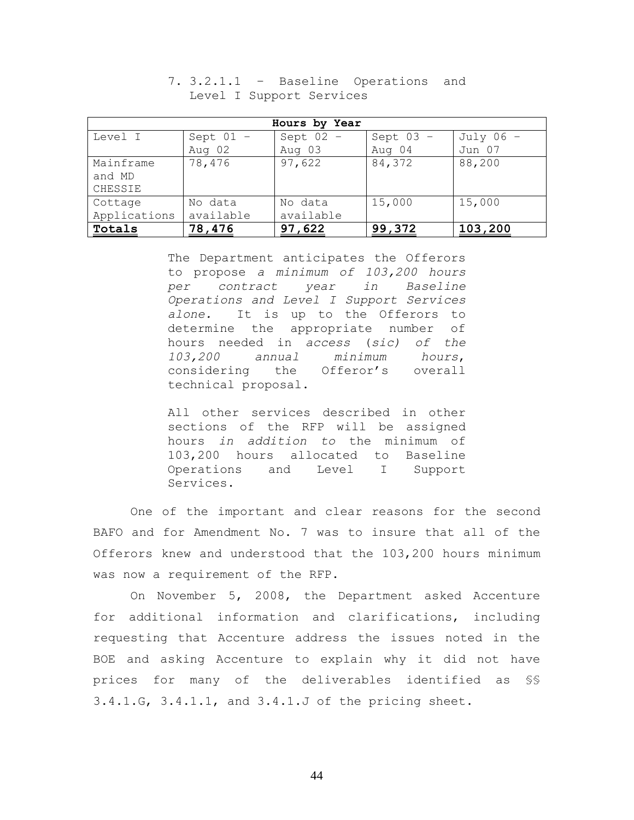| Hours by Year |             |             |             |             |  |  |  |  |
|---------------|-------------|-------------|-------------|-------------|--|--|--|--|
| Level I       | Sept $01 -$ | Sept $02 -$ | Sept $03 -$ | July $06 -$ |  |  |  |  |
|               | Aug 02      | Aug 03      | Aug 04      | Jun 07      |  |  |  |  |
| Mainframe     | 78,476      | 97,622      | 84,372      | 88,200      |  |  |  |  |
| and MD        |             |             |             |             |  |  |  |  |
| CHESSIE       |             |             |             |             |  |  |  |  |
| Cottage       | No data     | No data     | 15,000      | 15,000      |  |  |  |  |
| Applications  | available   | available   |             |             |  |  |  |  |
| Totals        | 78,476      | 97,622      | 99,372      | 103,200     |  |  |  |  |

7. 3.2.1.1 – Baseline Operations and Level I Support Services

The Department anticipates the Offerors to propose *a minimum of 103,200 hours per contract year in Baseline Operations and Level I Support Services alone.* It is up to the Offerors to determine the appropriate number of hours needed in *access* (*sic) of the 103,200 annual minimum hours*, considering the Offeror's overall technical proposal.

All other services described in other sections of the RFP will be assigned hours *in addition to* the minimum of 103,200 hours allocated to Baseline Operations and Level I Support Services.

One of the important and clear reasons for the second BAFO and for Amendment No. 7 was to insure that all of the Offerors knew and understood that the 103,200 hours minimum was now a requirement of the RFP.

On November 5, 2008, the Department asked Accenture for additional information and clarifications, including requesting that Accenture address the issues noted in the BOE and asking Accenture to explain why it did not have prices for many of the deliverables identified as §§ 3.4.1.G, 3.4.1.1, and 3.4.1.J of the pricing sheet.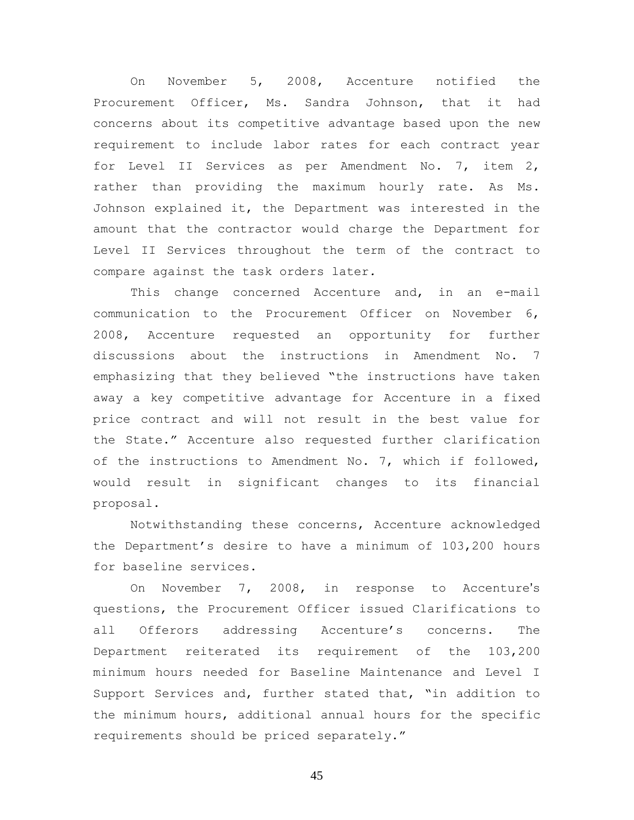On November 5, 2008, Accenture notified the Procurement Officer, Ms. Sandra Johnson, that it had concerns about its competitive advantage based upon the new requirement to include labor rates for each contract year for Level II Services as per Amendment No. 7, item 2, rather than providing the maximum hourly rate. As Ms. Johnson explained it, the Department was interested in the amount that the contractor would charge the Department for Level II Services throughout the term of the contract to compare against the task orders later*.*

This change concerned Accenture and, in an e-mail communication to the Procurement Officer on November 6, 2008, Accenture requested an opportunity for further discussions about the instructions in Amendment No. 7 emphasizing that they believed "the instructions have taken away a key competitive advantage for Accenture in a fixed price contract and will not result in the best value for the State." Accenture also requested further clarification of the instructions to Amendment No. 7, which if followed, would result in significant changes to its financial proposal.

Notwithstanding these concerns, Accenture acknowledged the Department's desire to have a minimum of 103,200 hours for baseline services.

On November 7, 2008, in response to Accenture's questions, the Procurement Officer issued Clarifications to all Offerors addressing Accenture's concerns. The Department reiterated its requirement of the 103,200 minimum hours needed for Baseline Maintenance and Level I Support Services and, further stated that, "in addition to the minimum hours, additional annual hours for the specific requirements should be priced separately."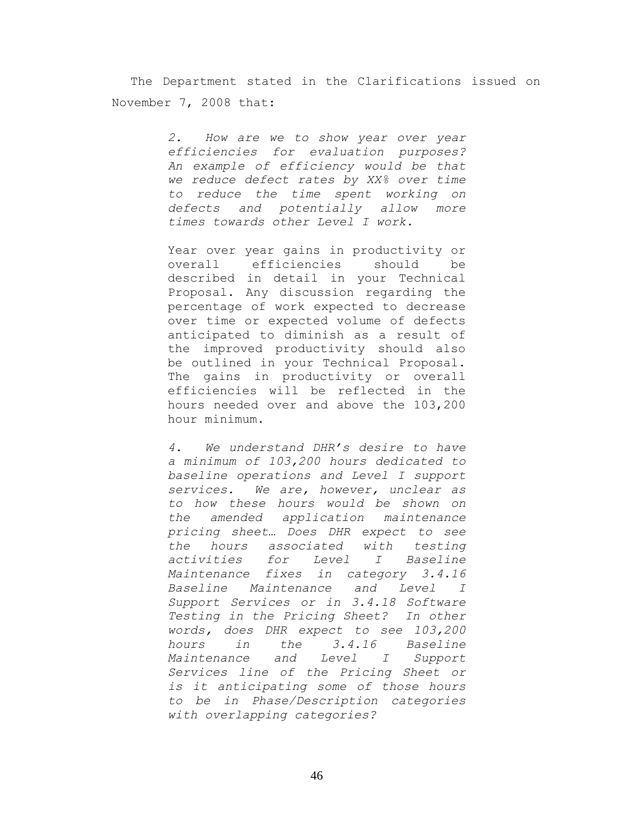The Department stated in the Clarifications issued on November 7, 2008 that:

> *2. How are we to show year over year efficiencies for evaluation purposes? An example of efficiency would be that we reduce defect rates by XX% over time to reduce the time spent working on defects and potentially allow more times towards other Level I work.*

> Year over year gains in productivity or overall efficiencies should be described in detail in your Technical Proposal. Any discussion regarding the percentage of work expected to decrease over time or expected volume of defects anticipated to diminish as a result of the improved productivity should also be outlined in your Technical Proposal. The gains in productivity or overall efficiencies will be reflected in the hours needed over and above the 103,200 hour minimum.

> *4. We understand DHR's desire to have a minimum of 103,200 hours dedicated to baseline operations and Level I support services. We are, however, unclear as to how these hours would be shown on the amended application maintenance pricing sheet… Does DHR expect to see the hours associated with testing activities for Level I Baseline Maintenance fixes in category 3.4.16 Baseline Maintenance and Level I Support Services or in 3.4.18 Software Testing in the Pricing Sheet? In other words, does DHR expect to see 103,200 hours in the 3.4.16 Baseline Maintenance and Level I Support Services line of the Pricing Sheet or is it anticipating some of those hours to be in Phase/Description categories with overlapping categories?*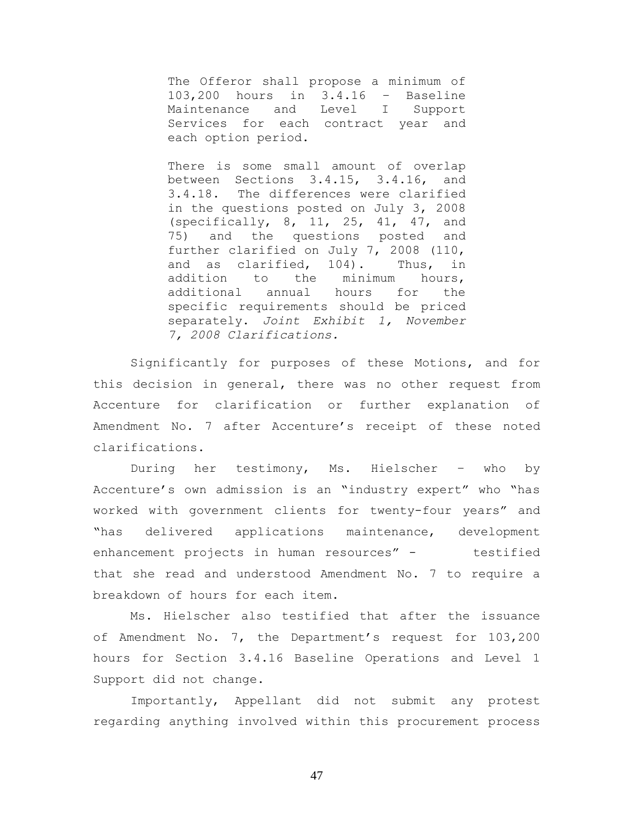The Offeror shall propose a minimum of 103,200 hours in 3.4.16 – Baseline Maintenance and Level I Support Services for each contract year and each option period.

There is some small amount of overlap between Sections 3.4.15, 3.4.16, and 3.4.18. The differences were clarified in the questions posted on July 3, 2008 (specifically, 8, 11, 25, 41, 47, and 75) and the questions posted and further clarified on July 7, 2008 (110, and as clarified, 104). Thus, in addition to the minimum hours, additional annual hours for the specific requirements should be priced separately. *Joint Exhibit 1, November 7, 2008 Clarifications.*

Significantly for purposes of these Motions, and for this decision in general, there was no other request from Accenture for clarification or further explanation of Amendment No. 7 after Accenture's receipt of these noted clarifications.

During her testimony, Ms. Hielscher – who by Accenture's own admission is an "industry expert" who "has worked with government clients for twenty-four years" and "has delivered applications maintenance, development enhancement projects in human resources" - testified that she read and understood Amendment No. 7 to require a breakdown of hours for each item.

Ms. Hielscher also testified that after the issuance of Amendment No. 7, the Department's request for 103,200 hours for Section 3.4.16 Baseline Operations and Level 1 Support did not change.

Importantly, Appellant did not submit any protest regarding anything involved within this procurement process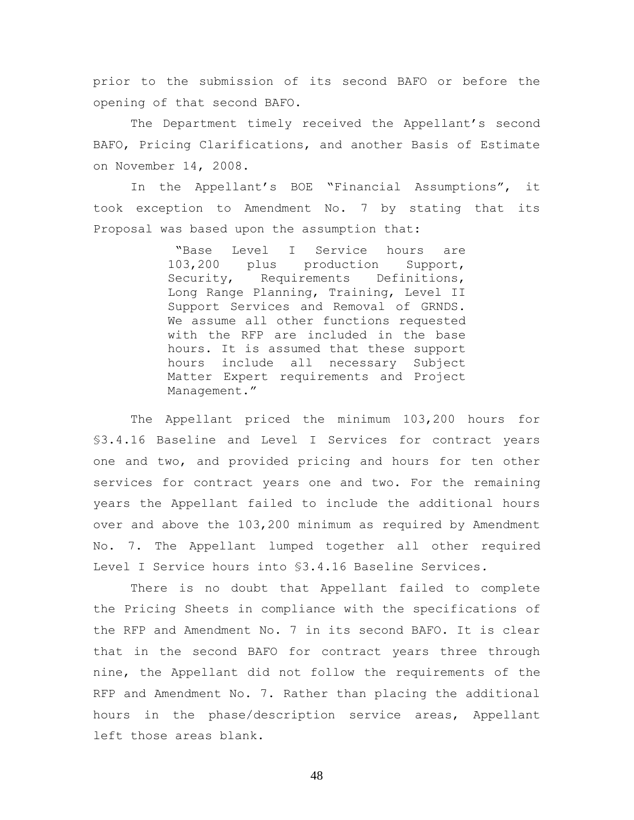prior to the submission of its second BAFO or before the opening of that second BAFO.

The Department timely received the Appellant's second BAFO, Pricing Clarifications, and another Basis of Estimate on November 14, 2008.

In the Appellant's BOE "Financial Assumptions", it took exception to Amendment No. 7 by stating that its Proposal was based upon the assumption that:

> "Base Level I Service hours are 103,200 plus production Support, Security, Requirements Definitions, Long Range Planning, Training, Level II Support Services and Removal of GRNDS. We assume all other functions requested with the RFP are included in the base hours. It is assumed that these support hours include all necessary Subject Matter Expert requirements and Project Management."

The Appellant priced the minimum 103,200 hours for §3.4.16 Baseline and Level I Services for contract years one and two, and provided pricing and hours for ten other services for contract years one and two. For the remaining years the Appellant failed to include the additional hours over and above the 103,200 minimum as required by Amendment No. 7. The Appellant lumped together all other required Level I Service hours into §3.4.16 Baseline Services*.*

There is no doubt that Appellant failed to complete the Pricing Sheets in compliance with the specifications of the RFP and Amendment No. 7 in its second BAFO. It is clear that in the second BAFO for contract years three through nine, the Appellant did not follow the requirements of the RFP and Amendment No. 7. Rather than placing the additional hours in the phase/description service areas, Appellant left those areas blank.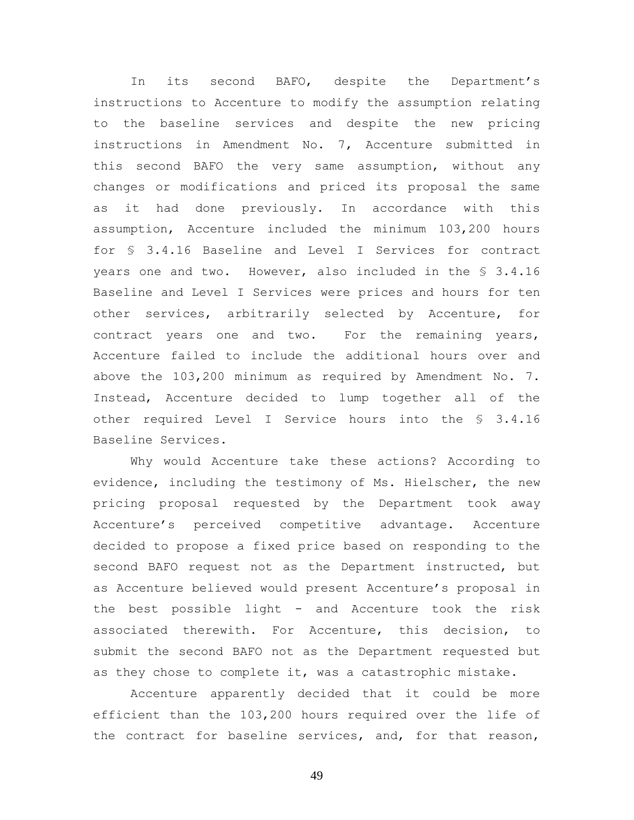In its second BAFO, despite the Department's instructions to Accenture to modify the assumption relating to the baseline services and despite the new pricing instructions in Amendment No. 7, Accenture submitted in this second BAFO the very same assumption, without any changes or modifications and priced its proposal the same as it had done previously. In accordance with this assumption, Accenture included the minimum 103,200 hours for § 3.4.16 Baseline and Level I Services for contract years one and two. However, also included in the § 3.4.16 Baseline and Level I Services were prices and hours for ten other services, arbitrarily selected by Accenture, for contract years one and two. For the remaining years, Accenture failed to include the additional hours over and above the 103,200 minimum as required by Amendment No. 7. Instead, Accenture decided to lump together all of the other required Level I Service hours into the § 3.4.16 Baseline Services.

Why would Accenture take these actions? According to evidence, including the testimony of Ms. Hielscher, the new pricing proposal requested by the Department took away Accenture's perceived competitive advantage. Accenture decided to propose a fixed price based on responding to the second BAFO request not as the Department instructed, but as Accenture believed would present Accenture's proposal in the best possible light - and Accenture took the risk associated therewith. For Accenture, this decision, to submit the second BAFO not as the Department requested but as they chose to complete it, was a catastrophic mistake.

Accenture apparently decided that it could be more efficient than the 103,200 hours required over the life of the contract for baseline services, and, for that reason,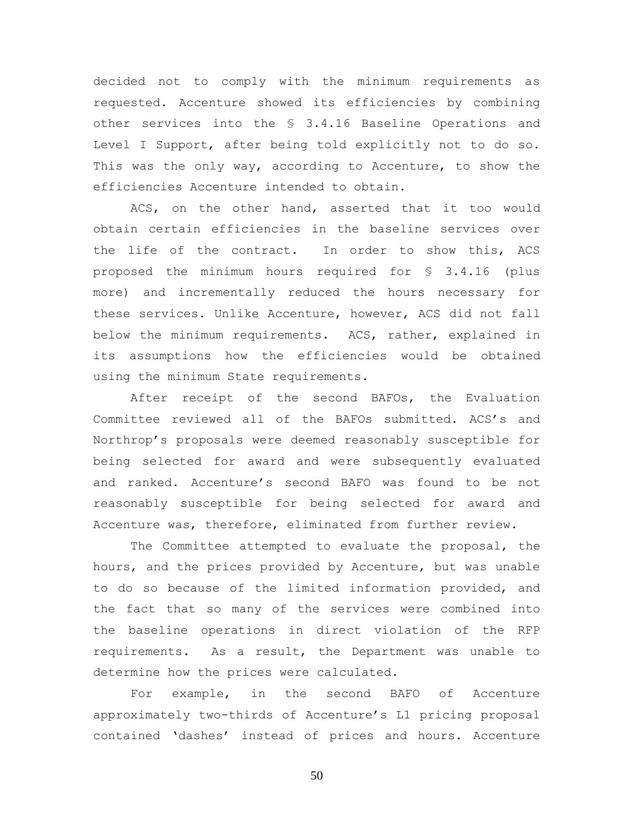decided not to comply with the minimum requirements as requested. Accenture showed its efficiencies by combining other services into the § 3.4.16 Baseline Operations and Level I Support, after being told explicitly not to do so. This was the only way, according to Accenture, to show the efficiencies Accenture intended to obtain.

ACS, on the other hand, asserted that it too would obtain certain efficiencies in the baseline services over the life of the contract. In order to show this, ACS proposed the minimum hours required for § 3.4.16 (plus more) and incrementally reduced the hours necessary for these services. Unlike Accenture, however, ACS did not fall below the minimum requirements. ACS, rather, explained in its assumptions how the efficiencies would be obtained using the minimum State requirements.

After receipt of the second BAFOs, the Evaluation Committee reviewed all of the BAFOs submitted. ACS's and Northrop's proposals were deemed reasonably susceptible for being selected for award and were subsequently evaluated and ranked. Accenture's second BAFO was found to be not reasonably susceptible for being selected for award and Accenture was, therefore, eliminated from further review.

The Committee attempted to evaluate the proposal, the hours, and the prices provided by Accenture, but was unable to do so because of the limited information provided, and the fact that so many of the services were combined into the baseline operations in direct violation of the RFP requirements. As a result, the Department was unable to determine how the prices were calculated.

For example, in the second BAFO of Accenture approximately two-thirds of Accenture's L1 pricing proposal contained 'dashes' instead of prices and hours. Accenture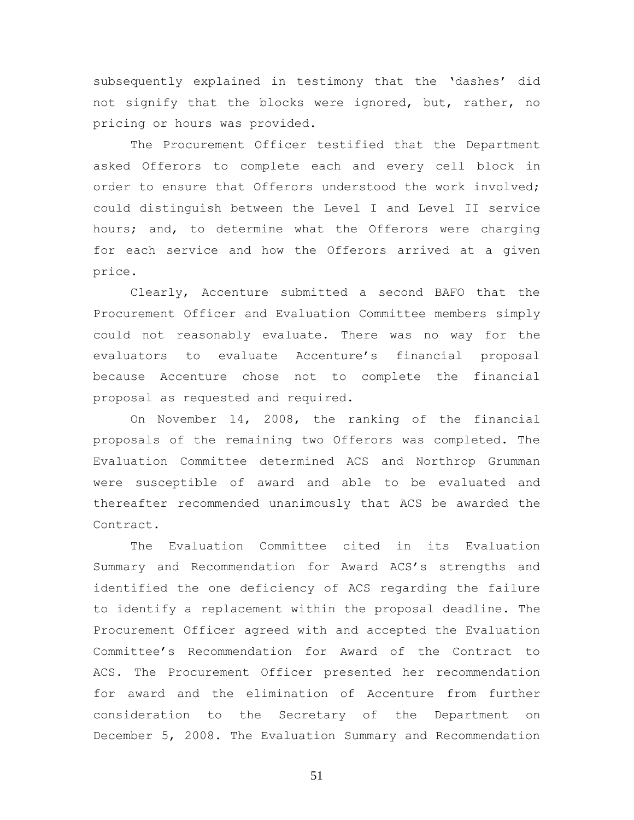subsequently explained in testimony that the 'dashes' did not signify that the blocks were ignored, but, rather, no pricing or hours was provided.

The Procurement Officer testified that the Department asked Offerors to complete each and every cell block in order to ensure that Offerors understood the work involved; could distinguish between the Level I and Level II service hours; and, to determine what the Offerors were charging for each service and how the Offerors arrived at a given price.

Clearly, Accenture submitted a second BAFO that the Procurement Officer and Evaluation Committee members simply could not reasonably evaluate. There was no way for the evaluators to evaluate Accenture's financial proposal because Accenture chose not to complete the financial proposal as requested and required.

On November 14, 2008, the ranking of the financial proposals of the remaining two Offerors was completed. The Evaluation Committee determined ACS and Northrop Grumman were susceptible of award and able to be evaluated and thereafter recommended unanimously that ACS be awarded the Contract.

The Evaluation Committee cited in its Evaluation Summary and Recommendation for Award ACS's strengths and identified the one deficiency of ACS regarding the failure to identify a replacement within the proposal deadline. The Procurement Officer agreed with and accepted the Evaluation Committee's Recommendation for Award of the Contract to ACS. The Procurement Officer presented her recommendation for award and the elimination of Accenture from further consideration to the Secretary of the Department on December 5, 2008. The Evaluation Summary and Recommendation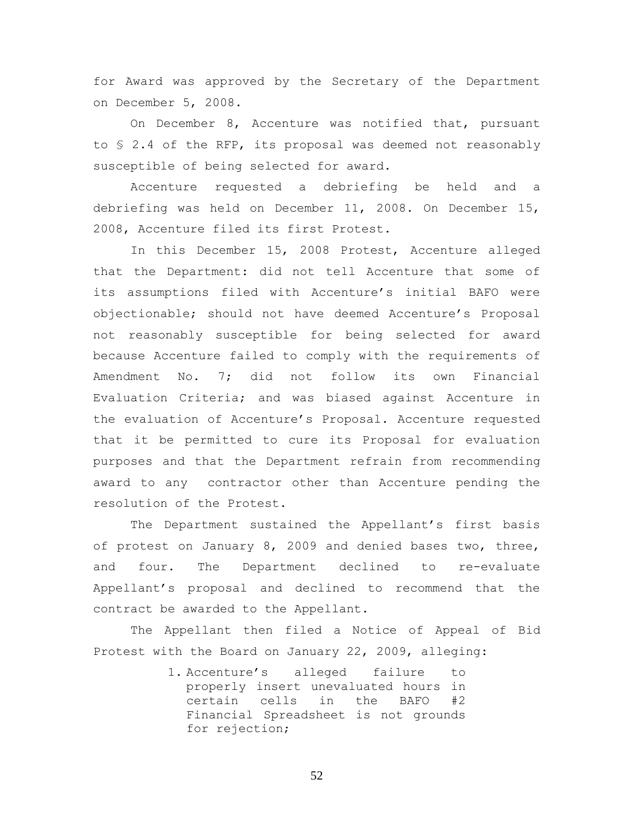for Award was approved by the Secretary of the Department on December 5, 2008.

On December 8, Accenture was notified that, pursuant to § 2.4 of the RFP, its proposal was deemed not reasonably susceptible of being selected for award.

Accenture requested a debriefing be held and a debriefing was held on December 11, 2008. On December 15, 2008, Accenture filed its first Protest.

In this December 15, 2008 Protest, Accenture alleged that the Department: did not tell Accenture that some of its assumptions filed with Accenture's initial BAFO were objectionable; should not have deemed Accenture's Proposal not reasonably susceptible for being selected for award because Accenture failed to comply with the requirements of Amendment No. 7; did not follow its own Financial Evaluation Criteria; and was biased against Accenture in the evaluation of Accenture's Proposal. Accenture requested that it be permitted to cure its Proposal for evaluation purposes and that the Department refrain from recommending award to any contractor other than Accenture pending the resolution of the Protest.

The Department sustained the Appellant's first basis of protest on January 8, 2009 and denied bases two, three, and four. The Department declined to re-evaluate Appellant's proposal and declined to recommend that the contract be awarded to the Appellant.

The Appellant then filed a Notice of Appeal of Bid Protest with the Board on January 22, 2009, alleging:

> 1. Accenture's alleged failure to properly insert unevaluated hours in certain cells in the BAFO #2 Financial Spreadsheet is not grounds for rejection;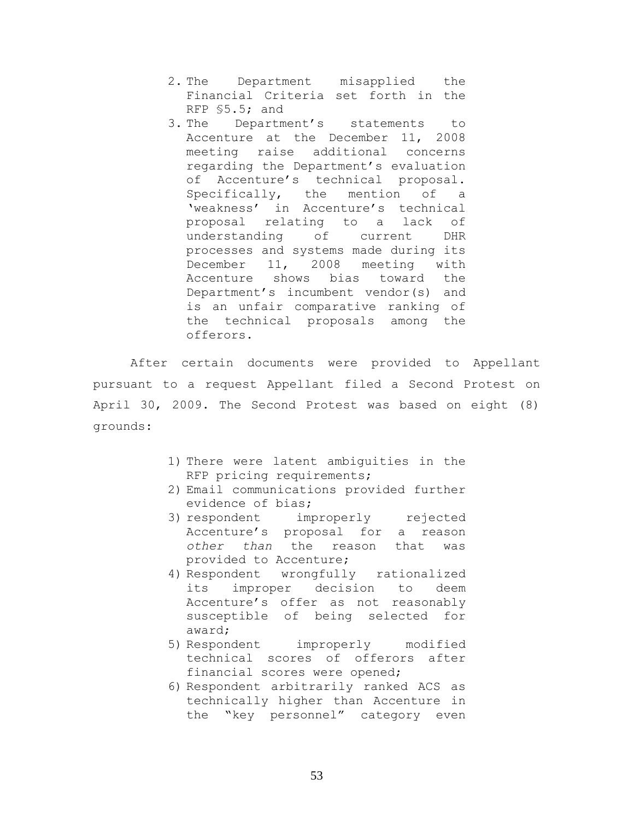- 2. The Department misapplied the Financial Criteria set forth in the RFP §5.5; and
- 3. The Department's statements to Accenture at the December 11, 2008 meeting raise additional concerns regarding the Department's evaluation of Accenture's technical proposal. Specifically, the mention of a 'weakness' in Accenture's technical proposal relating to a lack of understanding of current DHR processes and systems made during its December 11, 2008 meeting with Accenture shows bias toward the Department's incumbent vendor(s) and is an unfair comparative ranking of the technical proposals among the offerors.

After certain documents were provided to Appellant pursuant to a request Appellant filed a Second Protest on April 30, 2009. The Second Protest was based on eight (8) grounds:

- 1) There were latent ambiguities in the RFP pricing requirements;
- 2) Email communications provided further evidence of bias;
- 3) respondent improperly rejected Accenture's proposal for a reason *other than* the reason that was provided to Accenture;
- 4) Respondent wrongfully rationalized its improper decision to deem Accenture's offer as not reasonably susceptible of being selected for award;
- 5) Respondent improperly modified technical scores of offerors after financial scores were opened;
- 6) Respondent arbitrarily ranked ACS as technically higher than Accenture in the "key personnel" category even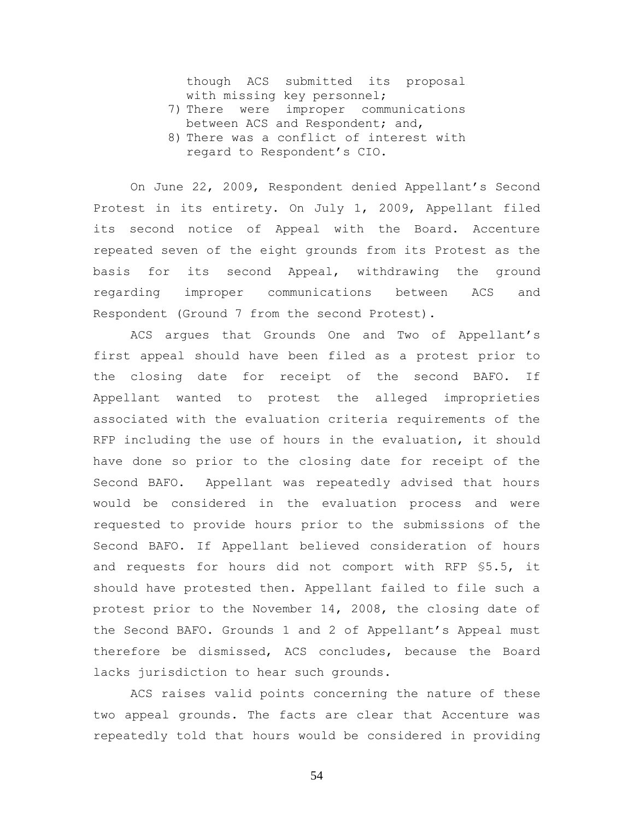though ACS submitted its proposal with missing key personnel;

- 7) There were improper communications between ACS and Respondent; and,
- 8) There was a conflict of interest with regard to Respondent's CIO.

On June 22, 2009, Respondent denied Appellant's Second Protest in its entirety. On July 1, 2009, Appellant filed its second notice of Appeal with the Board. Accenture repeated seven of the eight grounds from its Protest as the basis for its second Appeal, withdrawing the ground regarding improper communications between ACS and Respondent (Ground 7 from the second Protest).

ACS argues that Grounds One and Two of Appellant's first appeal should have been filed as a protest prior to the closing date for receipt of the second BAFO. If Appellant wanted to protest the alleged improprieties associated with the evaluation criteria requirements of the RFP including the use of hours in the evaluation, it should have done so prior to the closing date for receipt of the Second BAFO. Appellant was repeatedly advised that hours would be considered in the evaluation process and were requested to provide hours prior to the submissions of the Second BAFO. If Appellant believed consideration of hours and requests for hours did not comport with RFP §5.5, it should have protested then. Appellant failed to file such a protest prior to the November 14, 2008, the closing date of the Second BAFO. Grounds 1 and 2 of Appellant's Appeal must therefore be dismissed, ACS concludes, because the Board lacks jurisdiction to hear such grounds.

ACS raises valid points concerning the nature of these two appeal grounds. The facts are clear that Accenture was repeatedly told that hours would be considered in providing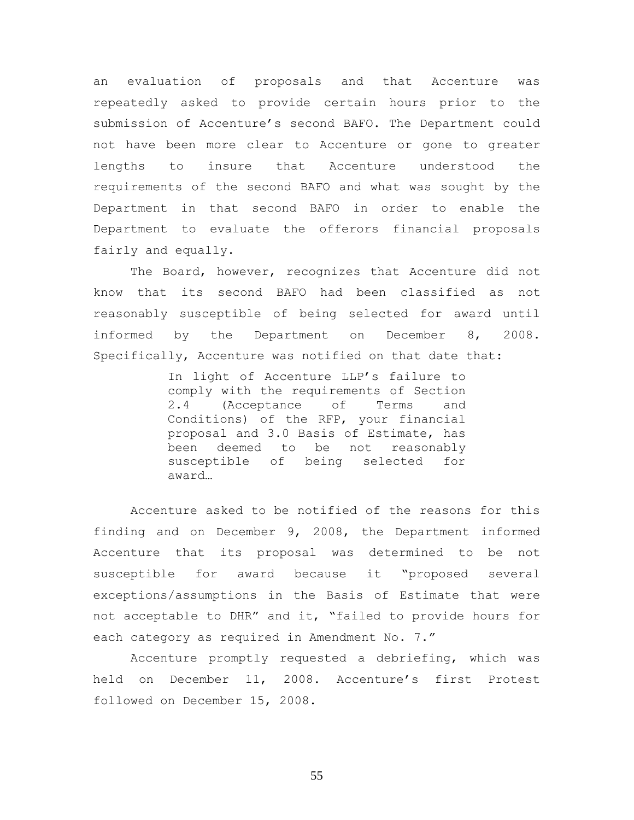an evaluation of proposals and that Accenture was repeatedly asked to provide certain hours prior to the submission of Accenture's second BAFO. The Department could not have been more clear to Accenture or gone to greater lengths to insure that Accenture understood the requirements of the second BAFO and what was sought by the Department in that second BAFO in order to enable the Department to evaluate the offerors financial proposals fairly and equally.

The Board, however, recognizes that Accenture did not know that its second BAFO had been classified as not reasonably susceptible of being selected for award until informed by the Department on December 8, 2008. Specifically, Accenture was notified on that date that:

> In light of Accenture LLP's failure to comply with the requirements of Section 2.4 (Acceptance of Terms and Conditions) of the RFP, your financial proposal and 3.0 Basis of Estimate, has been deemed to be not reasonably susceptible of being selected for award…

Accenture asked to be notified of the reasons for this finding and on December 9, 2008, the Department informed Accenture that its proposal was determined to be not susceptible for award because it "proposed several exceptions/assumptions in the Basis of Estimate that were not acceptable to DHR" and it, "failed to provide hours for each category as required in Amendment No. 7."

Accenture promptly requested a debriefing, which was held on December 11, 2008. Accenture's first Protest followed on December 15, 2008.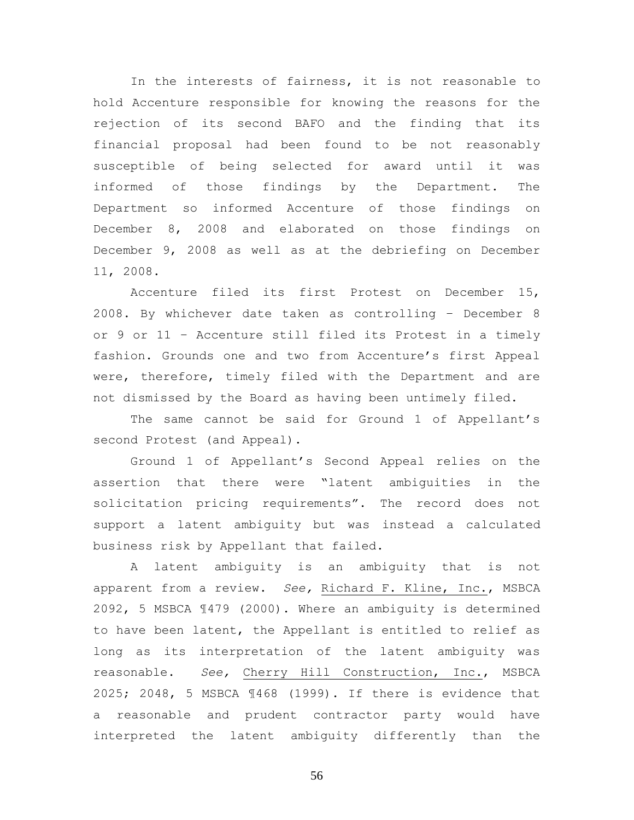In the interests of fairness, it is not reasonable to hold Accenture responsible for knowing the reasons for the rejection of its second BAFO and the finding that its financial proposal had been found to be not reasonably susceptible of being selected for award until it was informed of those findings by the Department. The Department so informed Accenture of those findings on December 8, 2008 and elaborated on those findings on December 9, 2008 as well as at the debriefing on December 11, 2008.

Accenture filed its first Protest on December 15, 2008. By whichever date taken as controlling – December 8 or 9 or 11 – Accenture still filed its Protest in a timely fashion. Grounds one and two from Accenture's first Appeal were, therefore, timely filed with the Department and are not dismissed by the Board as having been untimely filed.

The same cannot be said for Ground 1 of Appellant's second Protest (and Appeal).

Ground 1 of Appellant's Second Appeal relies on the assertion that there were "latent ambiguities in the solicitation pricing requirements". The record does not support a latent ambiguity but was instead a calculated business risk by Appellant that failed.

A latent ambiguity is an ambiguity that is not apparent from a review. *See,* Richard F. Kline, Inc., MSBCA 2092, 5 MSBCA ¶479 (2000). Where an ambiguity is determined to have been latent, the Appellant is entitled to relief as long as its interpretation of the latent ambiguity was reasonable. *See,* Cherry Hill Construction, Inc., MSBCA 2025; 2048, 5 MSBCA ¶468 (1999). If there is evidence that a reasonable and prudent contractor party would have interpreted the latent ambiguity differently than the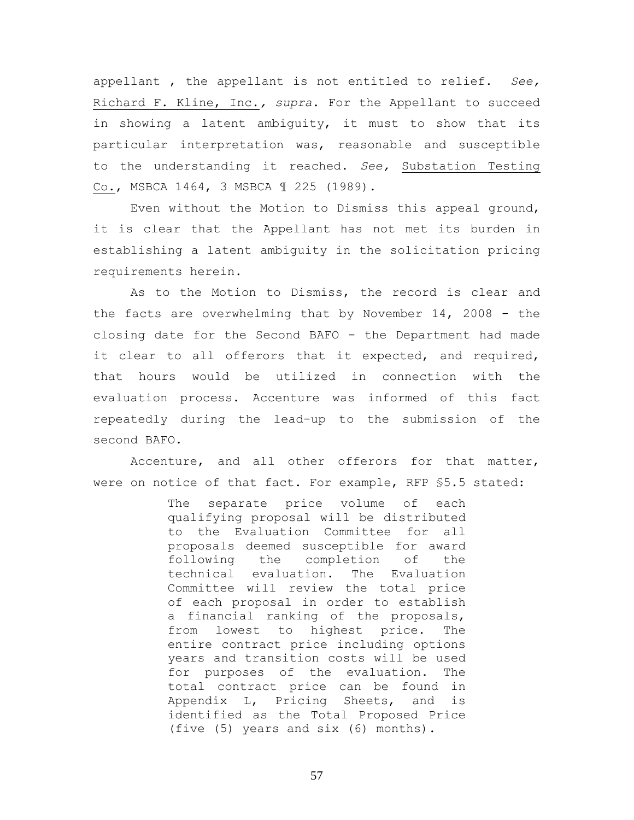appellant , the appellant is not entitled to relief. *See,*  Richard F. Kline, Inc.*, supra*. For the Appellant to succeed in showing a latent ambiguity, it must to show that its particular interpretation was, reasonable and susceptible to the understanding it reached. *See,* Substation Testing Co., MSBCA 1464, 3 MSBCA ¶ 225 (1989)*.*

Even without the Motion to Dismiss this appeal ground, it is clear that the Appellant has not met its burden in establishing a latent ambiguity in the solicitation pricing requirements herein.

As to the Motion to Dismiss, the record is clear and the facts are overwhelming that by November 14, 2008 - the closing date for the Second BAFO - the Department had made it clear to all offerors that it expected, and required, that hours would be utilized in connection with the evaluation process. Accenture was informed of this fact repeatedly during the lead-up to the submission of the second BAFO.

Accenture, and all other offerors for that matter, were on notice of that fact. For example, RFP §5.5 stated:

> The separate price volume of each qualifying proposal will be distributed to the Evaluation Committee for all proposals deemed susceptible for award following the completion of the technical evaluation. The Evaluation Committee will review the total price of each proposal in order to establish a financial ranking of the proposals, from lowest to highest price. The entire contract price including options years and transition costs will be used for purposes of the evaluation. The total contract price can be found in Appendix L, Pricing Sheets, and is identified as the Total Proposed Price (five (5) years and six (6) months).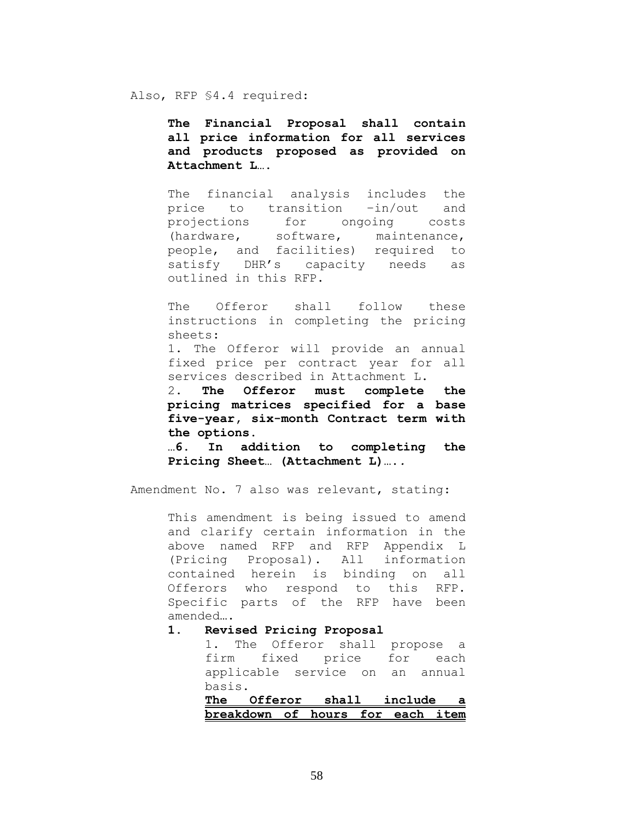Also, RFP §4.4 required:

**The Financial Proposal shall contain all price information for all services and products proposed as provided on Attachment L….**

The financial analysis includes the price to transition –in/out and projections for ongoing costs (hardware, software, maintenance, people, and facilities) required to satisfy DHR's capacity needs as outlined in this RFP.

The Offeror shall follow these instructions in completing the pricing sheets:

1. The Offeror will provide an annual fixed price per contract year for all services described in Attachment L.

2. **The Offeror must complete the pricing matrices specified for a base five-year, six-month Contract term with the options.**

**…6. In addition to completing the Pricing Sheet… (Attachment L)….***.*

Amendment No. 7 also was relevant, stating:

This amendment is being issued to amend and clarify certain information in the above named RFP and RFP Appendix L (Pricing Proposal). All information contained herein is binding on all Offerors who respond to this RFP. Specific parts of the RFP have been amended….

## **1. Revised Pricing Proposal**

1. The Offeror shall propose a firm fixed price for each applicable service on an annual basis.

**The Offeror shall include a breakdown of hours for each item**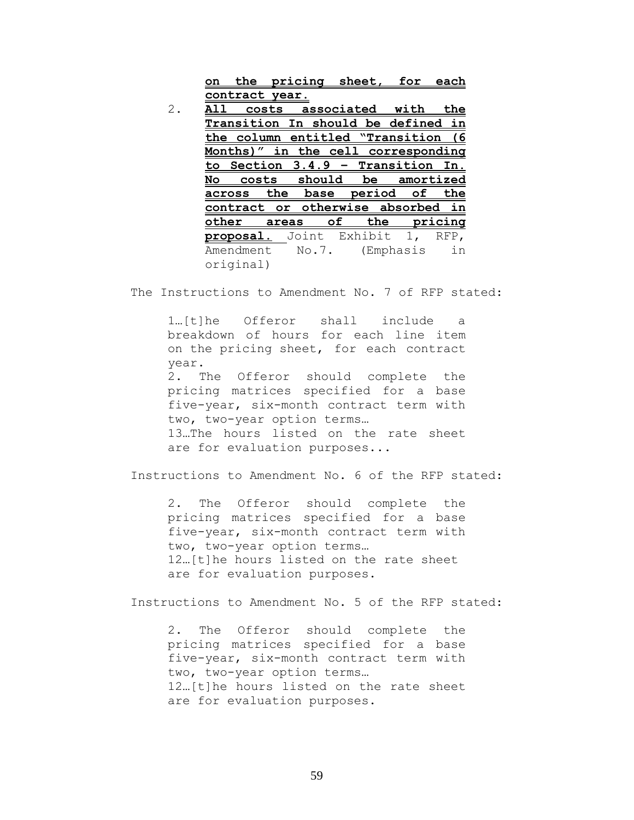**on the pricing sheet, for each contract year.**

2. **All costs associated with the Transition In should be defined in the column entitled "Transition (6 Months)" in the cell corresponding to Section 3.4.9 – Transition In. No costs should be amortized across the base period of the contract or otherwise absorbed in other areas of the pricing proposal.** Joint Exhibit 1, RFP, Amendment No.7. (Emphasis in original)

The Instructions to Amendment No. 7 of RFP stated:

1…[t]he Offeror shall include a breakdown of hours for each line item on the pricing sheet, for each contract year. 2. The Offeror should complete the pricing matrices specified for a base five-year, six-month contract term with two, two-year option terms…

13…The hours listed on the rate sheet are for evaluation purposes...

Instructions to Amendment No. 6 of the RFP stated:

2. The Offeror should complete the pricing matrices specified for a base five-year, six-month contract term with two, two-year option terms… 12…[t]he hours listed on the rate sheet are for evaluation purposes.

Instructions to Amendment No. 5 of the RFP stated:

2. The Offeror should complete the pricing matrices specified for a base five-year, six-month contract term with two, two-year option terms… 12…[t]he hours listed on the rate sheet are for evaluation purposes.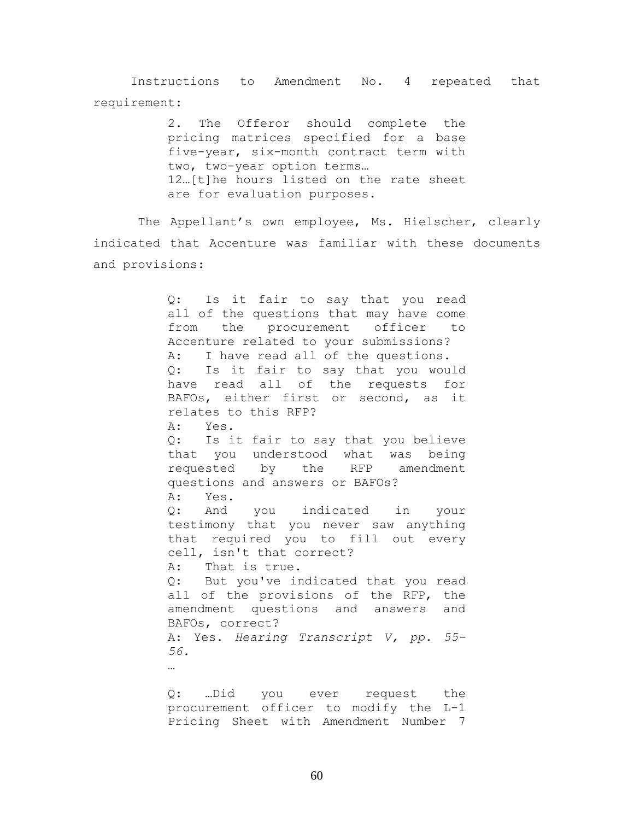Instructions to Amendment No. 4 repeated that requirement:

> 2. The Offeror should complete the pricing matrices specified for a base five-year, six-month contract term with two, two-year option terms… 12…[t]he hours listed on the rate sheet are for evaluation purposes.

 The Appellant's own employee, Ms. Hielscher, clearly indicated that Accenture was familiar with these documents and provisions:

> Q: Is it fair to say that you read all of the questions that may have come from the procurement officer to Accenture related to your submissions? A: I have read all of the questions. Q: Is it fair to say that you would have read all of the requests for BAFOs, either first or second, as it relates to this RFP? A: Yes. Q: Is it fair to say that you believe that you understood what was being requested by the RFP amendment questions and answers or BAFOs? A: Yes. Q: And you indicated in your testimony that you never saw anything that required you to fill out every cell, isn't that correct? A: That is true. Q: But you've indicated that you read all of the provisions of the RFP, the amendment questions and answers and BAFOs, correct? A: Yes. *Hearing Transcript V, pp. 55- 56.* … Q: …Did you ever request the procurement officer to modify the L-1

Pricing Sheet with Amendment Number 7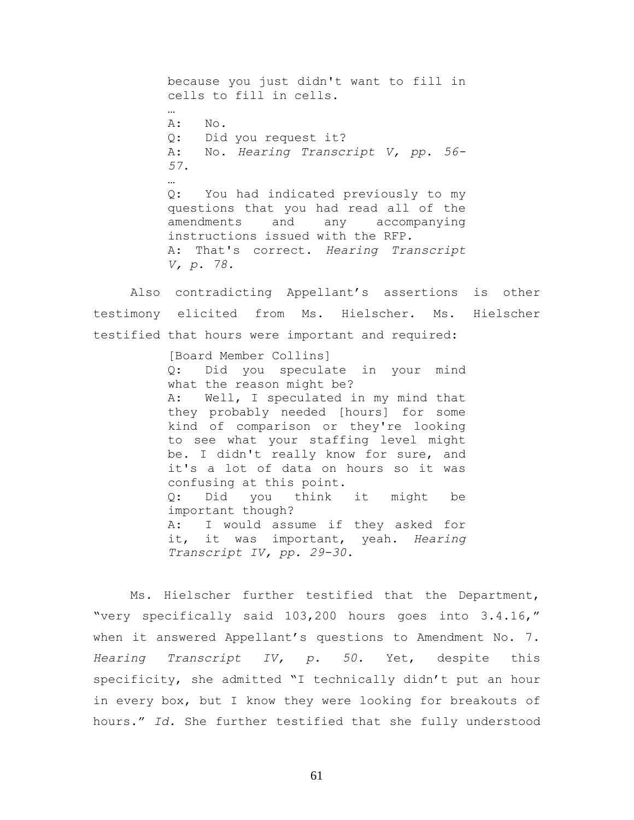because you just didn't want to fill in cells to fill in cells. … A: No. Q: Did you request it? A: No. *Hearing Transcript V, pp. 56- 57*. … Q: You had indicated previously to my questions that you had read all of the amendments and any accompanying instructions issued with the RFP. A: That's correct. *Hearing Transcript V, p. 78.*

Also contradicting Appellant's assertions is other testimony elicited from Ms. Hielscher. Ms. Hielscher testified that hours were important and required:

> [Board Member Collins] Q: Did you speculate in your mind what the reason might be? A: Well, I speculated in my mind that they probably needed [hours] for some kind of comparison or they're looking to see what your staffing level might be. I didn't really know for sure, and it's a lot of data on hours so it was confusing at this point.<br>Q: Did you think Q: Did you think it might be important though? A: I would assume if they asked for it, it was important, yeah. *Hearing Transcript IV, pp. 29-30*.

Ms. Hielscher further testified that the Department, "very specifically said 103,200 hours goes into 3.4.16," when it answered Appellant's questions to Amendment No. 7. *Hearing Transcript IV, p. 50*. Yet, despite this specificity, she admitted "I technically didn't put an hour in every box, but I know they were looking for breakouts of hours." *Id.* She further testified that she fully understood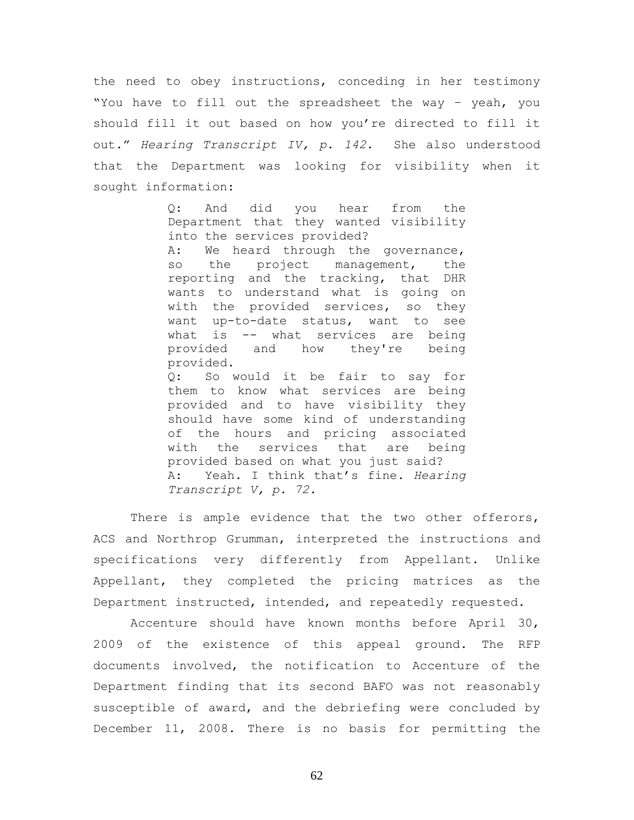the need to obey instructions, conceding in her testimony "You have to fill out the spreadsheet the way – yeah, you should fill it out based on how you're directed to fill it out." *Hearing Transcript IV, p. 142*. She also understood that the Department was looking for visibility when it sought information:

> Q: And did you hear from the Department that they wanted visibility into the services provided? A: We heard through the governance, so the project management, the reporting and the tracking, that DHR wants to understand what is going on with the provided services, so they want up-to-date status, want to see what is -- what services are being provided and how they're being provided. Q: So would it be fair to say for them to know what services are being provided and to have visibility they should have some kind of understanding of the hours and pricing associated with the services that are being provided based on what you just said? A: Yeah. I think that's fine. *Hearing Transcript V, p. 72.*

There is ample evidence that the two other offerors, ACS and Northrop Grumman, interpreted the instructions and specifications very differently from Appellant. Unlike Appellant, they completed the pricing matrices as the Department instructed, intended, and repeatedly requested.

Accenture should have known months before April 30, 2009 of the existence of this appeal ground. The RFP documents involved, the notification to Accenture of the Department finding that its second BAFO was not reasonably susceptible of award, and the debriefing were concluded by December 11, 2008. There is no basis for permitting the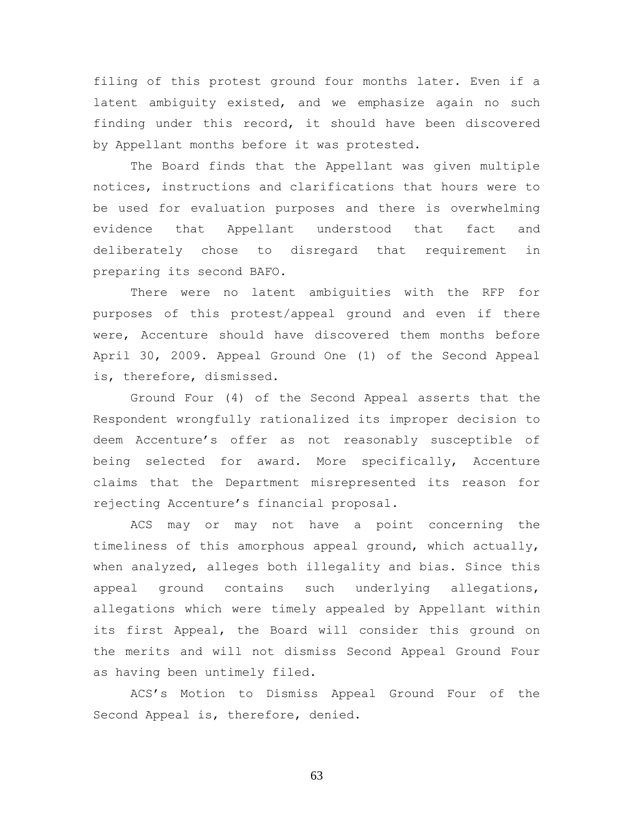filing of this protest ground four months later. Even if a latent ambiguity existed, and we emphasize again no such finding under this record, it should have been discovered by Appellant months before it was protested.

The Board finds that the Appellant was given multiple notices, instructions and clarifications that hours were to be used for evaluation purposes and there is overwhelming evidence that Appellant understood that fact and deliberately chose to disregard that requirement in preparing its second BAFO.

There were no latent ambiguities with the RFP for purposes of this protest/appeal ground and even if there were, Accenture should have discovered them months before April 30, 2009. Appeal Ground One (1) of the Second Appeal is, therefore, dismissed.

Ground Four (4) of the Second Appeal asserts that the Respondent wrongfully rationalized its improper decision to deem Accenture's offer as not reasonably susceptible of being selected for award. More specifically, Accenture claims that the Department misrepresented its reason for rejecting Accenture's financial proposal.

ACS may or may not have a point concerning the timeliness of this amorphous appeal ground, which actually, when analyzed, alleges both illegality and bias. Since this appeal ground contains such underlying allegations, allegations which were timely appealed by Appellant within its first Appeal, the Board will consider this ground on the merits and will not dismiss Second Appeal Ground Four as having been untimely filed.

ACS's Motion to Dismiss Appeal Ground Four of the Second Appeal is, therefore, denied.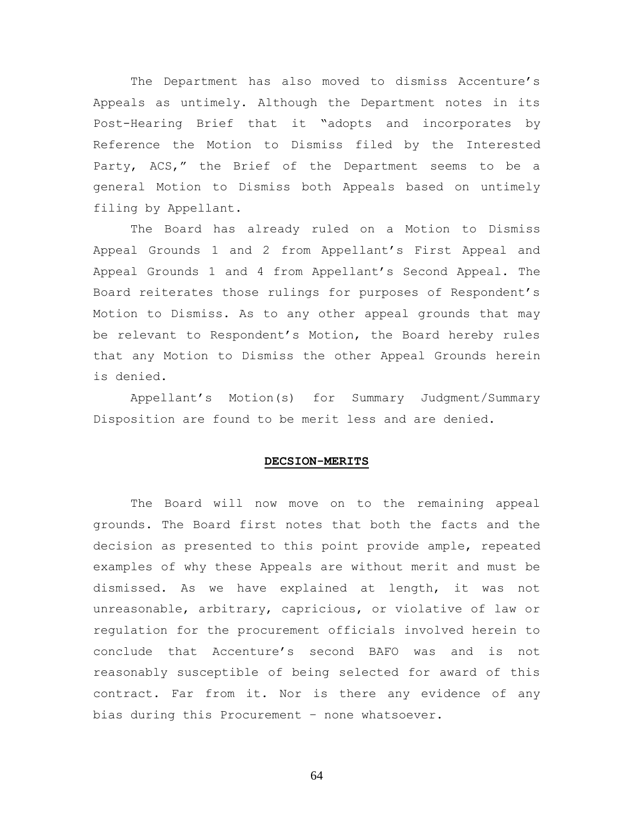The Department has also moved to dismiss Accenture's Appeals as untimely. Although the Department notes in its Post-Hearing Brief that it "adopts and incorporates by Reference the Motion to Dismiss filed by the Interested Party, ACS," the Brief of the Department seems to be a general Motion to Dismiss both Appeals based on untimely filing by Appellant.

The Board has already ruled on a Motion to Dismiss Appeal Grounds 1 and 2 from Appellant's First Appeal and Appeal Grounds 1 and 4 from Appellant's Second Appeal. The Board reiterates those rulings for purposes of Respondent's Motion to Dismiss. As to any other appeal grounds that may be relevant to Respondent's Motion, the Board hereby rules that any Motion to Dismiss the other Appeal Grounds herein is denied.

Appellant's Motion(s) for Summary Judgment/Summary Disposition are found to be merit less and are denied.

## **DECSION-MERITS**

The Board will now move on to the remaining appeal grounds. The Board first notes that both the facts and the decision as presented to this point provide ample, repeated examples of why these Appeals are without merit and must be dismissed. As we have explained at length, it was not unreasonable, arbitrary, capricious, or violative of law or regulation for the procurement officials involved herein to conclude that Accenture's second BAFO was and is not reasonably susceptible of being selected for award of this contract. Far from it. Nor is there any evidence of any bias during this Procurement – none whatsoever.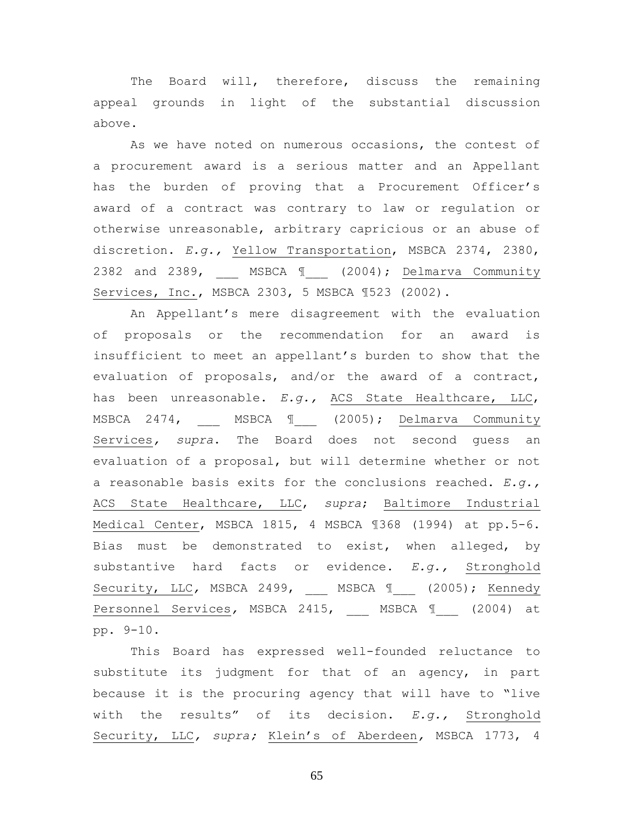The Board will, therefore, discuss the remaining appeal grounds in light of the substantial discussion above.

As we have noted on numerous occasions, the contest of a procurement award is a serious matter and an Appellant has the burden of proving that a Procurement Officer's award of a contract was contrary to law or regulation or otherwise unreasonable, arbitrary capricious or an abuse of discretion. *E.g.,* Yellow Transportation, MSBCA 2374, 2380, 2382 and 2389, MSBCA 1 (2004); Delmarva Community Services, Inc., MSBCA 2303, 5 MSBCA ¶523 (2002).

An Appellant's mere disagreement with the evaluation of proposals or the recommendation for an award is insufficient to meet an appellant's burden to show that the evaluation of proposals, and/or the award of a contract, has been unreasonable. *E.g.,* ACS State Healthcare, LLC, MSBCA 2474, \_\_\_ MSBCA ¶\_\_\_ (2005); Delmarva Community Services*, supra*. The Board does not second guess an evaluation of a proposal, but will determine whether or not a reasonable basis exits for the conclusions reached. *E.g.,*  ACS State Healthcare, LLC, *supra*; Baltimore Industrial Medical Center, MSBCA 1815, 4 MSBCA ¶368 (1994) at pp.5-6. Bias must be demonstrated to exist, when alleged, by substantive hard facts or evidence. *E.g.,* Stronghold Security, LLC, MSBCA 2499, MSBCA 1 (2005); Kennedy Personnel Services, MSBCA 2415, MSBCA 1 (2004) at pp. 9-10.

This Board has expressed well-founded reluctance to substitute its judgment for that of an agency, in part because it is the procuring agency that will have to "live with the results" of its decision. *E.g.,* Stronghold Security, LLC*, supra;* Klein's of Aberdeen*,* MSBCA 1773, 4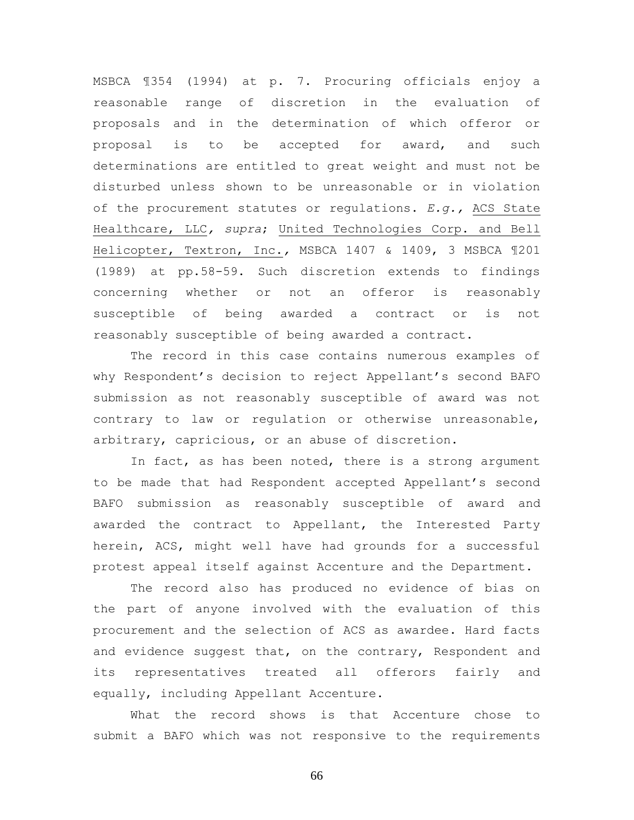MSBCA ¶354 (1994) at p. 7. Procuring officials enjoy a reasonable range of discretion in the evaluation of proposals and in the determination of which offeror or proposal is to be accepted for award, and such determinations are entitled to great weight and must not be disturbed unless shown to be unreasonable or in violation of the procurement statutes or regulations. *E.g.,* ACS State Healthcare, LLC*, supra*; United Technologies Corp. and Bell Helicopter, Textron, Inc.*,* MSBCA 1407 & 1409, 3 MSBCA ¶201 (1989) at pp.58-59. Such discretion extends to findings concerning whether or not an offeror is reasonably susceptible of being awarded a contract or is not reasonably susceptible of being awarded a contract.

The record in this case contains numerous examples of why Respondent's decision to reject Appellant's second BAFO submission as not reasonably susceptible of award was not contrary to law or regulation or otherwise unreasonable, arbitrary, capricious, or an abuse of discretion.

In fact, as has been noted, there is a strong argument to be made that had Respondent accepted Appellant's second BAFO submission as reasonably susceptible of award and awarded the contract to Appellant, the Interested Party herein, ACS, might well have had grounds for a successful protest appeal itself against Accenture and the Department.

The record also has produced no evidence of bias on the part of anyone involved with the evaluation of this procurement and the selection of ACS as awardee. Hard facts and evidence suggest that, on the contrary, Respondent and its representatives treated all offerors fairly and equally, including Appellant Accenture.

What the record shows is that Accenture chose to submit a BAFO which was not responsive to the requirements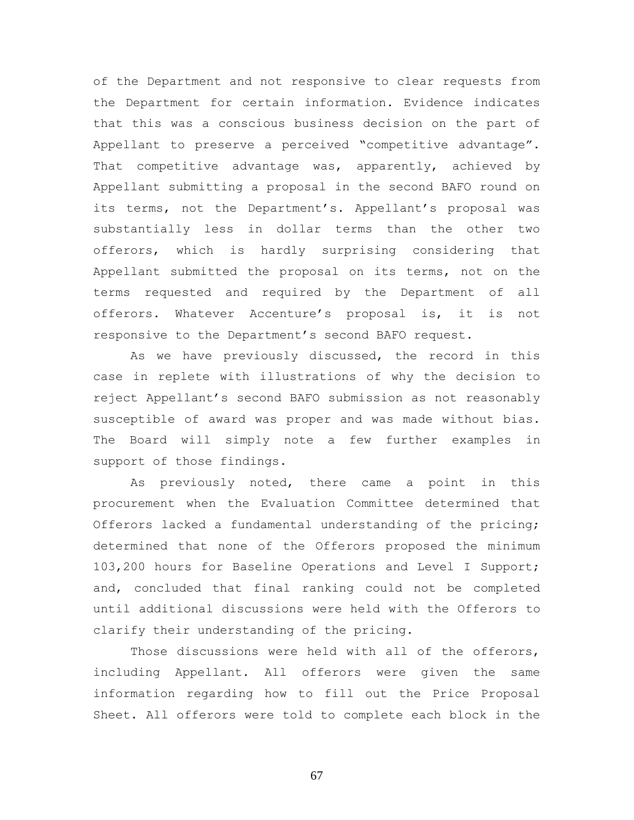of the Department and not responsive to clear requests from the Department for certain information. Evidence indicates that this was a conscious business decision on the part of Appellant to preserve a perceived "competitive advantage". That competitive advantage was, apparently, achieved by Appellant submitting a proposal in the second BAFO round on its terms, not the Department's. Appellant's proposal was substantially less in dollar terms than the other two offerors, which is hardly surprising considering that Appellant submitted the proposal on its terms, not on the terms requested and required by the Department of all offerors. Whatever Accenture's proposal is, it is not responsive to the Department's second BAFO request.

As we have previously discussed, the record in this case in replete with illustrations of why the decision to reject Appellant's second BAFO submission as not reasonably susceptible of award was proper and was made without bias. The Board will simply note a few further examples in support of those findings.

As previously noted, there came a point in this procurement when the Evaluation Committee determined that Offerors lacked a fundamental understanding of the pricing; determined that none of the Offerors proposed the minimum 103,200 hours for Baseline Operations and Level I Support; and, concluded that final ranking could not be completed until additional discussions were held with the Offerors to clarify their understanding of the pricing.

Those discussions were held with all of the offerors, including Appellant. All offerors were given the same information regarding how to fill out the Price Proposal Sheet. All offerors were told to complete each block in the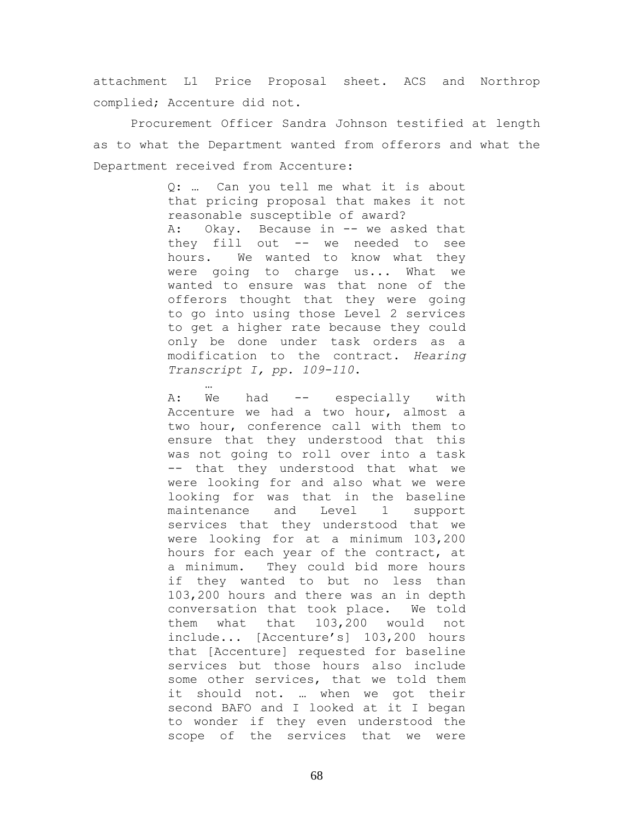attachment L1 Price Proposal sheet. ACS and Northrop complied; Accenture did not.

Procurement Officer Sandra Johnson testified at length as to what the Department wanted from offerors and what the Department received from Accenture:

> Q: … Can you tell me what it is about that pricing proposal that makes it not reasonable susceptible of award? A: Okay. Because in -- we asked that they fill out -- we needed to see hours. We wanted to know what they were going to charge us... What we wanted to ensure was that none of the offerors thought that they were going to go into using those Level 2 services to get a higher rate because they could only be done under task orders as a modification to the contract. *Hearing Transcript I, pp. 109-110*.

> A: We had -- especially with Accenture we had a two hour, almost a two hour, conference call with them to ensure that they understood that this was not going to roll over into a task -- that they understood that what we were looking for and also what we were looking for was that in the baseline maintenance and Level 1 support services that they understood that we were looking for at a minimum 103,200 hours for each year of the contract, at a minimum. They could bid more hours if they wanted to but no less than 103,200 hours and there was an in depth conversation that took place. We told them what that 103,200 would not include... [Accenture's] 103,200 hours that [Accenture] requested for baseline services but those hours also include some other services, that we told them it should not. … when we got their second BAFO and I looked at it I began to wonder if they even understood the scope of the services that we were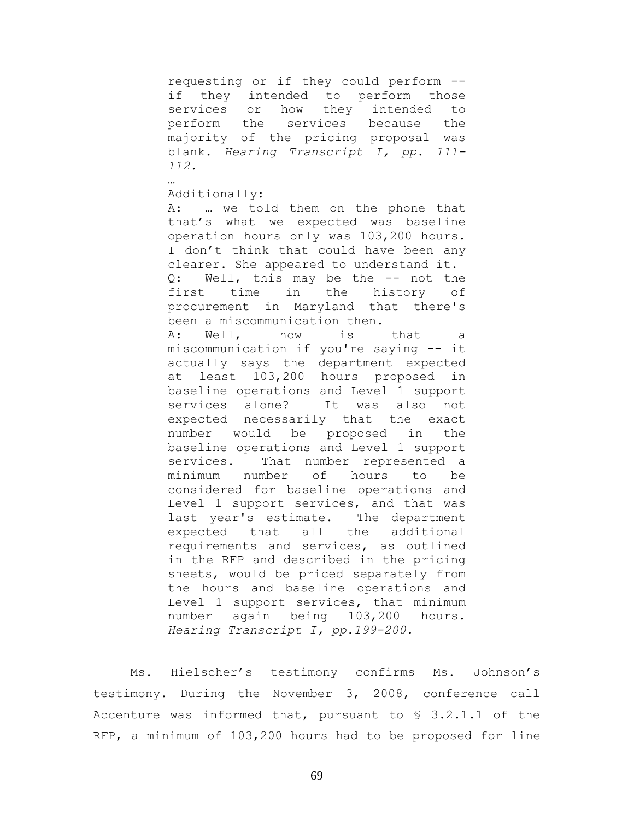requesting or if they could perform - if they intended to perform those services or how they intended to perform the services because the majority of the pricing proposal was blank. *Hearing Transcript I, pp. 111- 112.*

Additionally:

…

A: … we told them on the phone that that's what we expected was baseline operation hours only was 103,200 hours. I don't think that could have been any clearer. She appeared to understand it. Q: Well, this may be the -- not the first time in the history of procurement in Maryland that there's been a miscommunication then. A: Well, how is that a miscommunication if you're saying -- it actually says the department expected at least 103,200 hours proposed in baseline operations and Level 1 support services alone? It was also not expected necessarily that the exact number would be proposed in the baseline operations and Level 1 support services. That number represented a minimum number of hours to be considered for baseline operations and Level 1 support services, and that was last year's estimate. The department expected that all the additional requirements and services, as outlined in the RFP and described in the pricing sheets, would be priced separately from the hours and baseline operations and Level 1 support services, that minimum number again being 103,200 hours. *Hearing Transcript I, pp.199-200.*

Ms. Hielscher's testimony confirms Ms. Johnson's testimony. During the November 3, 2008, conference call Accenture was informed that, pursuant to § 3.2.1.1 of the RFP, a minimum of 103,200 hours had to be proposed for line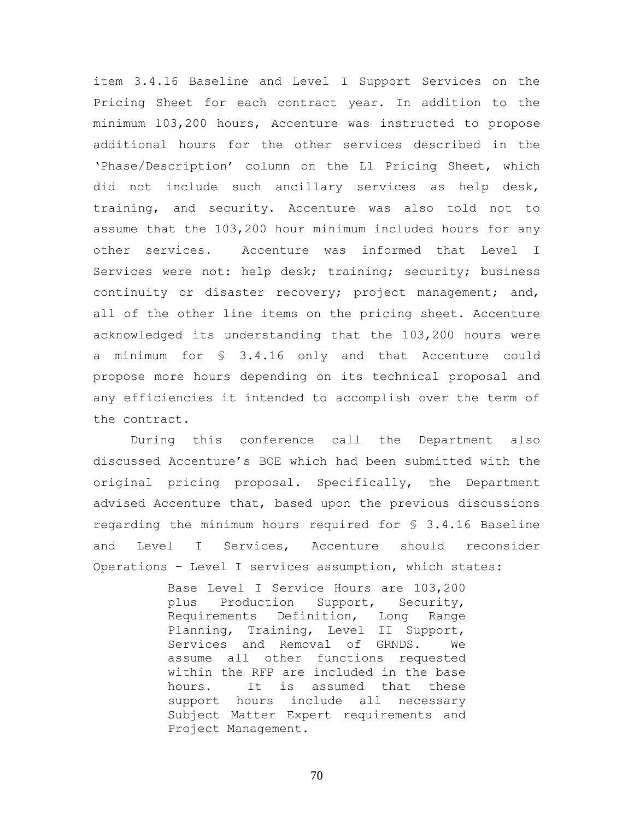item 3.4.16 Baseline and Level I Support Services on the Pricing Sheet for each contract year. In addition to the minimum 103,200 hours, Accenture was instructed to propose additional hours for the other services described in the 'Phase/Description' column on the L1 Pricing Sheet, which did not include such ancillary services as help desk, training, and security. Accenture was also told not to assume that the 103,200 hour minimum included hours for any other services. Accenture was informed that Level I Services were not: help desk; training; security; business continuity or disaster recovery; project management; and, all of the other line items on the pricing sheet. Accenture acknowledged its understanding that the 103,200 hours were a minimum for § 3.4.16 only and that Accenture could propose more hours depending on its technical proposal and any efficiencies it intended to accomplish over the term of the contract.

During this conference call the Department also discussed Accenture's BOE which had been submitted with the original pricing proposal. Specifically, the Department advised Accenture that, based upon the previous discussions regarding the minimum hours required for § 3.4.16 Baseline and Level I Services, Accenture should reconsider Operations – Level I services assumption, which states:

> Base Level I Service Hours are 103,200 plus Production Support, Security, Requirements Definition, Long Range Planning, Training, Level II Support, Services and Removal of GRNDS. We assume all other functions requested within the RFP are included in the base hours. It is assumed that these support hours include all necessary Subject Matter Expert requirements and Project Management.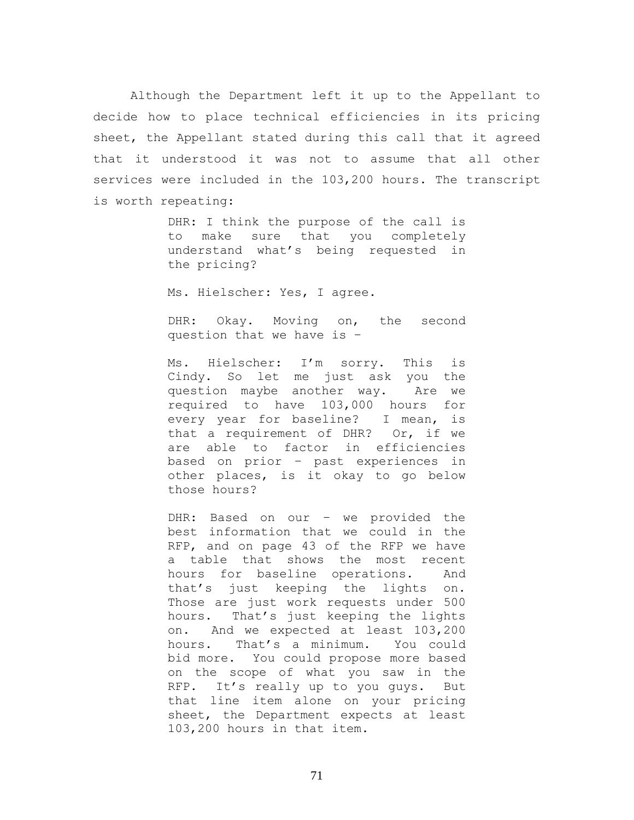Although the Department left it up to the Appellant to decide how to place technical efficiencies in its pricing sheet, the Appellant stated during this call that it agreed that it understood it was not to assume that all other services were included in the 103,200 hours. The transcript is worth repeating:

> DHR: I think the purpose of the call is to make sure that you completely understand what's being requested in the pricing?

Ms. Hielscher: Yes, I agree.

DHR: Okay. Moving on, the second question that we have is –

Ms. Hielscher: I'm sorry. This is Cindy. So let me just ask you the question maybe another way. Are we required to have 103,000 hours for every year for baseline? I mean, is that a requirement of DHR? Or, if we are able to factor in efficiencies based on prior – past experiences in other places, is it okay to go below those hours?

DHR: Based on our – we provided the best information that we could in the RFP, and on page 43 of the RFP we have a table that shows the most recent hours for baseline operations. And that's just keeping the lights on. Those are just work requests under 500 hours. That's just keeping the lights on. And we expected at least 103,200 hours. That's a minimum. You could bid more. You could propose more based on the scope of what you saw in the RFP. It's really up to you guys. But that line item alone on your pricing sheet, the Department expects at least 103,200 hours in that item.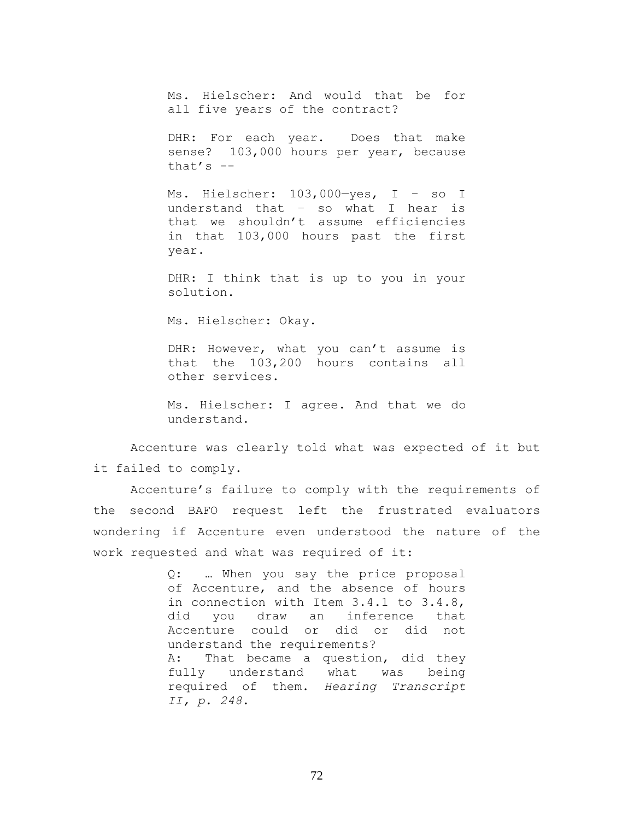Ms. Hielscher: And would that be for all five years of the contract?

DHR: For each year. Does that make sense? 103,000 hours per year, because that's  $-$ 

Ms. Hielscher: 103,000—yes, I – so I understand that – so what I hear is that we shouldn't assume efficiencies in that 103,000 hours past the first year.

DHR: I think that is up to you in your solution.

Ms. Hielscher: Okay.

DHR: However, what you can't assume is that the 103,200 hours contains all other services.

Ms. Hielscher: I agree. And that we do understand.

Accenture was clearly told what was expected of it but it failed to comply.

Accenture's failure to comply with the requirements of the second BAFO request left the frustrated evaluators wondering if Accenture even understood the nature of the work requested and what was required of it:

> Q: … When you say the price proposal of Accenture, and the absence of hours in connection with Item 3.4.1 to 3.4.8, did you draw an inference that Accenture could or did or did not understand the requirements? A: That became a question, did they fully understand what was being required of them. *Hearing Transcript II, p. 248*.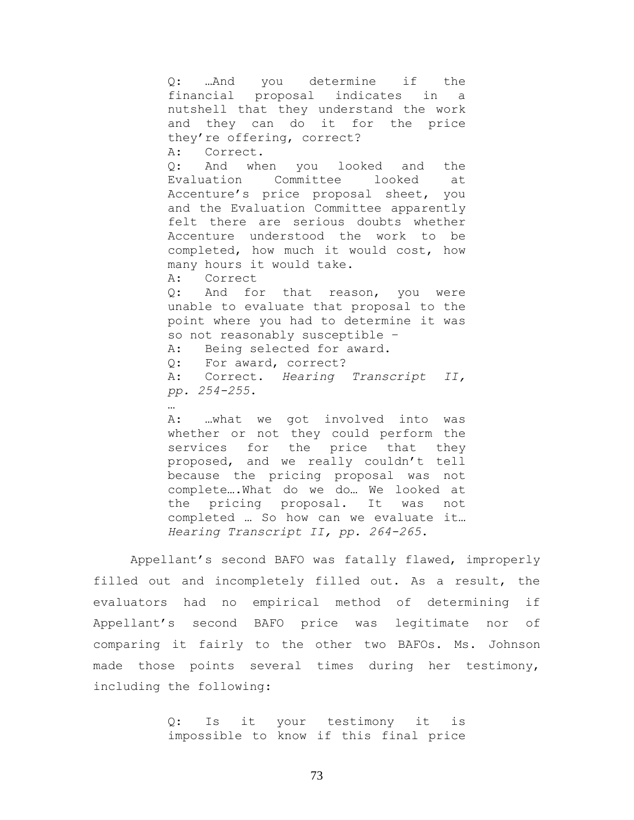Q: …And you determine if the financial proposal indicates in a nutshell that they understand the work and they can do it for the price they're offering, correct? A: Correct. Q: And when you looked and the Evaluation Committee looked at Accenture's price proposal sheet, you and the Evaluation Committee apparently felt there are serious doubts whether Accenture understood the work to be completed, how much it would cost, how many hours it would take. A: Correct Q: And for that reason, you were unable to evaluate that proposal to the point where you had to determine it was so not reasonably susceptible – A: Being selected for award. Q: For award, correct? A: Correct. *Hearing Transcript II, pp. 254-255*.

A: …what we got involved into was whether or not they could perform the services for the price that they proposed, and we really couldn't tell because the pricing proposal was not complete….What do we do… We looked at the pricing proposal. It was not completed … So how can we evaluate it… *Hearing Transcript II, pp. 264-265*.

…

Appellant's second BAFO was fatally flawed, improperly filled out and incompletely filled out. As a result, the evaluators had no empirical method of determining if Appellant's second BAFO price was legitimate nor of comparing it fairly to the other two BAFOs. Ms. Johnson made those points several times during her testimony, including the following:

> Q: Is it your testimony it is impossible to know if this final price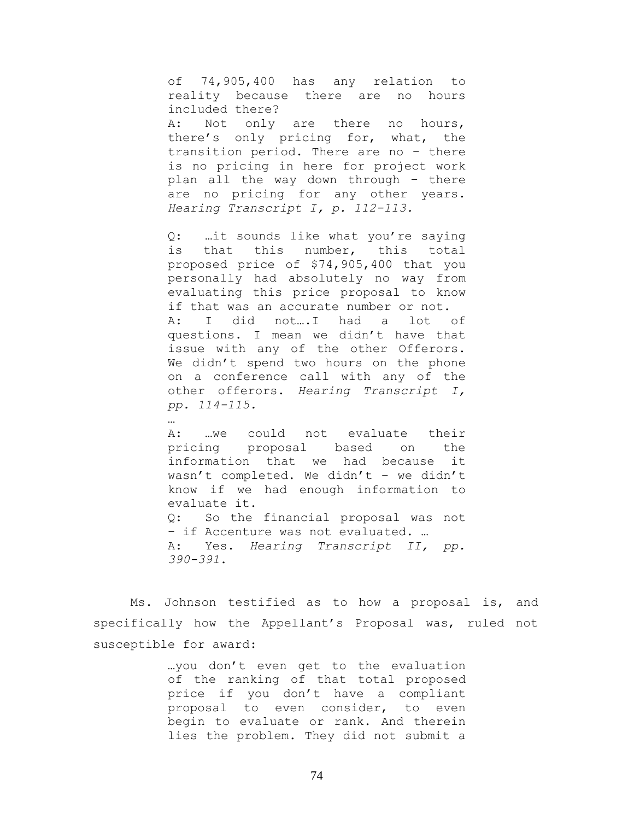of 74,905,400 has any relation to reality because there are no hours included there? A: Not only are there no hours, there's only pricing for, what, the transition period. There are no – there is no pricing in here for project work plan all the way down through – there are no pricing for any other years. *Hearing Transcript I, p. 112-113.*

Q: …it sounds like what you're saying is that this number, this total proposed price of \$74,905,400 that you personally had absolutely no way from evaluating this price proposal to know if that was an accurate number or not. A: I did not….I had a lot of questions. I mean we didn't have that issue with any of the other Offerors. We didn't spend two hours on the phone on a conference call with any of the other offerors. *Hearing Transcript I, pp. 114-115.*

A: …we could not evaluate their pricing proposal based on the information that we had because it wasn't completed. We didn't – we didn't know if we had enough information to evaluate it. Q: So the financial proposal was not – if Accenture was not evaluated. … A: Yes. *Hearing Transcript II, pp. 390-391*.

Ms. Johnson testified as to how a proposal is, and specifically how the Appellant's Proposal was, ruled not susceptible for award:

> …you don't even get to the evaluation of the ranking of that total proposed price if you don't have a compliant proposal to even consider, to even begin to evaluate or rank. And therein lies the problem. They did not submit a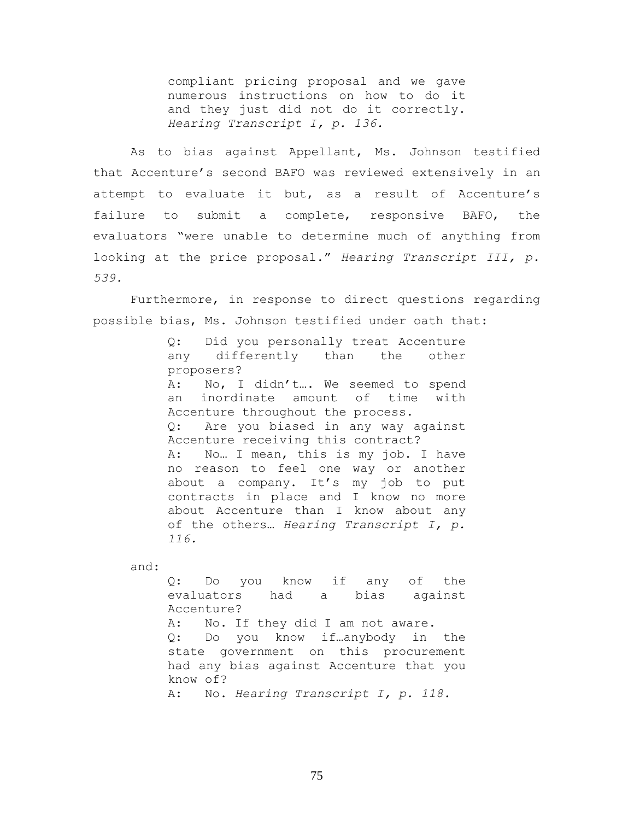compliant pricing proposal and we gave numerous instructions on how to do it and they just did not do it correctly. *Hearing Transcript I, p. 136.*

As to bias against Appellant, Ms. Johnson testified that Accenture's second BAFO was reviewed extensively in an attempt to evaluate it but, as a result of Accenture's failure to submit a complete, responsive BAFO, the evaluators "were unable to determine much of anything from looking at the price proposal." *Hearing Transcript III, p. 539.*

Furthermore, in response to direct questions regarding possible bias, Ms. Johnson testified under oath that:

> Q: Did you personally treat Accenture any differently than the other proposers? A: No, I didn't…. We seemed to spend an inordinate amount of time with Accenture throughout the process. Q: Are you biased in any way against Accenture receiving this contract? A: No… I mean, this is my job. I have no reason to feel one way or another about a company. It's my job to put contracts in place and I know no more about Accenture than I know about any of the others… *Hearing Transcript I, p. 116.*

and:

Q: Do you know if any of the evaluators had a bias against Accenture? A: No. If they did I am not aware. Q: Do you know if…anybody in the state government on this procurement had any bias against Accenture that you know of? A: No. *Hearing Transcript I, p. 118.*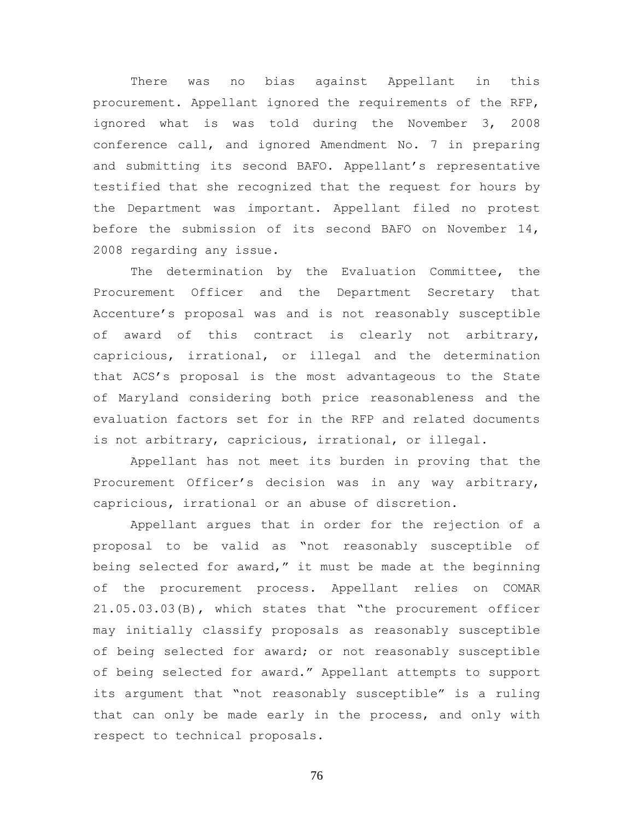There was no bias against Appellant in this procurement. Appellant ignored the requirements of the RFP, ignored what is was told during the November 3, 2008 conference call, and ignored Amendment No. 7 in preparing and submitting its second BAFO. Appellant's representative testified that she recognized that the request for hours by the Department was important. Appellant filed no protest before the submission of its second BAFO on November 14, 2008 regarding any issue.

The determination by the Evaluation Committee, the Procurement Officer and the Department Secretary that Accenture's proposal was and is not reasonably susceptible of award of this contract is clearly not arbitrary, capricious, irrational, or illegal and the determination that ACS's proposal is the most advantageous to the State of Maryland considering both price reasonableness and the evaluation factors set for in the RFP and related documents is not arbitrary, capricious, irrational, or illegal.

Appellant has not meet its burden in proving that the Procurement Officer's decision was in any way arbitrary, capricious, irrational or an abuse of discretion.

Appellant argues that in order for the rejection of a proposal to be valid as "not reasonably susceptible of being selected for award," it must be made at the beginning of the procurement process. Appellant relies on COMAR 21.05.03.03(B), which states that "the procurement officer may initially classify proposals as reasonably susceptible of being selected for award; or not reasonably susceptible of being selected for award." Appellant attempts to support its argument that "not reasonably susceptible" is a ruling that can only be made early in the process, and only with respect to technical proposals.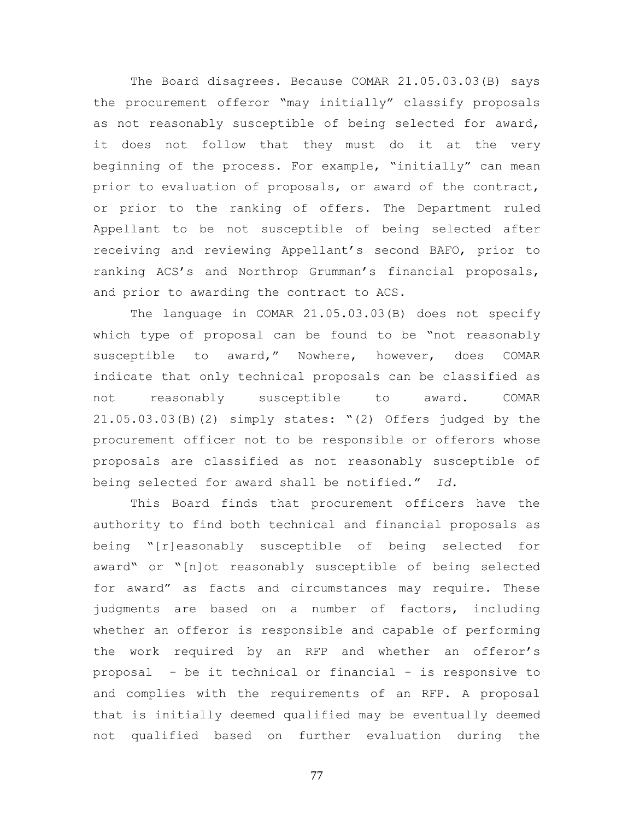The Board disagrees. Because COMAR 21.05.03.03(B) says the procurement offeror "may initially" classify proposals as not reasonably susceptible of being selected for award, it does not follow that they must do it at the very beginning of the process. For example, "initially" can mean prior to evaluation of proposals, or award of the contract, or prior to the ranking of offers. The Department ruled Appellant to be not susceptible of being selected after receiving and reviewing Appellant's second BAFO, prior to ranking ACS's and Northrop Grumman's financial proposals, and prior to awarding the contract to ACS.

The language in COMAR 21.05.03.03(B) does not specify which type of proposal can be found to be "not reasonably susceptible to award," Nowhere, however, does COMAR indicate that only technical proposals can be classified as not reasonably susceptible to award. COMAR 21.05.03.03(B)(2) simply states: "(2) Offers judged by the procurement officer not to be responsible or offerors whose proposals are classified as not reasonably susceptible of being selected for award shall be notified." *Id.*

This Board finds that procurement officers have the authority to find both technical and financial proposals as being "[r]easonably susceptible of being selected for award" or "[n]ot reasonably susceptible of being selected for award" as facts and circumstances may require. These judgments are based on a number of factors, including whether an offeror is responsible and capable of performing the work required by an RFP and whether an offeror's proposal - be it technical or financial - is responsive to and complies with the requirements of an RFP. A proposal that is initially deemed qualified may be eventually deemed not qualified based on further evaluation during the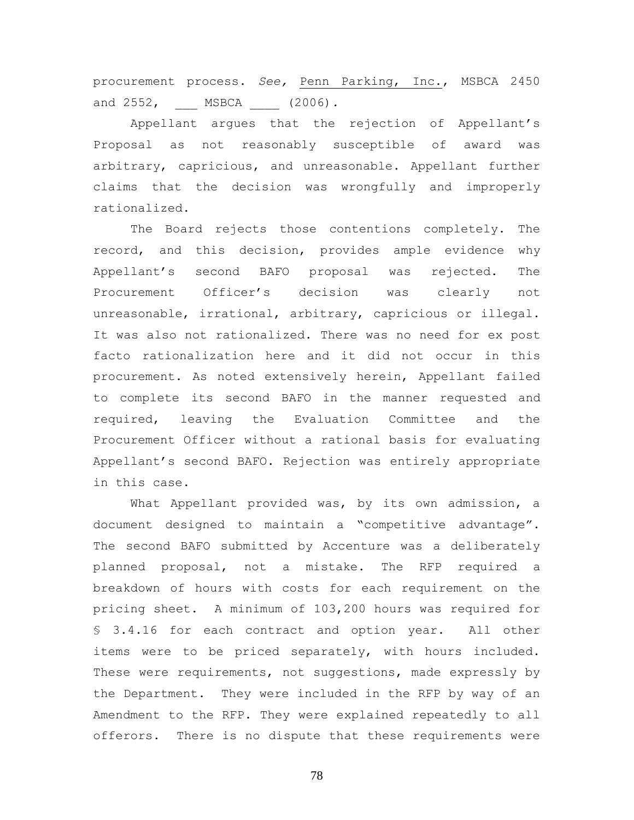procurement process. *See,* Penn Parking, Inc., MSBCA 2450 and 2552, MSBCA (2006).

Appellant argues that the rejection of Appellant's Proposal as not reasonably susceptible of award was arbitrary, capricious, and unreasonable. Appellant further claims that the decision was wrongfully and improperly rationalized.

The Board rejects those contentions completely. The record, and this decision, provides ample evidence why Appellant's second BAFO proposal was rejected. The Procurement Officer's decision was clearly not unreasonable, irrational, arbitrary, capricious or illegal. It was also not rationalized. There was no need for ex post facto rationalization here and it did not occur in this procurement. As noted extensively herein, Appellant failed to complete its second BAFO in the manner requested and required, leaving the Evaluation Committee and the Procurement Officer without a rational basis for evaluating Appellant's second BAFO. Rejection was entirely appropriate in this case.

What Appellant provided was, by its own admission, a document designed to maintain a "competitive advantage". The second BAFO submitted by Accenture was a deliberately planned proposal, not a mistake. The RFP required a breakdown of hours with costs for each requirement on the pricing sheet. A minimum of 103,200 hours was required for § 3.4.16 for each contract and option year. All other items were to be priced separately, with hours included. These were requirements, not suggestions, made expressly by the Department. They were included in the RFP by way of an Amendment to the RFP. They were explained repeatedly to all offerors. There is no dispute that these requirements were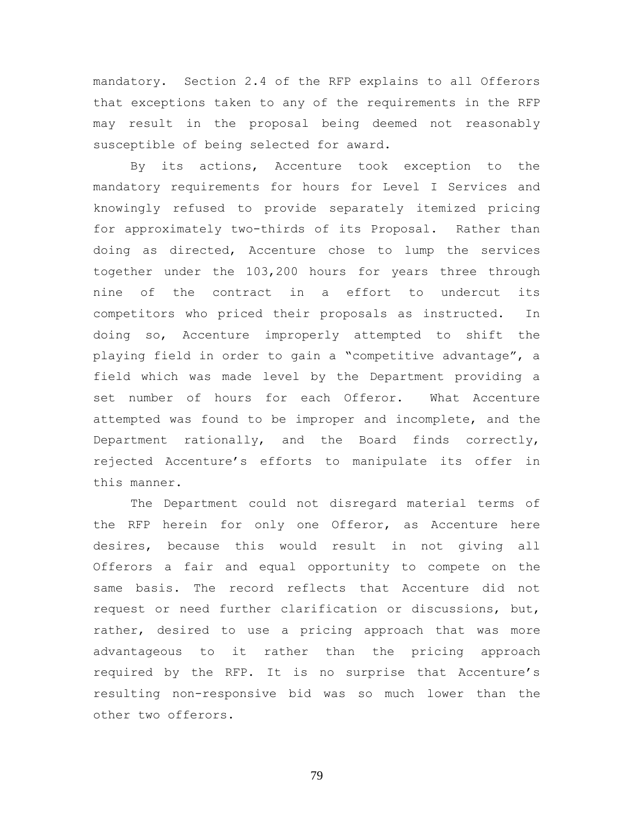mandatory. Section 2.4 of the RFP explains to all Offerors that exceptions taken to any of the requirements in the RFP may result in the proposal being deemed not reasonably susceptible of being selected for award.

By its actions, Accenture took exception to the mandatory requirements for hours for Level I Services and knowingly refused to provide separately itemized pricing for approximately two-thirds of its Proposal. Rather than doing as directed, Accenture chose to lump the services together under the 103,200 hours for years three through nine of the contract in a effort to undercut its competitors who priced their proposals as instructed. In doing so, Accenture improperly attempted to shift the playing field in order to gain a "competitive advantage", a field which was made level by the Department providing a set number of hours for each Offeror. What Accenture attempted was found to be improper and incomplete, and the Department rationally, and the Board finds correctly, rejected Accenture's efforts to manipulate its offer in this manner.

The Department could not disregard material terms of the RFP herein for only one Offeror, as Accenture here desires, because this would result in not giving all Offerors a fair and equal opportunity to compete on the same basis. The record reflects that Accenture did not request or need further clarification or discussions, but, rather, desired to use a pricing approach that was more advantageous to it rather than the pricing approach required by the RFP. It is no surprise that Accenture's resulting non-responsive bid was so much lower than the other two offerors.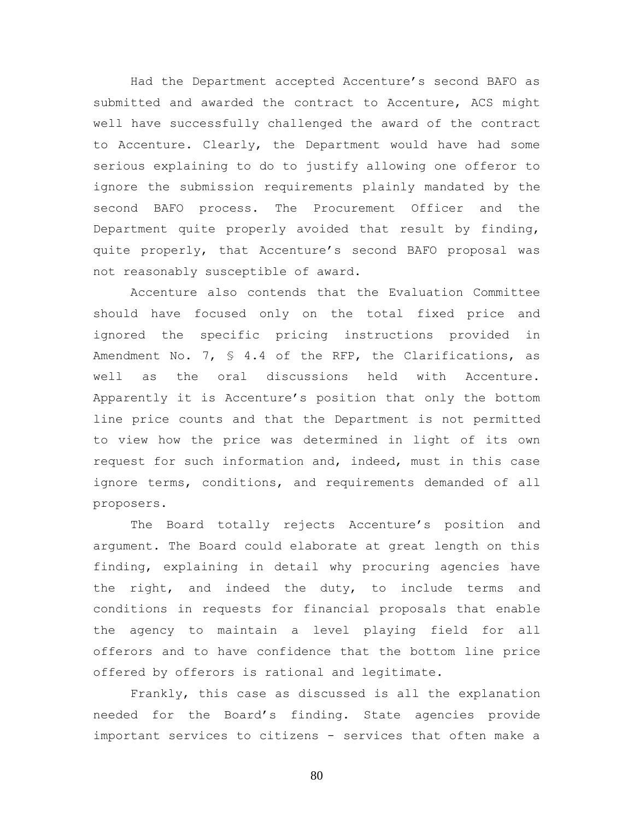Had the Department accepted Accenture's second BAFO as submitted and awarded the contract to Accenture, ACS might well have successfully challenged the award of the contract to Accenture. Clearly, the Department would have had some serious explaining to do to justify allowing one offeror to ignore the submission requirements plainly mandated by the second BAFO process. The Procurement Officer and the Department quite properly avoided that result by finding, quite properly, that Accenture's second BAFO proposal was not reasonably susceptible of award.

Accenture also contends that the Evaluation Committee should have focused only on the total fixed price and ignored the specific pricing instructions provided in Amendment No. 7, § 4.4 of the RFP, the Clarifications, as well as the oral discussions held with Accenture. Apparently it is Accenture's position that only the bottom line price counts and that the Department is not permitted to view how the price was determined in light of its own request for such information and, indeed, must in this case ignore terms, conditions, and requirements demanded of all proposers.

The Board totally rejects Accenture's position and argument. The Board could elaborate at great length on this finding, explaining in detail why procuring agencies have the right, and indeed the duty, to include terms and conditions in requests for financial proposals that enable the agency to maintain a level playing field for all offerors and to have confidence that the bottom line price offered by offerors is rational and legitimate.

Frankly, this case as discussed is all the explanation needed for the Board's finding. State agencies provide important services to citizens - services that often make a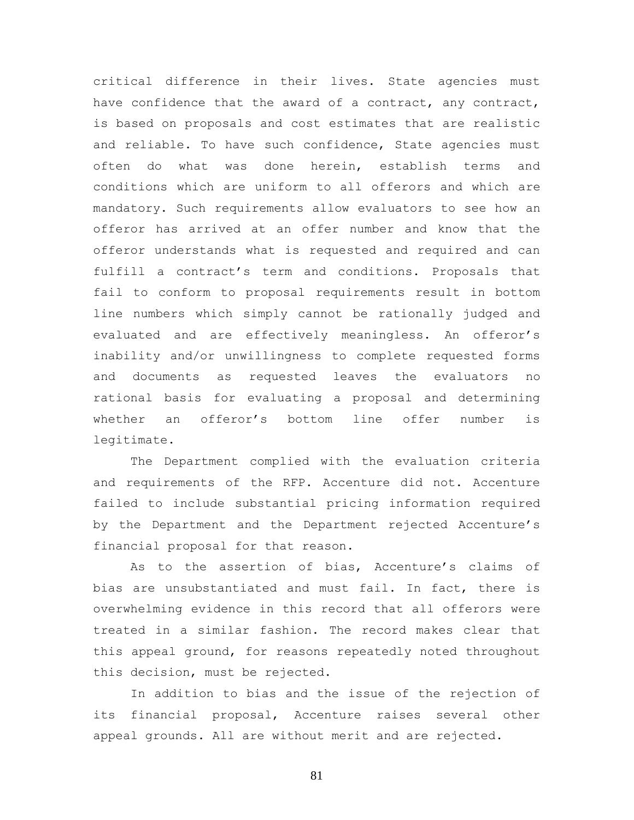critical difference in their lives. State agencies must have confidence that the award of a contract, any contract, is based on proposals and cost estimates that are realistic and reliable. To have such confidence, State agencies must often do what was done herein, establish terms and conditions which are uniform to all offerors and which are mandatory. Such requirements allow evaluators to see how an offeror has arrived at an offer number and know that the offeror understands what is requested and required and can fulfill a contract's term and conditions. Proposals that fail to conform to proposal requirements result in bottom line numbers which simply cannot be rationally judged and evaluated and are effectively meaningless. An offeror's inability and/or unwillingness to complete requested forms and documents as requested leaves the evaluators no rational basis for evaluating a proposal and determining whether an offeror's bottom line offer number is legitimate.

The Department complied with the evaluation criteria and requirements of the RFP. Accenture did not. Accenture failed to include substantial pricing information required by the Department and the Department rejected Accenture's financial proposal for that reason.

As to the assertion of bias, Accenture's claims of bias are unsubstantiated and must fail. In fact, there is overwhelming evidence in this record that all offerors were treated in a similar fashion. The record makes clear that this appeal ground, for reasons repeatedly noted throughout this decision, must be rejected.

In addition to bias and the issue of the rejection of its financial proposal, Accenture raises several other appeal grounds. All are without merit and are rejected.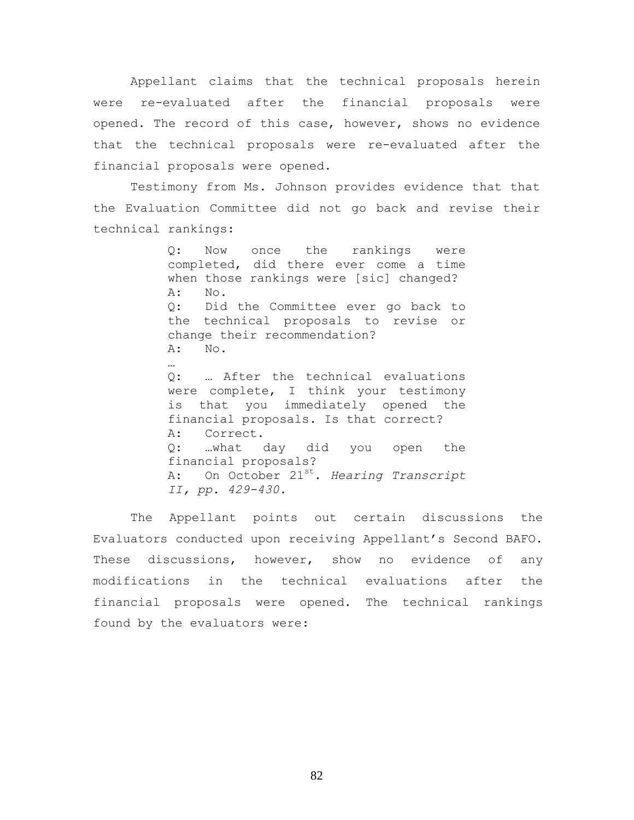Appellant claims that the technical proposals herein were re-evaluated after the financial proposals were opened. The record of this case, however, shows no evidence that the technical proposals were re-evaluated after the financial proposals were opened.

Testimony from Ms. Johnson provides evidence that that the Evaluation Committee did not go back and revise their technical rankings:

> Q: Now once the rankings were completed, did there ever come a time when those rankings were [sic] changed? A: No. Q: Did the Committee ever go back to the technical proposals to revise or change their recommendation? A: No. Q: … After the technical evaluations were complete, I think your testimony is that you immediately opened the financial proposals. Is that correct? A: Correct. Q: …what day did you open the financial proposals? A: On October 21st. *Hearing Transcript II, pp. 429-430*.

The Appellant points out certain discussions the Evaluators conducted upon receiving Appellant's Second BAFO. These discussions, however, show no evidence of any modifications in the technical evaluations after the financial proposals were opened. The technical rankings found by the evaluators were: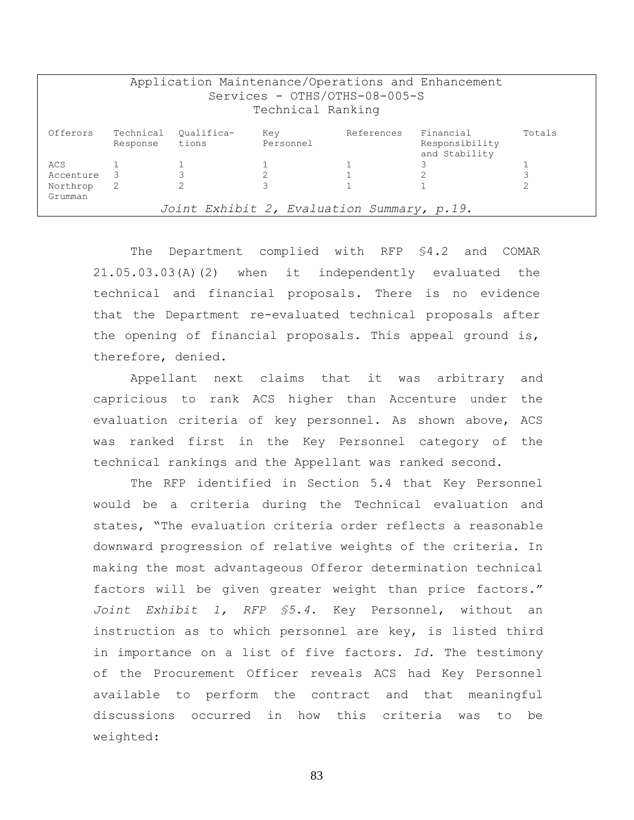| Application Maintenance/Operations and Enhancement<br>Services - OTHS/OTHS-08-005-S<br>Technical Ranking |                       |                     |                  |            |                                              |        |
|----------------------------------------------------------------------------------------------------------|-----------------------|---------------------|------------------|------------|----------------------------------------------|--------|
| Offerors                                                                                                 | Technical<br>Response | Oualifica-<br>tions | Key<br>Personnel | References | Financial<br>Responsibility<br>and Stability | Totals |
| ACS                                                                                                      |                       |                     |                  |            |                                              |        |
| Accenture                                                                                                | - 3                   |                     |                  |            |                                              |        |
| Northrop                                                                                                 | 2                     |                     |                  |            |                                              |        |
| Grumman                                                                                                  |                       |                     |                  |            |                                              |        |
| Joint Exhibit 2, Evaluation Summary, p.19.                                                               |                       |                     |                  |            |                                              |        |

The Department complied with RFP §4.2 and COMAR 21.05.03.03(A)(2) when it independently evaluated the technical and financial proposals. There is no evidence that the Department re-evaluated technical proposals after the opening of financial proposals. This appeal ground is, therefore, denied.

Appellant next claims that it was arbitrary and capricious to rank ACS higher than Accenture under the evaluation criteria of key personnel. As shown above, ACS was ranked first in the Key Personnel category of the technical rankings and the Appellant was ranked second.

The RFP identified in Section 5.4 that Key Personnel would be a criteria during the Technical evaluation and states, "The evaluation criteria order reflects a reasonable downward progression of relative weights of the criteria. In making the most advantageous Offeror determination technical factors will be given greater weight than price factors." *Joint Exhibit 1, RFP §5.4*. Key Personnel, without an instruction as to which personnel are key, is listed third in importance on a list of five factors. *Id.* The testimony of the Procurement Officer reveals ACS had Key Personnel available to perform the contract and that meaningful discussions occurred in how this criteria was to be weighted: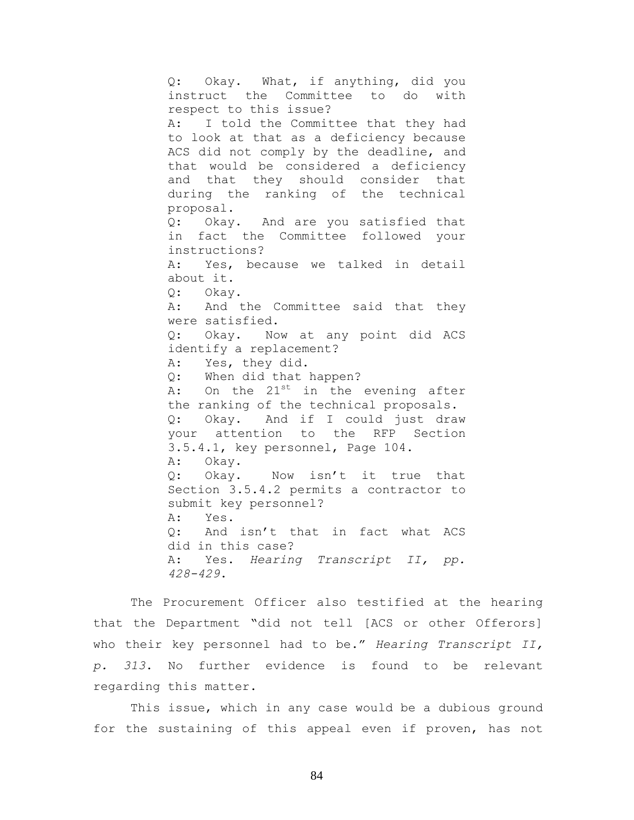Q: Okay. What, if anything, did you instruct the Committee to do with respect to this issue? A: I told the Committee that they had to look at that as a deficiency because ACS did not comply by the deadline, and that would be considered a deficiency and that they should consider that during the ranking of the technical proposal. Q: Okay. And are you satisfied that in fact the Committee followed your instructions? A: Yes, because we talked in detail about it. Q: Okay. A: And the Committee said that they were satisfied. Q: Okay. Now at any point did ACS identify a replacement? A: Yes, they did. Q: When did that happen? A: On the 21<sup>st</sup> in the evening after the ranking of the technical proposals. Q: Okay. And if I could just draw your attention to the RFP Section 3.5.4.1, key personnel, Page 104. A: Okay. Q: Okay. Now isn't it true that Section 3.5.4.2 permits a contractor to submit key personnel? A: Yes. Q: And isn't that in fact what ACS did in this case? A: Yes. *Hearing Transcript II, pp. 428-429*.

The Procurement Officer also testified at the hearing that the Department "did not tell [ACS or other Offerors] who their key personnel had to be." *Hearing Transcript II, p. 313*. No further evidence is found to be relevant regarding this matter.

This issue, which in any case would be a dubious ground for the sustaining of this appeal even if proven, has not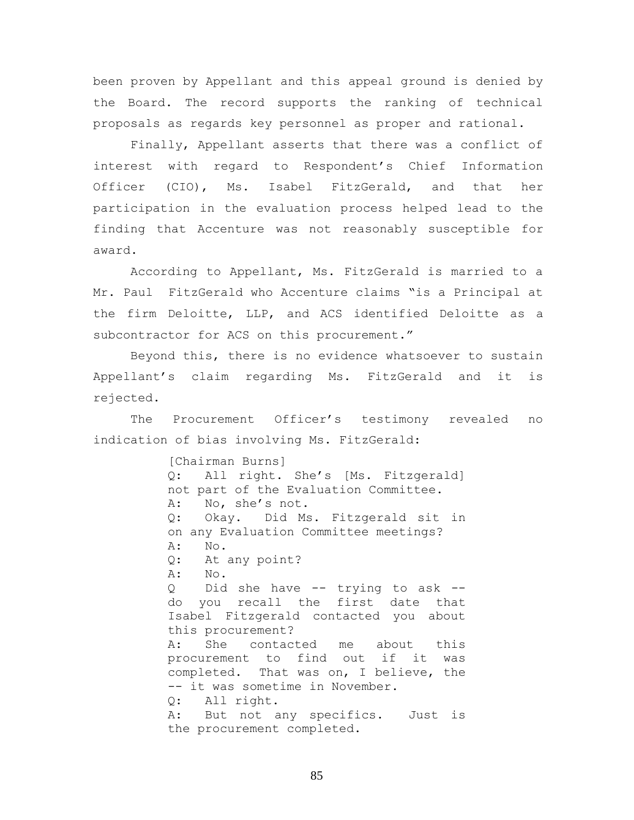been proven by Appellant and this appeal ground is denied by the Board. The record supports the ranking of technical proposals as regards key personnel as proper and rational.

Finally, Appellant asserts that there was a conflict of interest with regard to Respondent's Chief Information Officer (CIO), Ms. Isabel FitzGerald, and that her participation in the evaluation process helped lead to the finding that Accenture was not reasonably susceptible for award.

According to Appellant, Ms. FitzGerald is married to a Mr. Paul FitzGerald who Accenture claims "is a Principal at the firm Deloitte, LLP, and ACS identified Deloitte as a subcontractor for ACS on this procurement."

Beyond this, there is no evidence whatsoever to sustain Appellant's claim regarding Ms. FitzGerald and it is rejected.

The Procurement Officer's testimony revealed no indication of bias involving Ms. FitzGerald:

> [Chairman Burns] Q: All right. She's [Ms. Fitzgerald] not part of the Evaluation Committee. A: No, she's not. Q: Okay. Did Ms. Fitzgerald sit in on any Evaluation Committee meetings? A: No. Q: At any point? A: No. Q Did she have -- trying to ask - do you recall the first date that Isabel Fitzgerald contacted you about this procurement? A: She contacted me about this procurement to find out if it was completed. That was on, I believe, the -- it was sometime in November. Q: All right. A: But not any specifics. Just is the procurement completed.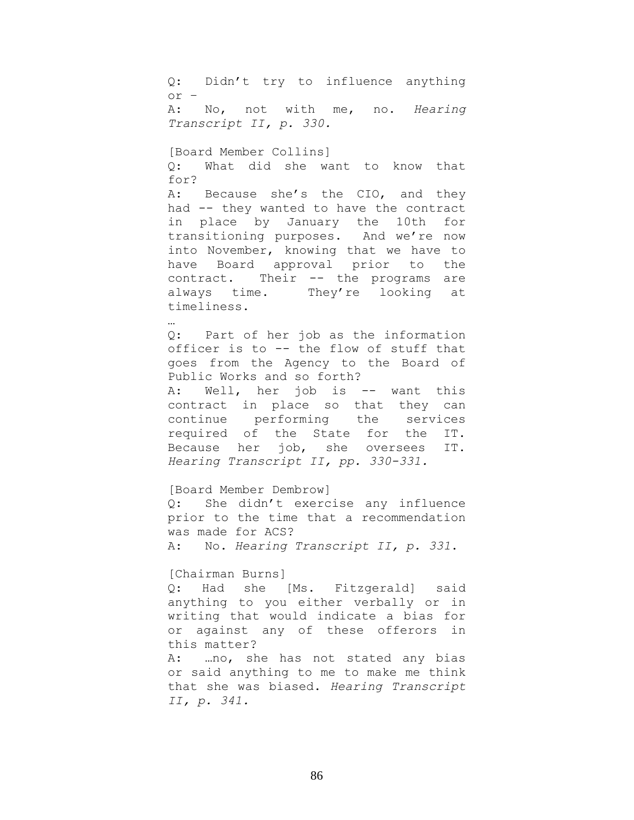Q: Didn't try to influence anything or – A: No, not with me, no. *Hearing Transcript II, p. 330.* [Board Member Collins] Q: What did she want to know that for? A: Because she's the CIO, and they had -- they wanted to have the contract in place by January the 10th for transitioning purposes. And we're now into November, knowing that we have to have Board approval prior to the contract. Their -- the programs are always time. They're looking at timeliness. … Q: Part of her job as the information officer is to -- the flow of stuff that goes from the Agency to the Board of Public Works and so forth?

A: Well, her job is -- want this contract in place so that they can continue performing the services required of the State for the IT. Because her job, she oversees IT. *Hearing Transcript II, pp. 330-331.*

[Board Member Dembrow] Q: She didn't exercise any influence prior to the time that a recommendation was made for ACS? A: No. *Hearing Transcript II, p. 331*.

## [Chairman Burns]

*II, p. 341.*

Q: Had she [Ms. Fitzgerald] said anything to you either verbally or in writing that would indicate a bias for or against any of these offerors in this matter? A: …no, she has not stated any bias or said anything to me to make me think that she was biased. *Hearing Transcript*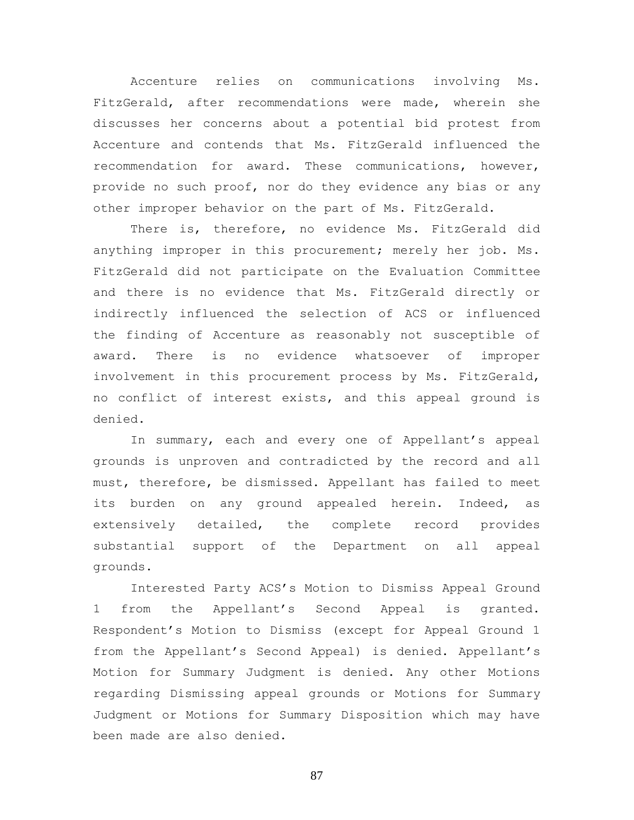Accenture relies on communications involving Ms. FitzGerald, after recommendations were made, wherein she discusses her concerns about a potential bid protest from Accenture and contends that Ms. FitzGerald influenced the recommendation for award. These communications, however, provide no such proof, nor do they evidence any bias or any other improper behavior on the part of Ms. FitzGerald.

There is, therefore, no evidence Ms. FitzGerald did anything improper in this procurement; merely her job. Ms. FitzGerald did not participate on the Evaluation Committee and there is no evidence that Ms. FitzGerald directly or indirectly influenced the selection of ACS or influenced the finding of Accenture as reasonably not susceptible of award. There is no evidence whatsoever of improper involvement in this procurement process by Ms. FitzGerald, no conflict of interest exists, and this appeal ground is denied.

In summary, each and every one of Appellant's appeal grounds is unproven and contradicted by the record and all must, therefore, be dismissed. Appellant has failed to meet its burden on any ground appealed herein. Indeed, as extensively detailed, the complete record provides substantial support of the Department on all appeal grounds.

Interested Party ACS's Motion to Dismiss Appeal Ground 1 from the Appellant's Second Appeal is granted. Respondent's Motion to Dismiss (except for Appeal Ground 1 from the Appellant's Second Appeal) is denied. Appellant's Motion for Summary Judgment is denied. Any other Motions regarding Dismissing appeal grounds or Motions for Summary Judgment or Motions for Summary Disposition which may have been made are also denied.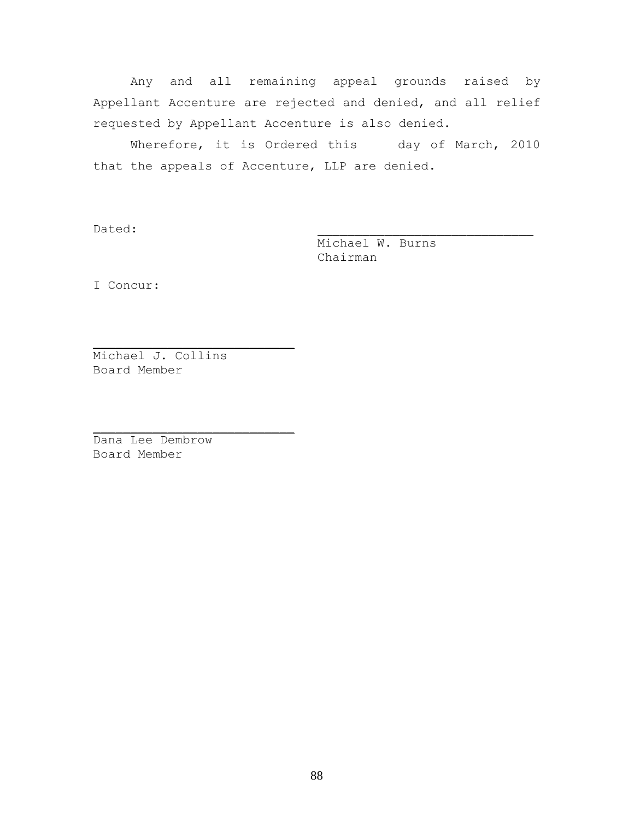Any and all remaining appeal grounds raised by Appellant Accenture are rejected and denied, and all relief requested by Appellant Accenture is also denied.

Wherefore, it is Ordered this day of March, 2010 that the appeals of Accenture, LLP are denied.

Dated: \_\_\_\_\_\_\_\_\_\_\_\_\_\_\_\_\_\_\_\_\_\_\_\_\_\_\_\_\_

Michael W. Burns Chairman

I Concur:

Michael J. Collins Board Member

 $\mathcal{L}_\text{max}$  and  $\mathcal{L}_\text{max}$  and  $\mathcal{L}_\text{max}$  and  $\mathcal{L}_\text{max}$ 

 $\overline{\phantom{a}}$  , where  $\overline{\phantom{a}}$  , where  $\overline{\phantom{a}}$  , where  $\overline{\phantom{a}}$  ,  $\overline{\phantom{a}}$  ,  $\overline{\phantom{a}}$  ,  $\overline{\phantom{a}}$  ,  $\overline{\phantom{a}}$  ,  $\overline{\phantom{a}}$  ,  $\overline{\phantom{a}}$  ,  $\overline{\phantom{a}}$  ,  $\overline{\phantom{a}}$  ,  $\overline{\phantom{a}}$  ,  $\overline{\phantom{a}}$  ,  $\overline{\phantom$ 

Dana Lee Dembrow Board Member